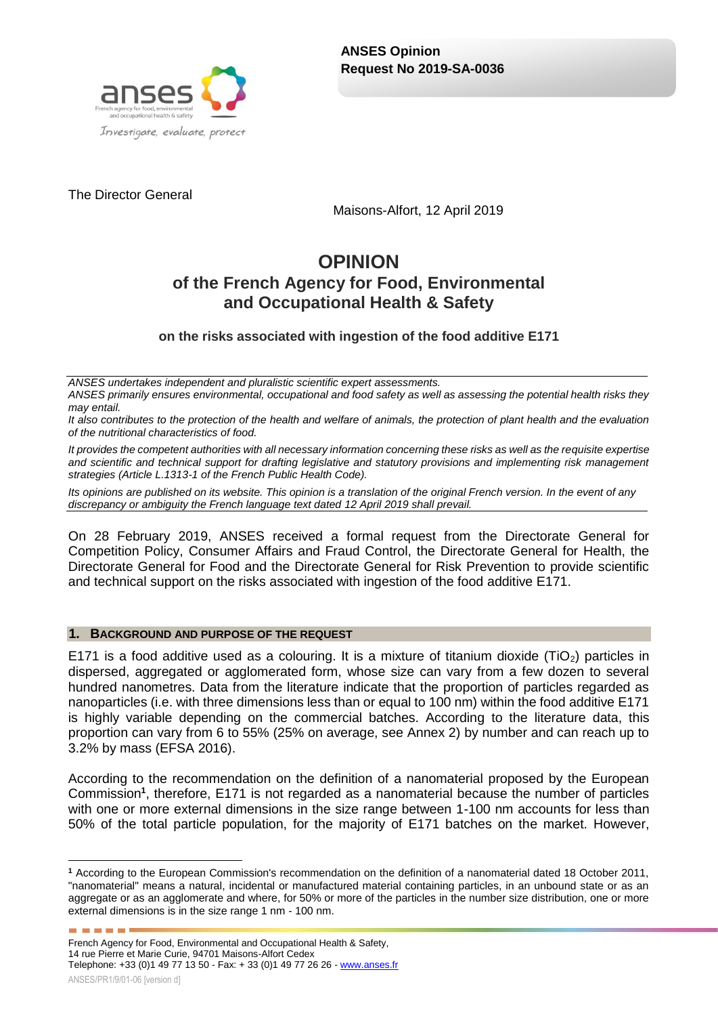

The Director General

Maisons-Alfort, 12 April 2019

# **OPINION of the French Agency for Food, Environmental and Occupational Health & Safety**

# **on the risks associated with ingestion of the food additive E171**

*ANSES undertakes independent and pluralistic scientific expert assessments.*

*ANSES primarily ensures environmental, occupational and food safety as well as assessing the potential health risks they may entail.*

*It also contributes to the protection of the health and welfare of animals, the protection of plant health and the evaluation of the nutritional characteristics of food.*

*It provides the competent authorities with all necessary information concerning these risks as well as the requisite expertise and scientific and technical support for drafting legislative and statutory provisions and implementing risk management strategies (Article L.1313-1 of the French Public Health Code).* 

*Its opinions are published on its website. This opinion is a translation of the original French version. In the event of any discrepancy or ambiguity the French language text dated 12 April 2019 shall prevail.*

On 28 February 2019, ANSES received a formal request from the Directorate General for Competition Policy, Consumer Affairs and Fraud Control, the Directorate General for Health, the Directorate General for Food and the Directorate General for Risk Prevention to provide scientific and technical support on the risks associated with ingestion of the food additive E171.

#### **1. BACKGROUND AND PURPOSE OF THE REQUEST**

E171 is a food additive used as a colouring. It is a mixture of titanium dioxide (TiO<sub>2</sub>) particles in dispersed, aggregated or agglomerated form, whose size can vary from a few dozen to several hundred nanometres. Data from the literature indicate that the proportion of particles regarded as nanoparticles (i.e. with three dimensions less than or equal to 100 nm) within the food additive E171 is highly variable depending on the commercial batches. According to the literature data, this proportion can vary from 6 to 55% (25% on average, see Annex 2) by number and can reach up to 3.2% by mass (EFSA 2016).

According to the recommendation on the definition of a nanomaterial proposed by the European Commission**<sup>1</sup>** , therefore, E171 is not regarded as a nanomaterial because the number of particles with one or more external dimensions in the size range between 1-100 nm accounts for less than 50% of the total particle population, for the majority of E171 batches on the market. However,

<sup>1</sup> **<sup>1</sup>** According to the European Commission's recommendation on the definition of a nanomaterial dated 18 October 2011, "nanomaterial" means a natural, incidental or manufactured material containing particles, in an unbound state or as an aggregate or as an agglomerate and where, for 50% or more of the particles in the number size distribution, one or more external dimensions is in the size range 1 nm - 100 nm.

French Agency for Food, Environmental and Occupational Health & Safety, 14 rue Pierre et Marie Curie, 94701 Maisons-Alfort Cedex Telephone: +33 (0)1 49 77 13 50 - Fax: + 33 (0)1 49 77 26 26 - [www.anses.fr](http://www.anses.fr/)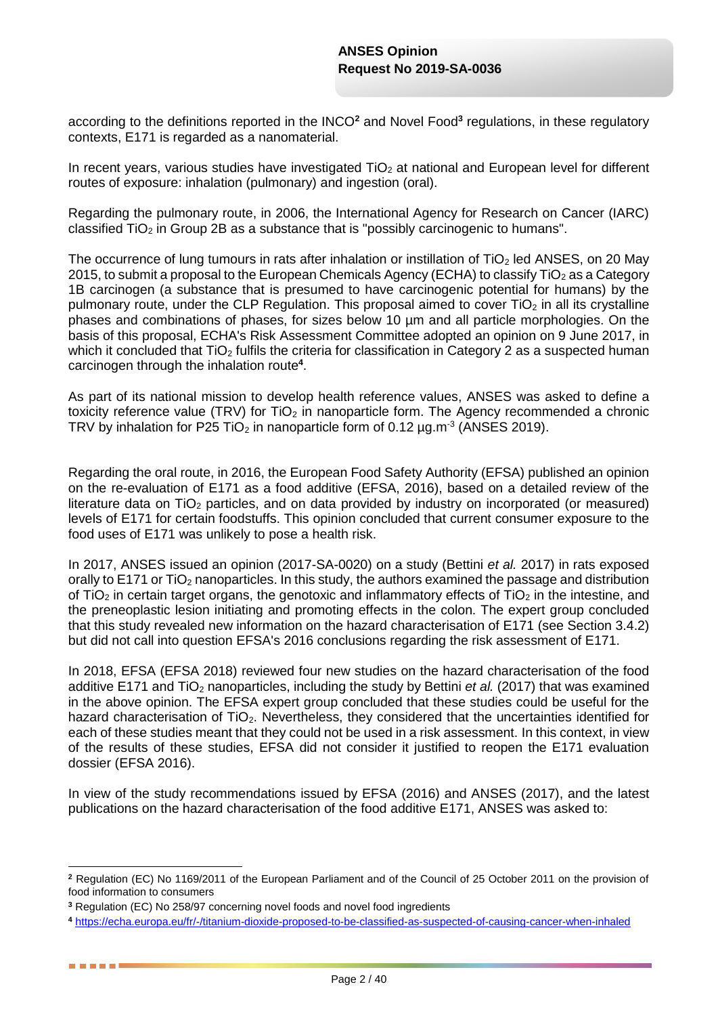according to the definitions reported in the INCO**<sup>2</sup>** and Novel Food**<sup>3</sup>** regulations, in these regulatory contexts, E171 is regarded as a nanomaterial.

In recent vears, various studies have investigated  $TiO<sub>2</sub>$  at national and European level for different routes of exposure: inhalation (pulmonary) and ingestion (oral).

Regarding the pulmonary route, in 2006, the International Agency for Research on Cancer (IARC) classified  $TiO<sub>2</sub>$  in Group 2B as a substance that is "possibly carcinogenic to humans".

The occurrence of lung tumours in rats after inhalation or instillation of TiO<sub>2</sub> led ANSES, on 20 May 2015, to submit a proposal to the European Chemicals Agency (ECHA) to classify  $TiO<sub>2</sub>$  as a Category 1B carcinogen (a substance that is presumed to have carcinogenic potential for humans) by the pulmonary route, under the CLP Regulation. This proposal aimed to cover  $TiO<sub>2</sub>$  in all its crystalline phases and combinations of phases, for sizes below 10 µm and all particle morphologies. On the basis of this proposal, ECHA's Risk Assessment Committee adopted an opinion on 9 June 2017, in which it concluded that TiO<sub>2</sub> fulfils the criteria for classification in Category 2 as a suspected human carcinogen through the inhalation route**<sup>4</sup>** .

As part of its national mission to develop health reference values, ANSES was asked to define a toxicity reference value (TRV) for  $TiO<sub>2</sub>$  in nanoparticle form. The Agency recommended a chronic TRV by inhalation for P25 TiO<sub>2</sub> in nanoparticle form of 0.12  $\mu$ g.m<sup>-3</sup> (ANSES 2019).

Regarding the oral route, in 2016, the European Food Safety Authority (EFSA) published an opinion on the re-evaluation of E171 as a food additive (EFSA, 2016), based on a detailed review of the literature data on  $TiO<sub>2</sub>$  particles, and on data provided by industry on incorporated (or measured) levels of E171 for certain foodstuffs. This opinion concluded that current consumer exposure to the food uses of E171 was unlikely to pose a health risk.

In 2017, ANSES issued an opinion (2017-SA-0020) on a study (Bettini *et al.* 2017) in rats exposed orally to E171 or TiO<sub>2</sub> nanoparticles. In this study, the authors examined the passage and distribution of TiO<sub>2</sub> in certain target organs, the genotoxic and inflammatory effects of TiO<sub>2</sub> in the intestine, and the preneoplastic lesion initiating and promoting effects in the colon. The expert group concluded that this study revealed new information on the hazard characterisation of E171 (see Section 3.4.2) but did not call into question EFSA's 2016 conclusions regarding the risk assessment of E171.

In 2018, EFSA (EFSA 2018) reviewed four new studies on the hazard characterisation of the food additive E171 and TiO<sub>2</sub> nanoparticles, including the study by Bettini *et al.* (2017) that was examined in the above opinion. The EFSA expert group concluded that these studies could be useful for the hazard characterisation of  $TiO<sub>2</sub>$ . Nevertheless, they considered that the uncertainties identified for each of these studies meant that they could not be used in a risk assessment. In this context, in view of the results of these studies, EFSA did not consider it justified to reopen the E171 evaluation dossier (EFSA 2016).

In view of the study recommendations issued by EFSA (2016) and ANSES (2017), and the latest publications on the hazard characterisation of the food additive E171, ANSES was asked to:

1

. . . .

**<sup>2</sup>** Regulation (EC) No 1169/2011 of the European Parliament and of the Council of 25 October 2011 on the provision of food information to consumers

**<sup>3</sup>** Regulation (EC) No 258/97 concerning novel foods and novel food ingredients

**<sup>4</sup>** <https://echa.europa.eu/fr/-/titanium-dioxide-proposed-to-be-classified-as-suspected-of-causing-cancer-when-inhaled>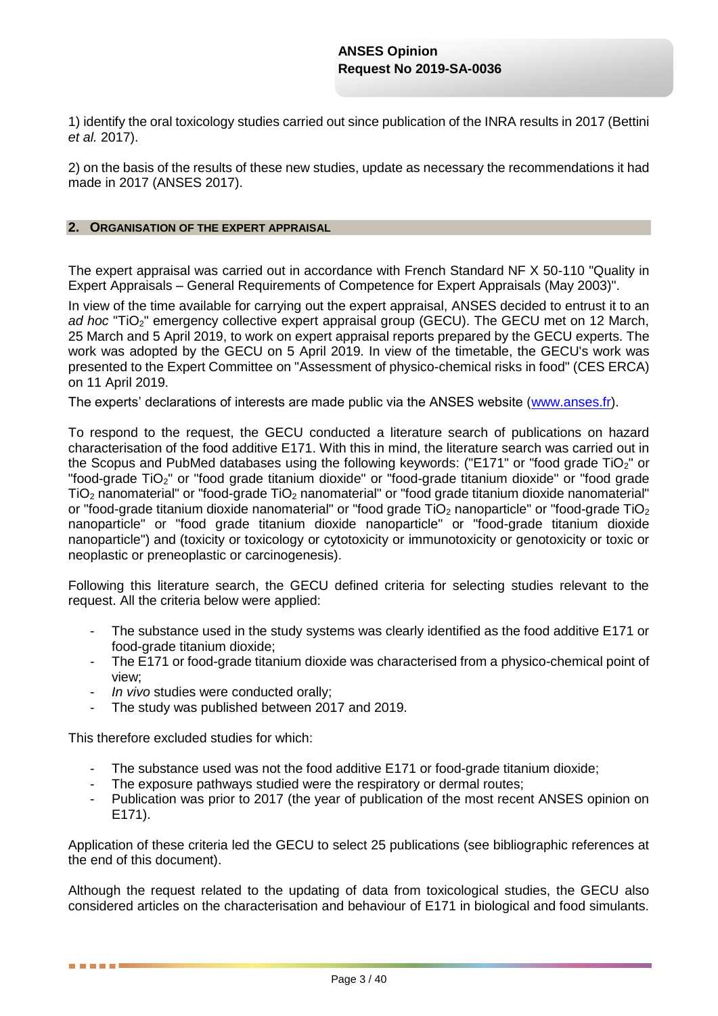1) identify the oral toxicology studies carried out since publication of the INRA results in 2017 (Bettini *et al.* 2017).

2) on the basis of the results of these new studies, update as necessary the recommendations it had made in 2017 (ANSES 2017).

#### **2. ORGANISATION OF THE EXPERT APPRAISAL**

The expert appraisal was carried out in accordance with French Standard NF X 50-110 "Quality in Expert Appraisals – General Requirements of Competence for Expert Appraisals (May 2003)".

In view of the time available for carrying out the expert appraisal, ANSES decided to entrust it to an *ad hoc* "TiO<sub>2</sub>" emergency collective expert appraisal group (GECU). The GECU met on 12 March, 25 March and 5 April 2019, to work on expert appraisal reports prepared by the GECU experts. The work was adopted by the GECU on 5 April 2019. In view of the timetable, the GECU's work was presented to the Expert Committee on "Assessment of physico-chemical risks in food" (CES ERCA) on 11 April 2019.

The experts' declarations of interests are made public via the ANSES website [\(www.anses.fr\)](http://www.anses.fr/).

To respond to the request, the GECU conducted a literature search of publications on hazard characterisation of the food additive E171. With this in mind, the literature search was carried out in the Scopus and PubMed databases using the following keywords: ("E171" or "food grade TiO<sub>2</sub>" or "food-grade TiO<sub>2</sub>" or "food grade titanium dioxide" or "food-grade titanium dioxide" or "food grade TiO<sup>2</sup> nanomaterial" or "food-grade TiO<sup>2</sup> nanomaterial" or "food grade titanium dioxide nanomaterial" or "food-grade titanium dioxide nanomaterial" or "food grade  $TiO<sub>2</sub>$  nanoparticle" or "food-grade  $TiO<sub>2</sub>$ nanoparticle" or "food grade titanium dioxide nanoparticle" or "food-grade titanium dioxide nanoparticle") and (toxicity or toxicology or cytotoxicity or immunotoxicity or genotoxicity or toxic or neoplastic or preneoplastic or carcinogenesis).

Following this literature search, the GECU defined criteria for selecting studies relevant to the request. All the criteria below were applied:

- The substance used in the study systems was clearly identified as the food additive E171 or food-grade titanium dioxide;
- The E171 or food-grade titanium dioxide was characterised from a physico-chemical point of view;
- In vivo studies were conducted orally;
- The study was published between 2017 and 2019.

This therefore excluded studies for which:

. . . .

- The substance used was not the food additive E171 or food-grade titanium dioxide;
- The exposure pathways studied were the respiratory or dermal routes;
- Publication was prior to 2017 (the year of publication of the most recent ANSES opinion on E171).

Application of these criteria led the GECU to select 25 publications (see bibliographic references at the end of this document).

Although the request related to the updating of data from toxicological studies, the GECU also considered articles on the characterisation and behaviour of E171 in biological and food simulants.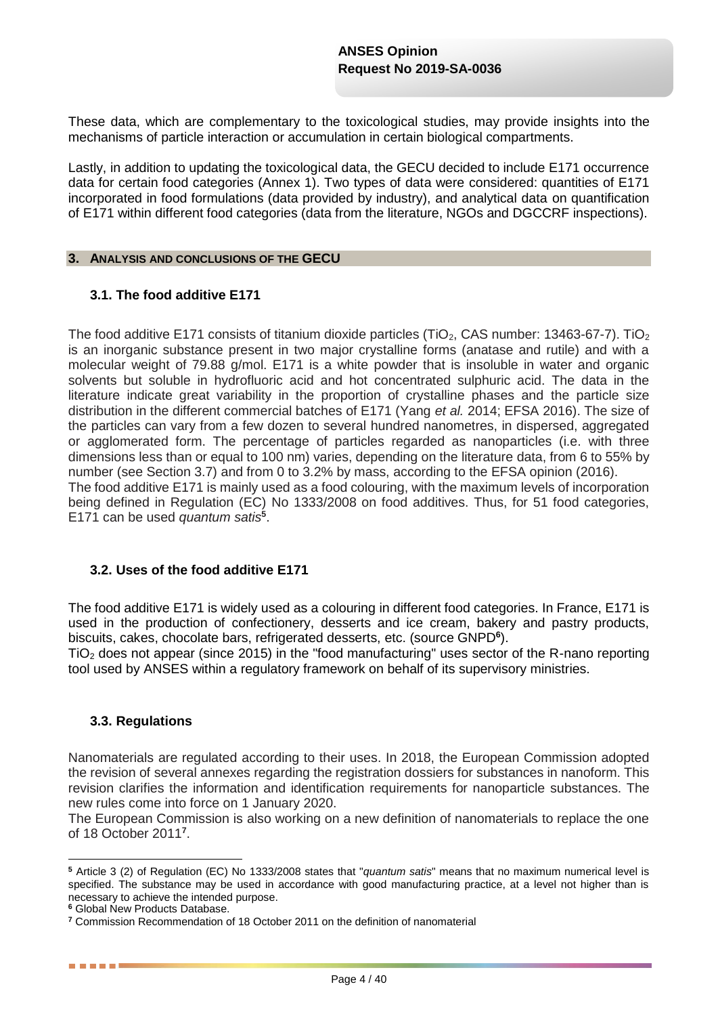These data, which are complementary to the toxicological studies, may provide insights into the mechanisms of particle interaction or accumulation in certain biological compartments.

Lastly, in addition to updating the toxicological data, the GECU decided to include E171 occurrence data for certain food categories (Annex 1). Two types of data were considered: quantities of E171 incorporated in food formulations (data provided by industry), and analytical data on quantification of E171 within different food categories (data from the literature, NGOs and DGCCRF inspections).

#### **3. ANALYSIS AND CONCLUSIONS OF THE GECU**

#### **3.1. The food additive E171**

The food additive E171 consists of titanium dioxide particles (TiO<sub>2</sub>, CAS number: 13463-67-7). TiO<sub>2</sub> is an inorganic substance present in two major crystalline forms (anatase and rutile) and with a molecular weight of 79.88 g/mol. E171 is a white powder that is insoluble in water and organic solvents but soluble in hydrofluoric acid and hot concentrated sulphuric acid. The data in the literature indicate great variability in the proportion of crystalline phases and the particle size distribution in the different commercial batches of E171 (Yang *et al.* 2014; EFSA 2016). The size of the particles can vary from a few dozen to several hundred nanometres, in dispersed, aggregated or agglomerated form. The percentage of particles regarded as nanoparticles (i.e. with three dimensions less than or equal to 100 nm) varies, depending on the literature data, from 6 to 55% by number (see Section 3.7) and from 0 to 3.2% by mass, according to the EFSA opinion (2016). The food additive E171 is mainly used as a food colouring, with the maximum levels of incorporation being defined in Regulation (EC) No 1333/2008 on food additives. Thus, for 51 food categories, E171 can be used *quantum satis***<sup>5</sup>** .

#### **3.2. Uses of the food additive E171**

The food additive E171 is widely used as a colouring in different food categories. In France, E171 is used in the production of confectionery, desserts and ice cream, bakery and pastry products, biscuits, cakes, chocolate bars, refrigerated desserts, etc. (source GNPD**<sup>6</sup>** ).

TiO<sup>2</sup> does not appear (since 2015) in the "food manufacturing" uses sector of the R-nano reporting tool used by ANSES within a regulatory framework on behalf of its supervisory ministries.

#### **3.3. Regulations**

Nanomaterials are regulated according to their uses. In 2018, the European Commission adopted the revision of several annexes regarding the registration dossiers for substances in nanoform. This revision clarifies the information and identification requirements for nanoparticle substances. The new rules come into force on 1 January 2020.

The European Commission is also working on a new definition of nanomaterials to replace the one of 18 October 2011**<sup>7</sup>** .

1

**<sup>5</sup>** Article 3 (2) of Regulation (EC) No 1333/2008 states that "*quantum satis*" means that no maximum numerical level is specified. The substance may be used in accordance with good manufacturing practice, at a level not higher than is necessary to achieve the intended purpose.

**<sup>6</sup>** Global New Products Database.

**<sup>7</sup>** Commission Recommendation of 18 October 2011 on the definition of nanomaterial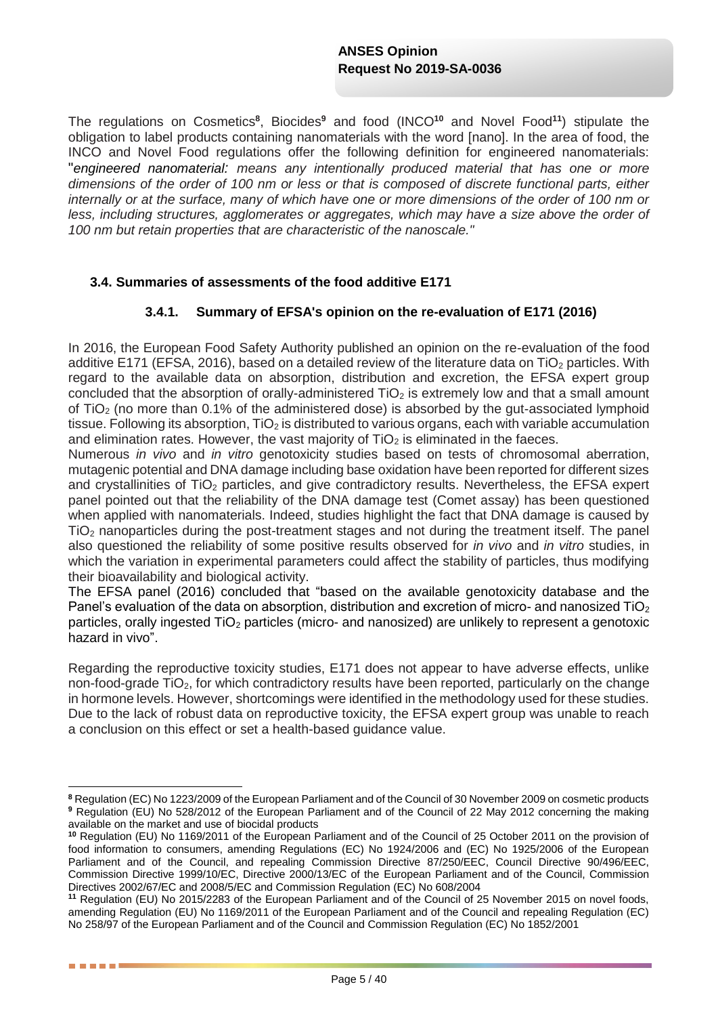The regulations on Cosmetics**<sup>8</sup>** , Biocides**<sup>9</sup>** and food (INCO**<sup>10</sup>** and Novel Food**<sup>11</sup>**) stipulate the obligation to label products containing nanomaterials with the word [nano]. In the area of food, the INCO and Novel Food regulations offer the following definition for engineered nanomaterials: "*engineered nanomaterial: means any intentionally produced material that has one or more dimensions of the order of 100 nm or less or that is composed of discrete functional parts, either internally or at the surface, many of which have one or more dimensions of the order of 100 nm or less, including structures, agglomerates or aggregates, which may have a size above the order of 100 nm but retain properties that are characteristic of the nanoscale."* 

#### **3.4. Summaries of assessments of the food additive E171**

#### **3.4.1. Summary of EFSA's opinion on the re-evaluation of E171 (2016)**

In 2016, the European Food Safety Authority published an opinion on the re-evaluation of the food additive E171 (EFSA, 2016), based on a detailed review of the literature data on  $TiO<sub>2</sub>$  particles. With regard to the available data on absorption, distribution and excretion, the EFSA expert group concluded that the absorption of orally-administered  $TiO<sub>2</sub>$  is extremely low and that a small amount of  $TiO<sub>2</sub>$  (no more than 0.1% of the administered dose) is absorbed by the gut-associated lymphoid tissue. Following its absorption,  $TiO<sub>2</sub>$  is distributed to various organs, each with variable accumulation and elimination rates. However, the vast majority of  $TiO<sub>2</sub>$  is eliminated in the faeces.

Numerous *in vivo* and *in vitro* genotoxicity studies based on tests of chromosomal aberration, mutagenic potential and DNA damage including base oxidation have been reported for different sizes and crystallinities of TiO<sub>2</sub> particles, and give contradictory results. Nevertheless, the EFSA expert panel pointed out that the reliability of the DNA damage test (Comet assay) has been questioned when applied with nanomaterials. Indeed, studies highlight the fact that DNA damage is caused by TiO<sup>2</sup> nanoparticles during the post-treatment stages and not during the treatment itself. The panel also questioned the reliability of some positive results observed for *in vivo* and *in vitro* studies, in which the variation in experimental parameters could affect the stability of particles, thus modifying their bioavailability and biological activity.

The EFSA panel (2016) concluded that "based on the available genotoxicity database and the Panel's evaluation of the data on absorption, distribution and excretion of micro- and nanosized TiO<sub>2</sub> particles, orally ingested  $TiO<sub>2</sub>$  particles (micro- and nanosized) are unlikely to represent a genotoxic hazard in vivo".

Regarding the reproductive toxicity studies, E171 does not appear to have adverse effects, unlike non-food-grade TiO<sub>2</sub>, for which contradictory results have been reported, particularly on the change in hormone levels. However, shortcomings were identified in the methodology used for these studies. Due to the lack of robust data on reproductive toxicity, the EFSA expert group was unable to reach a conclusion on this effect or set a health-based guidance value.

1

**<sup>8</sup>** Regulation (EC) No 1223/2009 of the European Parliament and of the Council of 30 November 2009 on cosmetic products **<sup>9</sup>** Regulation (EU) No 528/2012 of the European Parliament and of the Council of 22 May 2012 concerning the making available on the market and use of biocidal products

**<sup>10</sup>** Regulation (EU) No 1169/2011 of the European Parliament and of the Council of 25 October 2011 on the provision of food information to consumers, amending Regulations (EC) No 1924/2006 and (EC) No 1925/2006 of the European Parliament and of the Council, and repealing Commission Directive 87/250/EEC, Council Directive 90/496/EEC, Commission Directive 1999/10/EC, Directive 2000/13/EC of the European Parliament and of the Council, Commission Directives 2002/67/EC and 2008/5/EC and Commission Regulation (EC) No 608/2004

**<sup>11</sup>** Regulation (EU) No 2015/2283 of the European Parliament and of the Council of 25 November 2015 on novel foods, amending Regulation (EU) No 1169/2011 of the European Parliament and of the Council and repealing Regulation (EC) No 258/97 of the European Parliament and of the Council and Commission Regulation (EC) No 1852/2001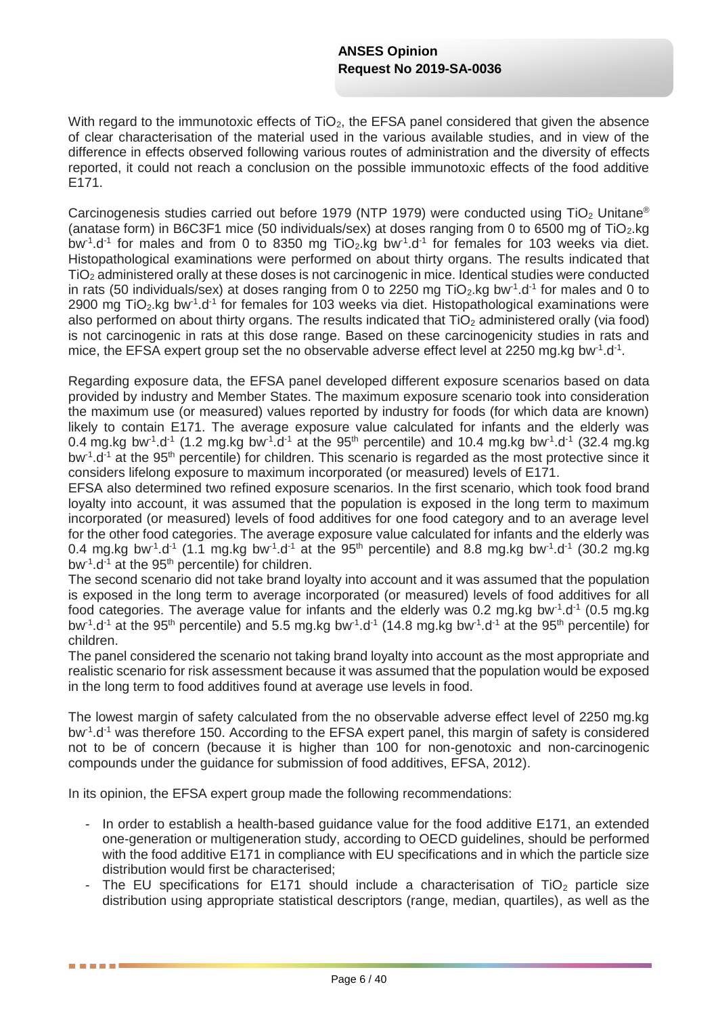With regard to the immunotoxic effects of  $TiO<sub>2</sub>$ , the EFSA panel considered that given the absence of clear characterisation of the material used in the various available studies, and in view of the difference in effects observed following various routes of administration and the diversity of effects reported, it could not reach a conclusion on the possible immunotoxic effects of the food additive E171.

Carcinogenesis studies carried out before 1979 (NTP 1979) were conducted using TiO<sub>2</sub> Unitane<sup>®</sup> (anatase form) in B6C3F1 mice (50 individuals/sex) at doses ranging from 0 to 6500 mg of  $TiO<sub>2</sub>kg$ bw<sup>-1</sup>.d<sup>-1</sup> for males and from 0 to 8350 mg TiO<sub>2</sub>.kg bw<sup>-1</sup>.d<sup>-1</sup> for females for 103 weeks via diet. Histopathological examinations were performed on about thirty organs. The results indicated that TiO<sup>2</sup> administered orally at these doses is not carcinogenic in mice. Identical studies were conducted in rats (50 individuals/sex) at doses ranging from 0 to 2250 mg TiO<sub>2</sub>.kg bw<sup>-1</sup>.d<sup>-1</sup> for males and 0 to 2900 mg TiO<sub>2</sub>.kg bw<sup>-1</sup>.d<sup>-1</sup> for females for 103 weeks via diet. Histopathological examinations were also performed on about thirty organs. The results indicated that  $TiO<sub>2</sub>$  administered orally (via food) is not carcinogenic in rats at this dose range. Based on these carcinogenicity studies in rats and mice, the EFSA expert group set the no observable adverse effect level at 2250 mg.kg bw<sup>-1</sup>.d<sup>-1</sup>.

Regarding exposure data, the EFSA panel developed different exposure scenarios based on data provided by industry and Member States. The maximum exposure scenario took into consideration the maximum use (or measured) values reported by industry for foods (for which data are known) likely to contain E171. The average exposure value calculated for infants and the elderly was 0.4 mg.kg bw<sup>-1</sup>.d<sup>-1</sup> (1.2 mg.kg bw<sup>-1</sup>.d<sup>-1</sup> at the 95<sup>th</sup> percentile) and 10.4 mg.kg bw<sup>-1</sup>.d<sup>-1</sup> (32.4 mg.kg bw<sup>-1</sup>.d<sup>-1</sup> at the 95<sup>th</sup> percentile) for children. This scenario is regarded as the most protective since it considers lifelong exposure to maximum incorporated (or measured) levels of E171.

EFSA also determined two refined exposure scenarios. In the first scenario, which took food brand loyalty into account, it was assumed that the population is exposed in the long term to maximum incorporated (or measured) levels of food additives for one food category and to an average level for the other food categories. The average exposure value calculated for infants and the elderly was 0.4 mg.kg bw<sup>-1</sup>.d<sup>-1</sup> (1.1 mg.kg bw<sup>-1</sup>.d<sup>-1</sup> at the 95<sup>th</sup> percentile) and 8.8 mg.kg bw<sup>-1</sup>.d<sup>-1</sup> (30.2 mg.kg bw<sup>-1</sup>.d<sup>-1</sup> at the 95<sup>th</sup> percentile) for children.

The second scenario did not take brand loyalty into account and it was assumed that the population is exposed in the long term to average incorporated (or measured) levels of food additives for all food categories. The average value for infants and the elderly was 0.2 mg.kg bw<sup>-1</sup>.d<sup>-1</sup> (0.5 mg.kg bw<sup>-1</sup>.d<sup>-1</sup> at the 95<sup>th</sup> percentile) and 5.5 mg.kg bw<sup>-1</sup>.d<sup>-1</sup> (14.8 mg.kg bw<sup>-1</sup>.d<sup>-1</sup> at the 95<sup>th</sup> percentile) for children.

The panel considered the scenario not taking brand loyalty into account as the most appropriate and realistic scenario for risk assessment because it was assumed that the population would be exposed in the long term to food additives found at average use levels in food.

The lowest margin of safety calculated from the no observable adverse effect level of 2250 mg.kg bw<sup>-1</sup>.d<sup>-1</sup> was therefore 150. According to the EFSA expert panel, this margin of safety is considered not to be of concern (because it is higher than 100 for non-genotoxic and non-carcinogenic compounds under the guidance for submission of food additives, EFSA, 2012).

In its opinion, the EFSA expert group made the following recommendations:

-----

- In order to establish a health-based guidance value for the food additive E171, an extended one-generation or multigeneration study, according to OECD guidelines, should be performed with the food additive E171 in compliance with EU specifications and in which the particle size distribution would first be characterised;
- The EU specifications for E171 should include a characterisation of TiO<sub>2</sub> particle size distribution using appropriate statistical descriptors (range, median, quartiles), as well as the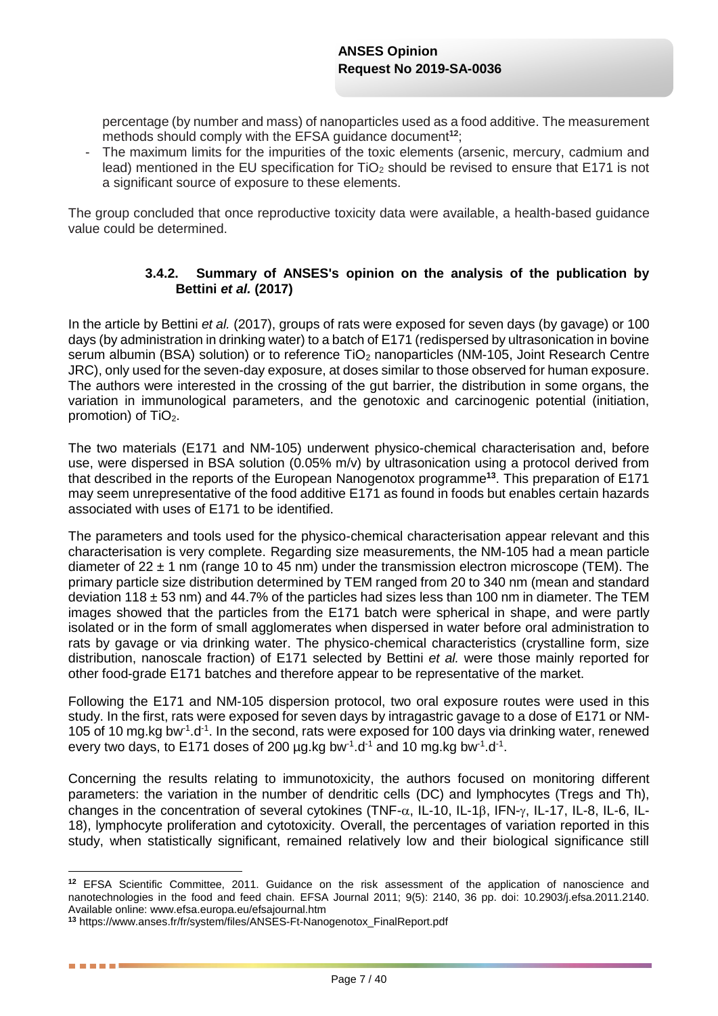percentage (by number and mass) of nanoparticles used as a food additive. The measurement methods should comply with the EFSA guidance document**<sup>12</sup>**;

The maximum limits for the impurities of the toxic elements (arsenic, mercury, cadmium and lead) mentioned in the EU specification for TiO<sub>2</sub> should be revised to ensure that E171 is not a significant source of exposure to these elements.

The group concluded that once reproductive toxicity data were available, a health-based guidance value could be determined.

#### **3.4.2. Summary of ANSES's opinion on the analysis of the publication by Bettini** *et al.* **(2017)**

In the article by Bettini *et al.* (2017), groups of rats were exposed for seven days (by gavage) or 100 days (by administration in drinking water) to a batch of E171 (redispersed by ultrasonication in bovine serum albumin (BSA) solution) or to reference TiO<sub>2</sub> nanoparticles (NM-105, Joint Research Centre JRC), only used for the seven-day exposure, at doses similar to those observed for human exposure. The authors were interested in the crossing of the gut barrier, the distribution in some organs, the variation in immunological parameters, and the genotoxic and carcinogenic potential (initiation, promotion) of TiO<sub>2</sub>.

The two materials (E171 and NM-105) underwent physico-chemical characterisation and, before use, were dispersed in BSA solution (0.05% m/v) by ultrasonication using a protocol derived from that described in the reports of the European Nanogenotox programme**<sup>13</sup>** . This preparation of E171 may seem unrepresentative of the food additive E171 as found in foods but enables certain hazards associated with uses of E171 to be identified.

The parameters and tools used for the physico-chemical characterisation appear relevant and this characterisation is very complete. Regarding size measurements, the NM-105 had a mean particle diameter of  $22 \pm 1$  nm (range 10 to 45 nm) under the transmission electron microscope (TEM). The primary particle size distribution determined by TEM ranged from 20 to 340 nm (mean and standard deviation 118  $\pm$  53 nm) and 44.7% of the particles had sizes less than 100 nm in diameter. The TEM images showed that the particles from the E171 batch were spherical in shape, and were partly isolated or in the form of small agglomerates when dispersed in water before oral administration to rats by gavage or via drinking water. The physico-chemical characteristics (crystalline form, size distribution, nanoscale fraction) of E171 selected by Bettini *et al.* were those mainly reported for other food-grade E171 batches and therefore appear to be representative of the market.

Following the E171 and NM-105 dispersion protocol, two oral exposure routes were used in this study. In the first, rats were exposed for seven days by intragastric gavage to a dose of E171 or NM-105 of 10 mg.kg bw<sup>-1</sup>.d<sup>-1</sup>. In the second, rats were exposed for 100 days via drinking water, renewed every two days, to E171 doses of 200  $\mu$ g.kg bw<sup>-1</sup>.d<sup>-1</sup> and 10 mg.kg bw<sup>-1</sup>.d<sup>-1</sup>.

Concerning the results relating to immunotoxicity, the authors focused on monitoring different parameters: the variation in the number of dendritic cells (DC) and lymphocytes (Tregs and Th), changes in the concentration of several cytokines (TNF- $\alpha$ , IL-10, IL-1 $\beta$ , IFN- $\gamma$ , IL-17, IL-8, IL-6, IL-18), lymphocyte proliferation and cytotoxicity. Overall, the percentages of variation reported in this study, when statistically significant, remained relatively low and their biological significance still

1

**<sup>12</sup>** EFSA Scientific Committee, 2011. Guidance on the risk assessment of the application of nanoscience and nanotechnologies in the food and feed chain. EFSA Journal 2011; 9(5): 2140, 36 pp. doi: 10.2903/j.efsa.2011.2140. Available online: www.efsa.europa.eu/efsajournal.htm

**<sup>13</sup>** https://www.anses.fr/fr/system/files/ANSES-Ft-Nanogenotox\_FinalReport.pdf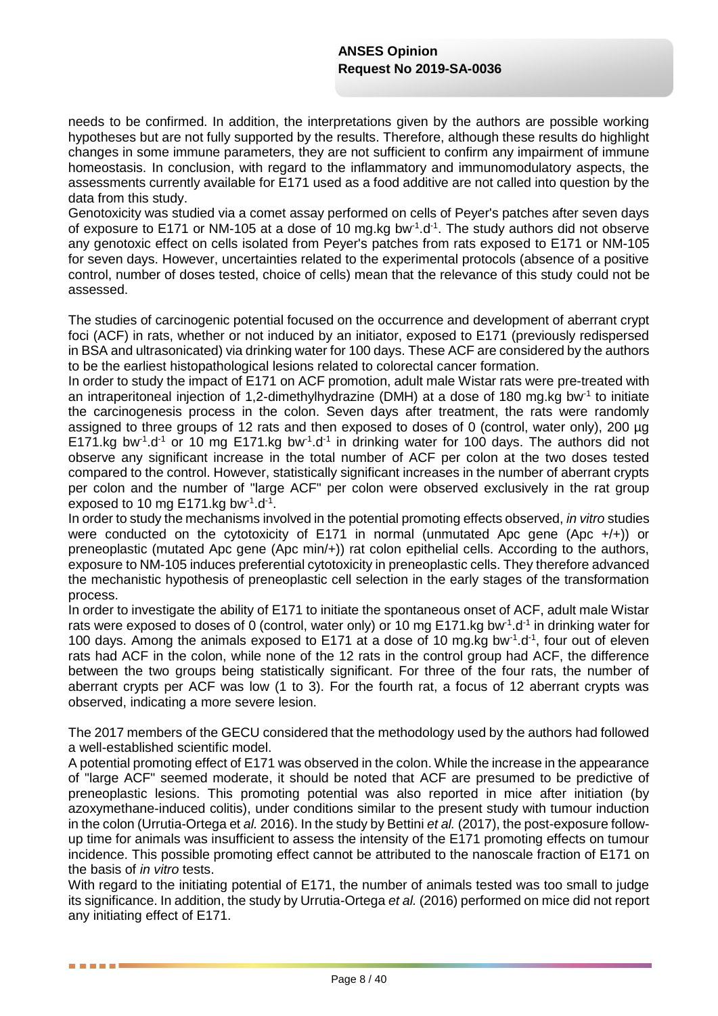needs to be confirmed. In addition, the interpretations given by the authors are possible working hypotheses but are not fully supported by the results. Therefore, although these results do highlight changes in some immune parameters, they are not sufficient to confirm any impairment of immune homeostasis. In conclusion, with regard to the inflammatory and immunomodulatory aspects, the assessments currently available for E171 used as a food additive are not called into question by the data from this study.

Genotoxicity was studied via a comet assay performed on cells of Peyer's patches after seven days of exposure to E171 or NM-105 at a dose of 10 mg.kg bw $1 \text{d}^{-1}$ . The study authors did not observe any genotoxic effect on cells isolated from Peyer's patches from rats exposed to E171 or NM-105 for seven days. However, uncertainties related to the experimental protocols (absence of a positive control, number of doses tested, choice of cells) mean that the relevance of this study could not be assessed.

The studies of carcinogenic potential focused on the occurrence and development of aberrant crypt foci (ACF) in rats, whether or not induced by an initiator, exposed to E171 (previously redispersed in BSA and ultrasonicated) via drinking water for 100 days. These ACF are considered by the authors to be the earliest histopathological lesions related to colorectal cancer formation.

In order to study the impact of E171 on ACF promotion, adult male Wistar rats were pre-treated with an intraperitoneal injection of 1,2-dimethylhydrazine (DMH) at a dose of 180 mg.kg bw<sup>-1</sup> to initiate the carcinogenesis process in the colon. Seven days after treatment, the rats were randomly assigned to three groups of 12 rats and then exposed to doses of 0 (control, water only), 200 µg E171.kg bw<sup>1</sup>.d<sup>-1</sup> or 10 mg E171.kg bw<sup>-1</sup>.d<sup>-1</sup> in drinking water for 100 days. The authors did not observe any significant increase in the total number of ACF per colon at the two doses tested compared to the control. However, statistically significant increases in the number of aberrant crypts per colon and the number of "large ACF" per colon were observed exclusively in the rat group exposed to 10 mg E171.kg bw $^{-1}$ .d $^{-1}$ .

In order to study the mechanisms involved in the potential promoting effects observed, *in vitro* studies were conducted on the cytotoxicity of E171 in normal (unmutated Apc gene (Apc +/+)) or preneoplastic (mutated Apc gene (Apc min/+)) rat colon epithelial cells. According to the authors, exposure to NM-105 induces preferential cytotoxicity in preneoplastic cells. They therefore advanced the mechanistic hypothesis of preneoplastic cell selection in the early stages of the transformation process.

In order to investigate the ability of E171 to initiate the spontaneous onset of ACF, adult male Wistar rats were exposed to doses of 0 (control, water only) or 10 mg E171.kg bw<sup>-1</sup>.d<sup>-1</sup> in drinking water for 100 days. Among the animals exposed to E171 at a dose of 10 mg.kg bw $^{-1}$ .d $^{-1}$ , four out of eleven rats had ACF in the colon, while none of the 12 rats in the control group had ACF, the difference between the two groups being statistically significant. For three of the four rats, the number of aberrant crypts per ACF was low (1 to 3). For the fourth rat, a focus of 12 aberrant crypts was observed, indicating a more severe lesion.

The 2017 members of the GECU considered that the methodology used by the authors had followed a well-established scientific model.

A potential promoting effect of E171 was observed in the colon. While the increase in the appearance of "large ACF" seemed moderate, it should be noted that ACF are presumed to be predictive of preneoplastic lesions. This promoting potential was also reported in mice after initiation (by azoxymethane-induced colitis), under conditions similar to the present study with tumour induction in the colon (Urrutia-Ortega et *al.* 2016). In the study by Bettini *et al.* (2017), the post-exposure followup time for animals was insufficient to assess the intensity of the E171 promoting effects on tumour incidence. This possible promoting effect cannot be attributed to the nanoscale fraction of E171 on the basis of *in vitro* tests.

With regard to the initiating potential of E171, the number of animals tested was too small to judge its significance. In addition, the study by Urrutia-Ortega *et al.* (2016) performed on mice did not report any initiating effect of E171.

. . . .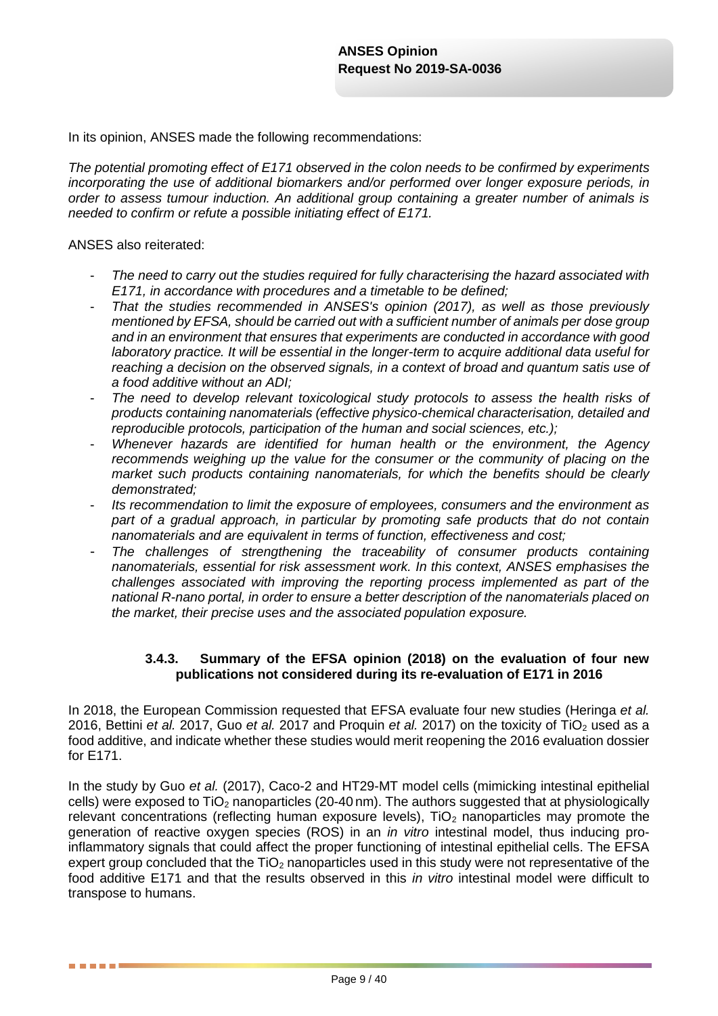In its opinion, ANSES made the following recommendations:

*The potential promoting effect of E171 observed in the colon needs to be confirmed by experiments incorporating the use of additional biomarkers and/or performed over longer exposure periods, in order to assess tumour induction. An additional group containing a greater number of animals is needed to confirm or refute a possible initiating effect of E171.*

#### ANSES also reiterated:

. . . . .

- *The need to carry out the studies required for fully characterising the hazard associated with E171, in accordance with procedures and a timetable to be defined;*
- *That the studies recommended in ANSES's opinion (2017), as well as those previously mentioned by EFSA, should be carried out with a sufficient number of animals per dose group and in an environment that ensures that experiments are conducted in accordance with good laboratory practice. It will be essential in the longer-term to acquire additional data useful for reaching a decision on the observed signals, in a context of broad and quantum satis use of a food additive without an ADI;*
- *The need to develop relevant toxicological study protocols to assess the health risks of products containing nanomaterials (effective physico-chemical characterisation, detailed and reproducible protocols, participation of the human and social sciences, etc.);*
- *Whenever hazards are identified for human health or the environment, the Agency recommends weighing up the value for the consumer or the community of placing on the market such products containing nanomaterials, for which the benefits should be clearly demonstrated;*
- *Its recommendation to limit the exposure of employees, consumers and the environment as part of a gradual approach, in particular by promoting safe products that do not contain nanomaterials and are equivalent in terms of function, effectiveness and cost;*
- *The challenges of strengthening the traceability of consumer products containing nanomaterials, essential for risk assessment work. In this context, ANSES emphasises the challenges associated with improving the reporting process implemented as part of the national R-nano portal, in order to ensure a better description of the nanomaterials placed on the market, their precise uses and the associated population exposure.*

#### **3.4.3. Summary of the EFSA opinion (2018) on the evaluation of four new publications not considered during its re-evaluation of E171 in 2016**

In 2018, the European Commission requested that EFSA evaluate four new studies (Heringa *et al.* 2016, Bettini *et al.* 2017, Guo *et al.* 2017 and Proquin *et al.* 2017) on the toxicity of TiO<sub>2</sub> used as a food additive, and indicate whether these studies would merit reopening the 2016 evaluation dossier for E171.

In the study by Guo *et al.* (2017), Caco-2 and HT29-MT model cells (mimicking intestinal epithelial cells) were exposed to  $TiO<sub>2</sub>$  nanoparticles (20-40 nm). The authors suggested that at physiologically relevant concentrations (reflecting human exposure levels),  $TiO<sub>2</sub>$  nanoparticles may promote the generation of reactive oxygen species (ROS) in an *in vitro* intestinal model, thus inducing proinflammatory signals that could affect the proper functioning of intestinal epithelial cells. The EFSA expert group concluded that the  $TiO<sub>2</sub>$  nanoparticles used in this study were not representative of the food additive E171 and that the results observed in this *in vitro* intestinal model were difficult to transpose to humans.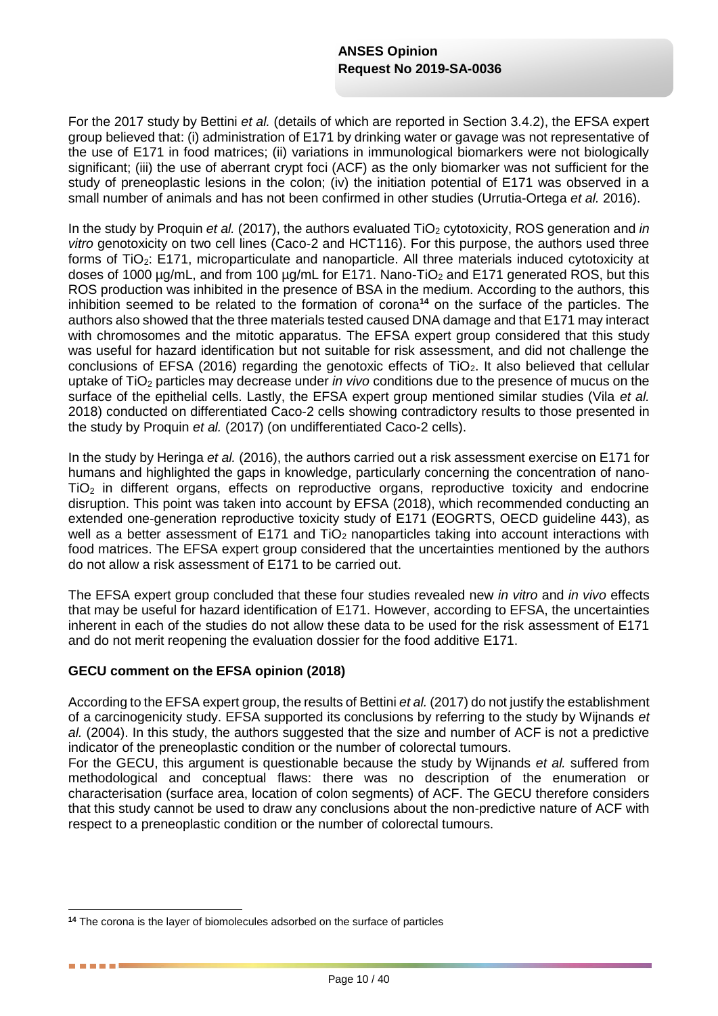For the 2017 study by Bettini *et al.* (details of which are reported in Section 3.4.2), the EFSA expert group believed that: (i) administration of E171 by drinking water or gavage was not representative of the use of E171 in food matrices; (ii) variations in immunological biomarkers were not biologically significant; (iii) the use of aberrant crypt foci (ACF) as the only biomarker was not sufficient for the study of preneoplastic lesions in the colon; (iv) the initiation potential of E171 was observed in a small number of animals and has not been confirmed in other studies (Urrutia-Ortega *et al.* 2016).

In the study by Proquin *et al.* (2017), the authors evaluated TiO<sub>2</sub> cytotoxicity, ROS generation and *in vitro* genotoxicity on two cell lines (Caco-2 and HCT116). For this purpose, the authors used three forms of TiO<sub>2</sub>: E171, microparticulate and nanoparticle. All three materials induced cytotoxicity at doses of 1000  $\mu q/mL$ , and from 100  $\mu q/mL$  for E171. Nano-TiO<sub>2</sub> and E171 generated ROS, but this ROS production was inhibited in the presence of BSA in the medium. According to the authors, this inhibition seemed to be related to the formation of corona**<sup>14</sup>** on the surface of the particles. The authors also showed that the three materials tested caused DNA damage and that E171 may interact with chromosomes and the mitotic apparatus. The EFSA expert group considered that this study was useful for hazard identification but not suitable for risk assessment, and did not challenge the conclusions of EFSA (2016) regarding the genotoxic effects of TiO<sub>2</sub>. It also believed that cellular uptake of TiO<sub>2</sub> particles may decrease under *in vivo* conditions due to the presence of mucus on the surface of the epithelial cells. Lastly, the EFSA expert group mentioned similar studies (Vila *et al.* 2018) conducted on differentiated Caco-2 cells showing contradictory results to those presented in the study by Proquin *et al.* (2017) (on undifferentiated Caco-2 cells).

In the study by Heringa *et al.* (2016), the authors carried out a risk assessment exercise on E171 for humans and highlighted the gaps in knowledge, particularly concerning the concentration of nano- $TiO<sub>2</sub>$  in different organs, effects on reproductive organs, reproductive toxicity and endocrine disruption. This point was taken into account by EFSA (2018), which recommended conducting an extended one-generation reproductive toxicity study of E171 (EOGRTS, OECD guideline 443), as well as a better assessment of E171 and  $TiO<sub>2</sub>$  nanoparticles taking into account interactions with food matrices. The EFSA expert group considered that the uncertainties mentioned by the authors do not allow a risk assessment of E171 to be carried out.

The EFSA expert group concluded that these four studies revealed new *in vitro* and *in vivo* effects that may be useful for hazard identification of E171. However, according to EFSA, the uncertainties inherent in each of the studies do not allow these data to be used for the risk assessment of E171 and do not merit reopening the evaluation dossier for the food additive E171.

#### **GECU comment on the EFSA opinion (2018)**

1

. . . . .

According to the EFSA expert group, the results of Bettini *et al.* (2017) do not justify the establishment of a carcinogenicity study. EFSA supported its conclusions by referring to the study by Wijnands *et al.* (2004). In this study, the authors suggested that the size and number of ACF is not a predictive indicator of the preneoplastic condition or the number of colorectal tumours.

For the GECU, this argument is questionable because the study by Wijnands *et al.* suffered from methodological and conceptual flaws: there was no description of the enumeration or characterisation (surface area, location of colon segments) of ACF. The GECU therefore considers that this study cannot be used to draw any conclusions about the non-predictive nature of ACF with respect to a preneoplastic condition or the number of colorectal tumours.

**<sup>14</sup>** The corona is the layer of biomolecules adsorbed on the surface of particles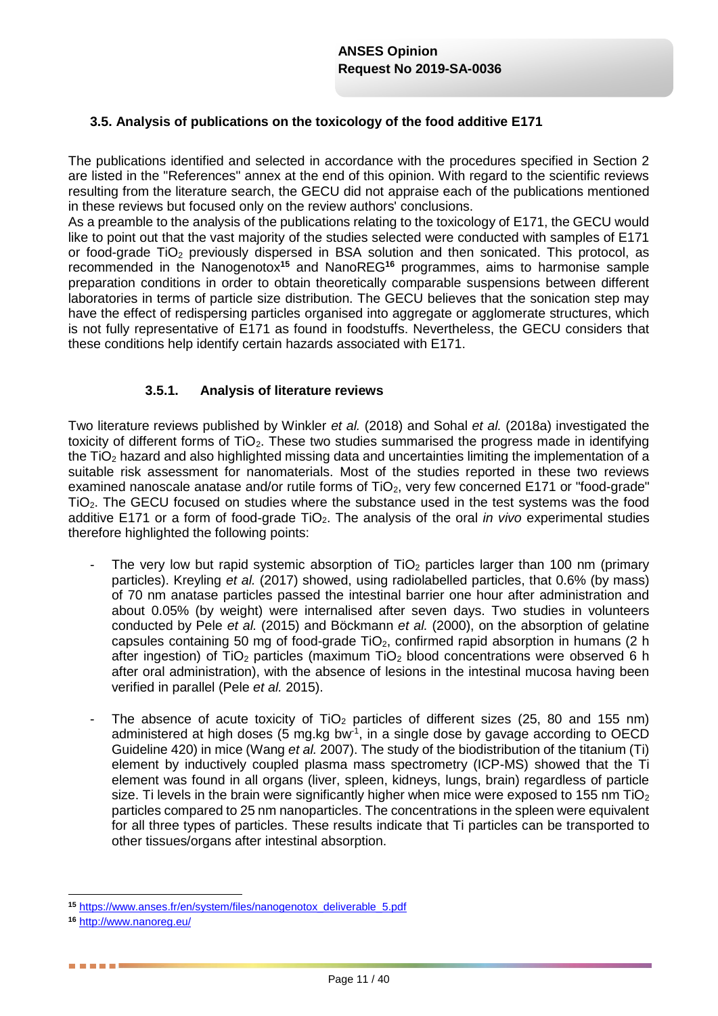# **3.5. Analysis of publications on the toxicology of the food additive E171**

The publications identified and selected in accordance with the procedures specified in Section 2 are listed in the "References" annex at the end of this opinion. With regard to the scientific reviews resulting from the literature search, the GECU did not appraise each of the publications mentioned in these reviews but focused only on the review authors' conclusions.

As a preamble to the analysis of the publications relating to the toxicology of E171, the GECU would like to point out that the vast majority of the studies selected were conducted with samples of E171 or food-grade TiO<sub>2</sub> previously dispersed in BSA solution and then sonicated. This protocol, as recommended in the Nanogenotox**<sup>15</sup>** and NanoREG**<sup>16</sup>** programmes, aims to harmonise sample preparation conditions in order to obtain theoretically comparable suspensions between different laboratories in terms of particle size distribution. The GECU believes that the sonication step may have the effect of redispersing particles organised into aggregate or agglomerate structures, which is not fully representative of E171 as found in foodstuffs. Nevertheless, the GECU considers that these conditions help identify certain hazards associated with E171.

### **3.5.1. Analysis of literature reviews**

Two literature reviews published by Winkler *et al.* (2018) and Sohal *et al.* (2018a) investigated the toxicity of different forms of TiO<sub>2</sub>. These two studies summarised the progress made in identifying the TiO<sub>2</sub> hazard and also highlighted missing data and uncertainties limiting the implementation of a suitable risk assessment for nanomaterials. Most of the studies reported in these two reviews examined nanoscale anatase and/or rutile forms of TiO<sub>2</sub>, very few concerned E171 or "food-grade" TiO2. The GECU focused on studies where the substance used in the test systems was the food additive E171 or a form of food-grade TiO<sub>2</sub>. The analysis of the oral *in vivo* experimental studies therefore highlighted the following points:

- The very low but rapid systemic absorption of TiO<sub>2</sub> particles larger than 100 nm (primary particles). Kreyling *et al.* (2017) showed, using radiolabelled particles, that 0.6% (by mass) of 70 nm anatase particles passed the intestinal barrier one hour after administration and about 0.05% (by weight) were internalised after seven days. Two studies in volunteers conducted by Pele *et al.* (2015) and Böckmann *et al.* (2000), on the absorption of gelatine capsules containing 50 mg of food-grade TiO<sub>2</sub>, confirmed rapid absorption in humans (2 h after ingestion) of  $TiO<sub>2</sub>$  particles (maximum  $TiO<sub>2</sub>$  blood concentrations were observed 6 h after oral administration), with the absence of lesions in the intestinal mucosa having been verified in parallel (Pele *et al.* 2015).
- The absence of acute toxicity of  $TiO<sub>2</sub>$  particles of different sizes (25, 80 and 155 nm) administered at high doses (5 mg.kg bw $<sup>1</sup>$ , in a single dose by gavage according to OECD</sup> Guideline 420) in mice (Wang *et al.* 2007). The study of the biodistribution of the titanium (Ti) element by inductively coupled plasma mass spectrometry (ICP-MS) showed that the Ti element was found in all organs (liver, spleen, kidneys, lungs, brain) regardless of particle size. Ti levels in the brain were significantly higher when mice were exposed to 155 nm TiO<sub>2</sub> particles compared to 25 nm nanoparticles. The concentrations in the spleen were equivalent for all three types of particles. These results indicate that Ti particles can be transported to other tissues/organs after intestinal absorption.

. . . . .

<sup>1</sup> **<sup>15</sup>** [https://www.anses.fr/en/system/files/nanogenotox\\_deliverable\\_5.pdf](https://www.anses.fr/en/system/files/nanogenotox_deliverable_5.pdf)

**<sup>16</sup>** <http://www.nanoreg.eu/>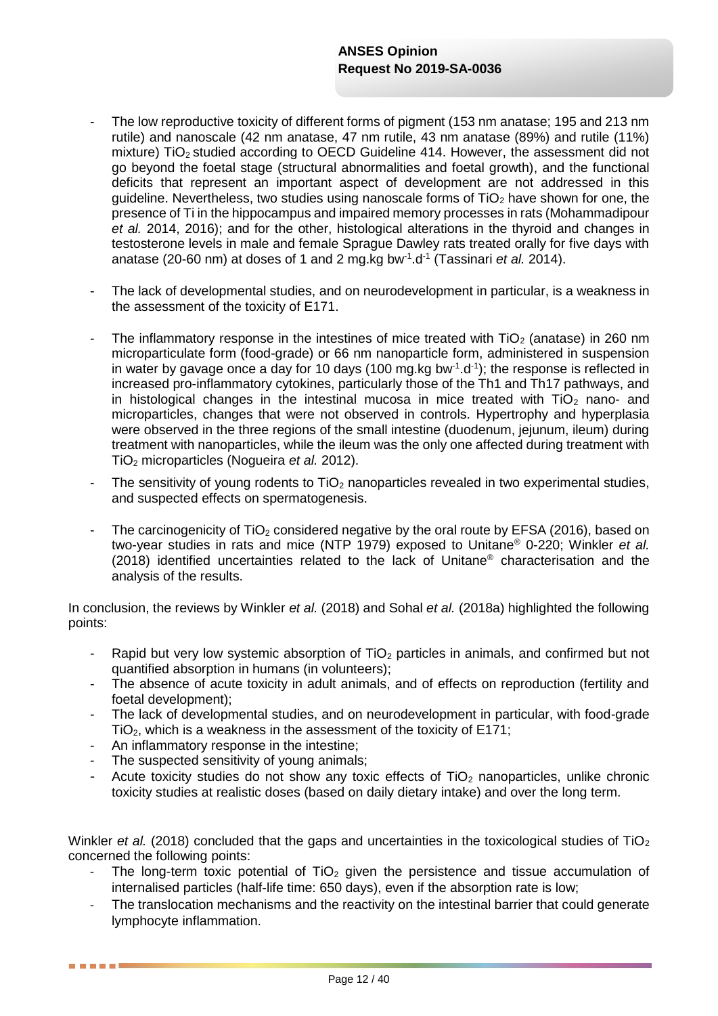- The low reproductive toxicity of different forms of pigment (153 nm anatase; 195 and 213 nm rutile) and nanoscale (42 nm anatase, 47 nm rutile, 43 nm anatase (89%) and rutile (11%) mixture) TiO<sup>2</sup> studied according to OECD Guideline 414. However, the assessment did not go beyond the foetal stage (structural abnormalities and foetal growth), and the functional deficits that represent an important aspect of development are not addressed in this quideline. Nevertheless, two studies using nanoscale forms of  $TiO<sub>2</sub>$  have shown for one, the presence of Ti in the hippocampus and impaired memory processes in rats (Mohammadipour *et al.* 2014, 2016); and for the other, histological alterations in the thyroid and changes in testosterone levels in male and female Sprague Dawley rats treated orally for five days with anatase (20-60 nm) at doses of 1 and 2 mg.kg bw<sup>-1</sup>.d<sup>-1</sup> (Tassinari *et al.* 2014).
- The lack of developmental studies, and on neurodevelopment in particular, is a weakness in the assessment of the toxicity of E171.
- The inflammatory response in the intestines of mice treated with  $TiO<sub>2</sub>$  (anatase) in 260 nm microparticulate form (food-grade) or 66 nm nanoparticle form, administered in suspension in water by gavage once a day for 10 days (100 mg.kg bw<sup>-1</sup>.d<sup>-1</sup>); the response is reflected in increased pro-inflammatory cytokines, particularly those of the Th1 and Th17 pathways, and in histological changes in the intestinal mucosa in mice treated with  $TiO<sub>2</sub>$  nano- and microparticles, changes that were not observed in controls. Hypertrophy and hyperplasia were observed in the three regions of the small intestine (duodenum, jejunum, ileum) during treatment with nanoparticles, while the ileum was the only one affected during treatment with TiO<sup>2</sup> microparticles (Nogueira *et al.* 2012).
- The sensitivity of young rodents to  $TiO<sub>2</sub>$  nanoparticles revealed in two experimental studies, and suspected effects on spermatogenesis.
- The carcinogenicity of  $TiO<sub>2</sub>$  considered negative by the oral route by EFSA (2016), based on two-year studies in rats and mice (NTP 1979) exposed to Unitane® 0-220; Winkler *et al.* (2018) identified uncertainties related to the lack of Unitane® characterisation and the analysis of the results.

In conclusion, the reviews by Winkler *et al.* (2018) and Sohal *et al.* (2018a) highlighted the following points:

- Rapid but very low systemic absorption of  $TiO<sub>2</sub>$  particles in animals, and confirmed but not quantified absorption in humans (in volunteers);
- The absence of acute toxicity in adult animals, and of effects on reproduction (fertility and foetal development);
- The lack of developmental studies, and on neurodevelopment in particular, with food-grade TiO2, which is a weakness in the assessment of the toxicity of E171;
- An inflammatory response in the intestine;

. . . . . .

- The suspected sensitivity of young animals;
- Acute toxicity studies do not show any toxic effects of  $TiO<sub>2</sub>$  nanoparticles, unlike chronic toxicity studies at realistic doses (based on daily dietary intake) and over the long term.

Winkler *et al.* (2018) concluded that the gaps and uncertainties in the toxicological studies of TiO<sub>2</sub> concerned the following points:

- The long-term toxic potential of  $TiO<sub>2</sub>$  given the persistence and tissue accumulation of internalised particles (half-life time: 650 days), even if the absorption rate is low;
- The translocation mechanisms and the reactivity on the intestinal barrier that could generate lymphocyte inflammation.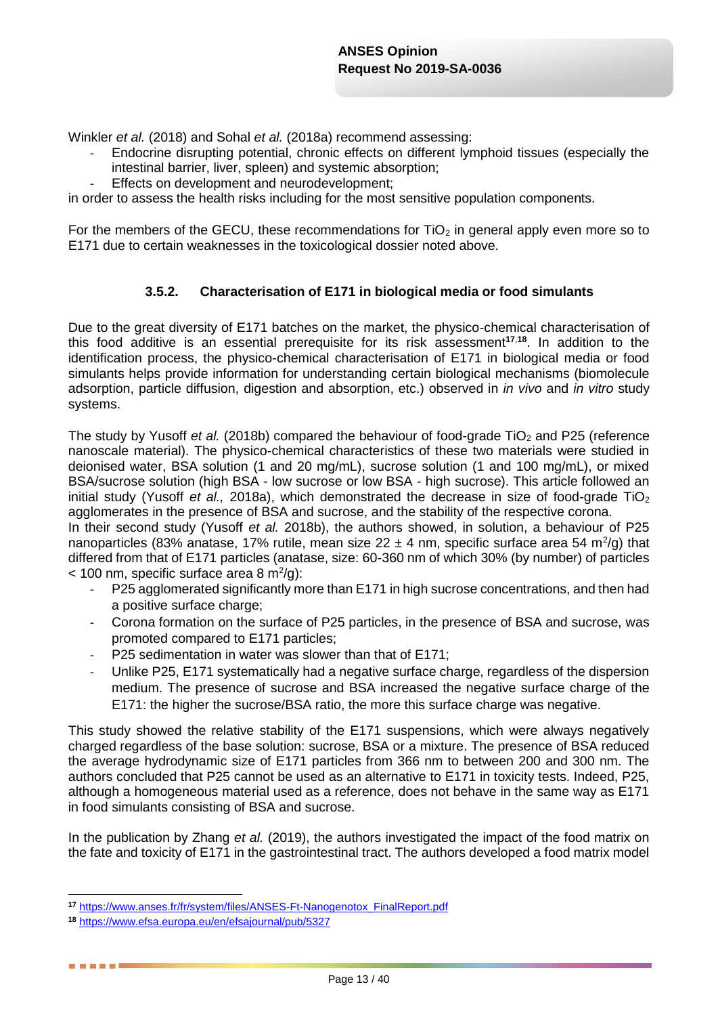Winkler *et al.* (2018) and Sohal *et al.* (2018a) recommend assessing:

- Endocrine disrupting potential, chronic effects on different lymphoid tissues (especially the intestinal barrier, liver, spleen) and systemic absorption;
- Effects on development and neurodevelopment:

in order to assess the health risks including for the most sensitive population components.

For the members of the GECU, these recommendations for  $TiO<sub>2</sub>$  in general apply even more so to E171 due to certain weaknesses in the toxicological dossier noted above.

#### **3.5.2. Characterisation of E171 in biological media or food simulants**

Due to the great diversity of E171 batches on the market, the physico-chemical characterisation of this food additive is an essential prerequisite for its risk assessment**<sup>17</sup>**,**<sup>18</sup>**. In addition to the identification process, the physico-chemical characterisation of E171 in biological media or food simulants helps provide information for understanding certain biological mechanisms (biomolecule adsorption, particle diffusion, digestion and absorption, etc.) observed in *in vivo* and *in vitro* study systems.

The study by Yusoff *et al.* (2018b) compared the behaviour of food-grade TiO<sub>2</sub> and P25 (reference nanoscale material). The physico-chemical characteristics of these two materials were studied in deionised water, BSA solution (1 and 20 mg/mL), sucrose solution (1 and 100 mg/mL), or mixed BSA/sucrose solution (high BSA - low sucrose or low BSA - high sucrose). This article followed an initial study (Yusoff *et al.*, 2018a), which demonstrated the decrease in size of food-grade TiO<sub>2</sub> agglomerates in the presence of BSA and sucrose, and the stability of the respective corona.

In their second study (Yusoff *et al.* 2018b), the authors showed, in solution, a behaviour of P25 nanoparticles (83% anatase, 17% rutile, mean size 22  $\pm$  4 nm, specific surface area 54 m<sup>2</sup>/g) that differed from that of E171 particles (anatase, size: 60-360 nm of which 30% (by number) of particles  $<$  100 nm, specific surface area 8 m<sup>2</sup>/g):

- P25 agglomerated significantly more than E171 in high sucrose concentrations, and then had a positive surface charge;
- Corona formation on the surface of P25 particles, in the presence of BSA and sucrose, was promoted compared to E171 particles;
- P25 sedimentation in water was slower than that of E171;
- Unlike P25, E171 systematically had a negative surface charge, regardless of the dispersion medium. The presence of sucrose and BSA increased the negative surface charge of the E171: the higher the sucrose/BSA ratio, the more this surface charge was negative.

This study showed the relative stability of the E171 suspensions, which were always negatively charged regardless of the base solution: sucrose, BSA or a mixture. The presence of BSA reduced the average hydrodynamic size of E171 particles from 366 nm to between 200 and 300 nm. The authors concluded that P25 cannot be used as an alternative to E171 in toxicity tests. Indeed, P25, although a homogeneous material used as a reference, does not behave in the same way as E171 in food simulants consisting of BSA and sucrose.

In the publication by Zhang *et al.* (2019), the authors investigated the impact of the food matrix on the fate and toxicity of E171 in the gastrointestinal tract. The authors developed a food matrix model

<sup>1</sup> **<sup>17</sup>** [https://www.anses.fr/fr/system/files/ANSES-Ft-Nanogenotox\\_FinalReport.pdf](https://www.anses.fr/fr/system/files/ANSES-Ft-Nanogenotox_FinalReport.pdf)

**<sup>18</sup>** <https://www.efsa.europa.eu/en/efsajournal/pub/5327>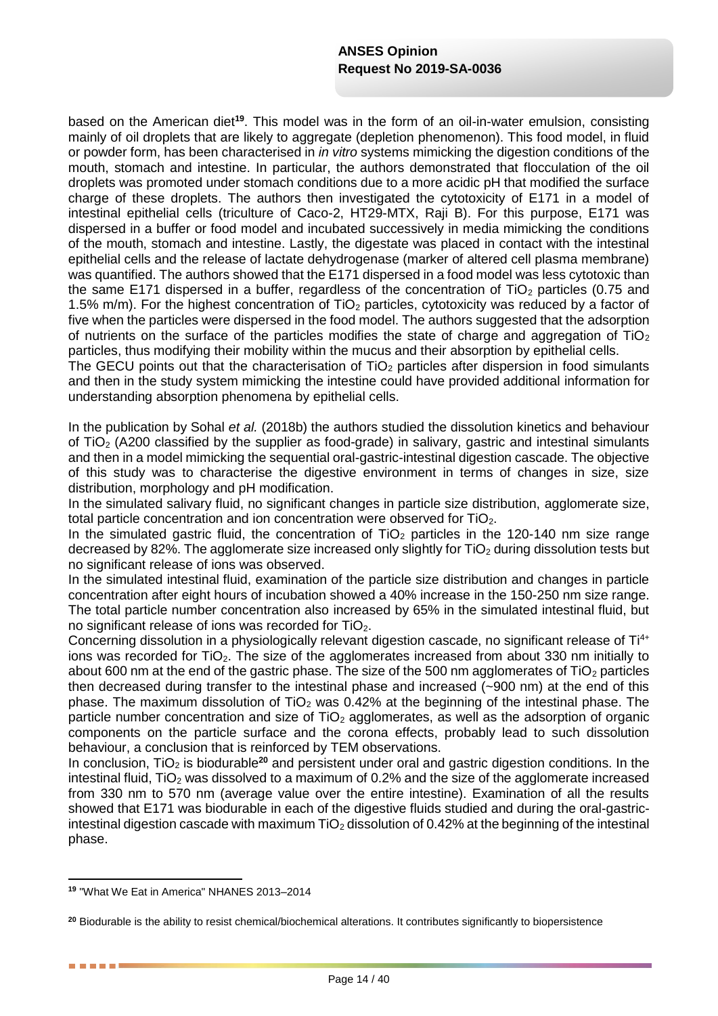based on the American diet**<sup>19</sup>**. This model was in the form of an oil-in-water emulsion, consisting mainly of oil droplets that are likely to aggregate (depletion phenomenon). This food model, in fluid or powder form, has been characterised in *in vitro* systems mimicking the digestion conditions of the mouth, stomach and intestine. In particular, the authors demonstrated that flocculation of the oil droplets was promoted under stomach conditions due to a more acidic pH that modified the surface charge of these droplets. The authors then investigated the cytotoxicity of E171 in a model of intestinal epithelial cells (triculture of Caco-2, HT29-MTX, Raji B). For this purpose, E171 was dispersed in a buffer or food model and incubated successively in media mimicking the conditions of the mouth, stomach and intestine. Lastly, the digestate was placed in contact with the intestinal epithelial cells and the release of lactate dehydrogenase (marker of altered cell plasma membrane) was quantified. The authors showed that the E171 dispersed in a food model was less cytotoxic than the same E171 dispersed in a buffer, regardless of the concentration of  $TiO<sub>2</sub>$  particles (0.75 and 1.5% m/m). For the highest concentration of TiO<sub>2</sub> particles, cytotoxicity was reduced by a factor of five when the particles were dispersed in the food model. The authors suggested that the adsorption of nutrients on the surface of the particles modifies the state of charge and aggregation of  $TiO<sub>2</sub>$ particles, thus modifying their mobility within the mucus and their absorption by epithelial cells.

The GECU points out that the characterisation of  $TiO<sub>2</sub>$  particles after dispersion in food simulants and then in the study system mimicking the intestine could have provided additional information for understanding absorption phenomena by epithelial cells.

In the publication by Sohal *et al.* (2018b) the authors studied the dissolution kinetics and behaviour of TiO<sub>2</sub> (A200 classified by the supplier as food-grade) in salivary, gastric and intestinal simulants and then in a model mimicking the sequential oral-gastric-intestinal digestion cascade. The objective of this study was to characterise the digestive environment in terms of changes in size, size distribution, morphology and pH modification.

In the simulated salivary fluid, no significant changes in particle size distribution, agglomerate size, total particle concentration and ion concentration were observed for TiO2.

In the simulated gastric fluid, the concentration of  $TiO<sub>2</sub>$  particles in the 120-140 nm size range decreased by 82%. The agglomerate size increased only slightly for TiO<sub>2</sub> during dissolution tests but no significant release of ions was observed.

In the simulated intestinal fluid, examination of the particle size distribution and changes in particle concentration after eight hours of incubation showed a 40% increase in the 150-250 nm size range. The total particle number concentration also increased by 65% in the simulated intestinal fluid, but no significant release of ions was recorded for TiO<sub>2</sub>.

Concerning dissolution in a physiologically relevant digestion cascade, no significant release of Ti<sup>4+</sup> ions was recorded for  $TiO<sub>2</sub>$ . The size of the agglomerates increased from about 330 nm initially to about 600 nm at the end of the gastric phase. The size of the 500 nm agglomerates of  $TiO<sub>2</sub>$  particles then decreased during transfer to the intestinal phase and increased (~900 nm) at the end of this phase. The maximum dissolution of  $TiO<sub>2</sub>$  was 0.42% at the beginning of the intestinal phase. The particle number concentration and size of  $TiO<sub>2</sub>$  agglomerates, as well as the adsorption of organic components on the particle surface and the corona effects, probably lead to such dissolution behaviour, a conclusion that is reinforced by TEM observations.

In conclusion, TiO<sub>2</sub> is biodurable<sup>20</sup> and persistent under oral and gastric digestion conditions. In the intestinal fluid. TiO<sub>2</sub> was dissolved to a maximum of 0.2% and the size of the agglomerate increased from 330 nm to 570 nm (average value over the entire intestine). Examination of all the results showed that E171 was biodurable in each of the digestive fluids studied and during the oral-gastricintestinal digestion cascade with maximum  $TiO<sub>2</sub>$  dissolution of 0.42% at the beginning of the intestinal phase.

1

. . . . .

**<sup>19</sup>** "What We Eat in America" NHANES 2013–2014

**<sup>20</sup>** Biodurable is the ability to resist chemical/biochemical alterations. It contributes significantly to biopersistence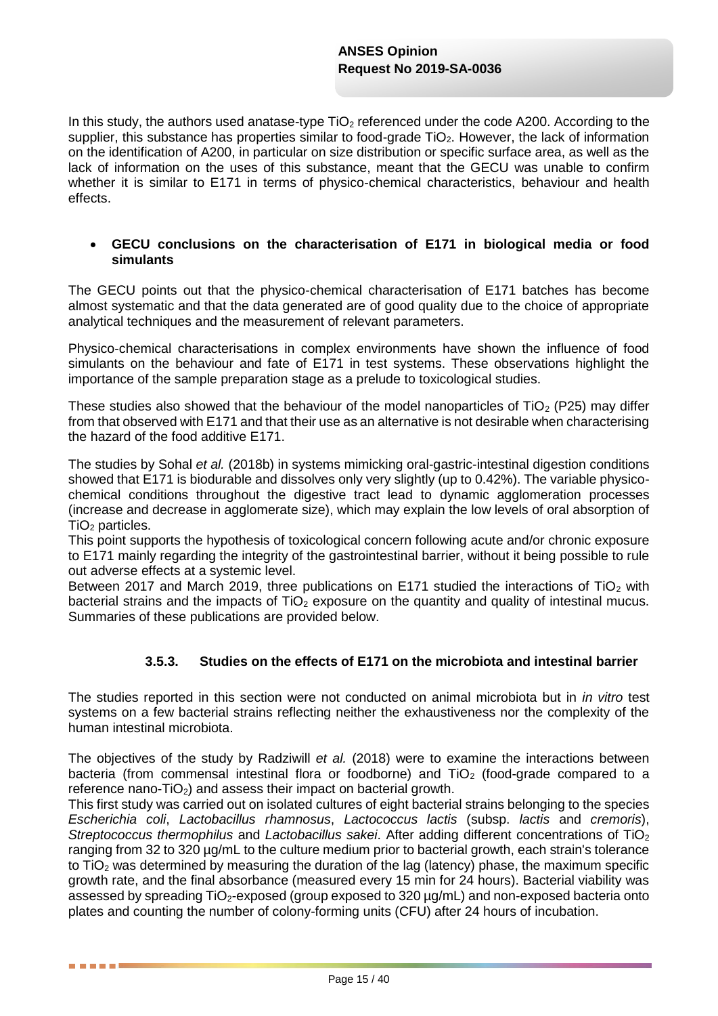In this study, the authors used anatase-type  $TiO<sub>2</sub>$  referenced under the code A200. According to the supplier, this substance has properties similar to food-grade  $TiO<sub>2</sub>$ . However, the lack of information on the identification of A200, in particular on size distribution or specific surface area, as well as the lack of information on the uses of this substance, meant that the GECU was unable to confirm whether it is similar to E171 in terms of physico-chemical characteristics, behaviour and health effects.

#### **GECU conclusions on the characterisation of E171 in biological media or food simulants**

The GECU points out that the physico-chemical characterisation of E171 batches has become almost systematic and that the data generated are of good quality due to the choice of appropriate analytical techniques and the measurement of relevant parameters.

Physico-chemical characterisations in complex environments have shown the influence of food simulants on the behaviour and fate of E171 in test systems. These observations highlight the importance of the sample preparation stage as a prelude to toxicological studies.

These studies also showed that the behaviour of the model nanoparticles of  $TiO<sub>2</sub>$  (P25) may differ from that observed with E171 and that their use as an alternative is not desirable when characterising the hazard of the food additive E171.

The studies by Sohal *et al.* (2018b) in systems mimicking oral-gastric-intestinal digestion conditions showed that E171 is biodurable and dissolves only very slightly (up to 0.42%). The variable physicochemical conditions throughout the digestive tract lead to dynamic agglomeration processes (increase and decrease in agglomerate size), which may explain the low levels of oral absorption of  $TiO<sub>2</sub>$  particles.

This point supports the hypothesis of toxicological concern following acute and/or chronic exposure to E171 mainly regarding the integrity of the gastrointestinal barrier, without it being possible to rule out adverse effects at a systemic level.

Between 2017 and March 2019, three publications on E171 studied the interactions of TiO<sub>2</sub> with bacterial strains and the impacts of  $TiO<sub>2</sub>$  exposure on the quantity and quality of intestinal mucus. Summaries of these publications are provided below.

#### **3.5.3. Studies on the effects of E171 on the microbiota and intestinal barrier**

The studies reported in this section were not conducted on animal microbiota but in *in vitro* test systems on a few bacterial strains reflecting neither the exhaustiveness nor the complexity of the human intestinal microbiota.

The objectives of the study by Radziwill *et al.* (2018) were to examine the interactions between bacteria (from commensal intestinal flora or foodborne) and  $TiO<sub>2</sub>$  (food-grade compared to a reference nano- $TiO<sub>2</sub>$ ) and assess their impact on bacterial growth.

This first study was carried out on isolated cultures of eight bacterial strains belonging to the species *Escherichia coli*, *Lactobacillus rhamnosus*, *Lactococcus lactis* (subsp. *lactis* and *cremoris*), *Streptococcus thermophilus* and *Lactobacillus sakei*. After adding different concentrations of TiO<sup>2</sup> ranging from 32 to 320 µg/mL to the culture medium prior to bacterial growth, each strain's tolerance to TiO<sub>2</sub> was determined by measuring the duration of the lag (latency) phase, the maximum specific growth rate, and the final absorbance (measured every 15 min for 24 hours). Bacterial viability was assessed by spreading  $TiO<sub>2</sub>$ -exposed (group exposed to 320  $\mu$ g/mL) and non-exposed bacteria onto plates and counting the number of colony-forming units (CFU) after 24 hours of incubation.

. . . .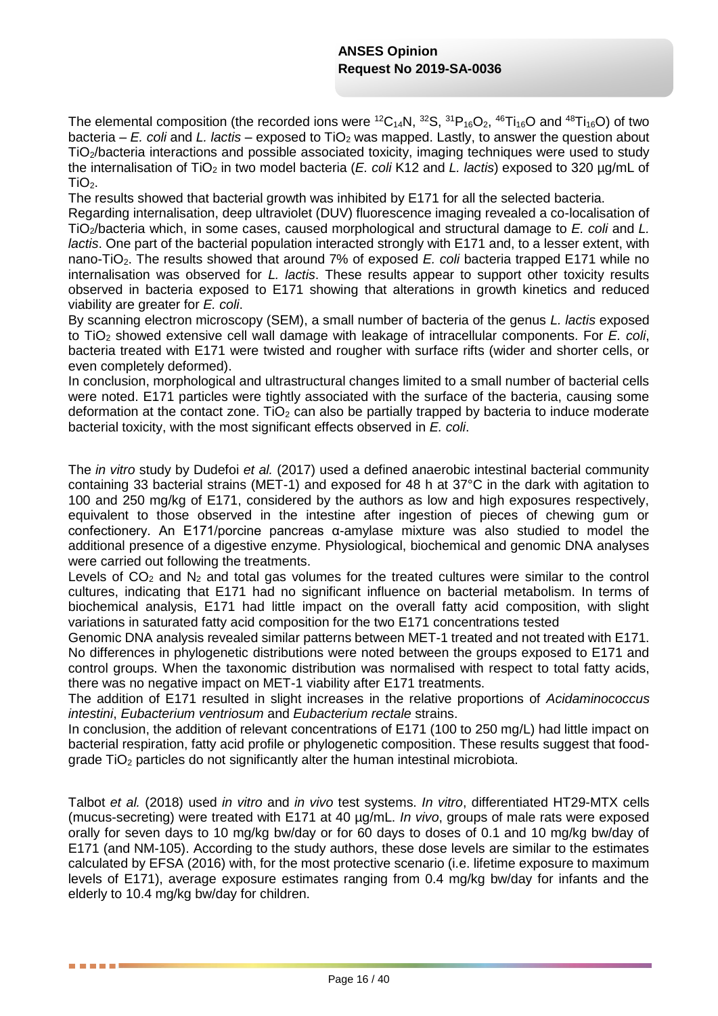The elemental composition (the recorded ions were  ${}^{12}C_{14}N$ ,  ${}^{32}S$ ,  ${}^{31}P_{16}O_2$ ,  ${}^{46}Ti_{16}O$  and  ${}^{48}Ti_{16}O$ ) of two bacteria – *E. coli* and *L. lactis* – exposed to TiO<sub>2</sub> was mapped. Lastly, to answer the question about TiO2/bacteria interactions and possible associated toxicity, imaging techniques were used to study the internalisation of TiO<sup>2</sup> in two model bacteria (*E. coli* K12 and *L. lactis*) exposed to 320 µg/mL of  $TiO<sub>2</sub>$ .

The results showed that bacterial growth was inhibited by E171 for all the selected bacteria.

Regarding internalisation, deep ultraviolet (DUV) fluorescence imaging revealed a co-localisation of TiO2/bacteria which, in some cases, caused morphological and structural damage to *E. coli* and *L. lactis*. One part of the bacterial population interacted strongly with E171 and, to a lesser extent, with nano-TiO2. The results showed that around 7% of exposed *E. coli* bacteria trapped E171 while no internalisation was observed for *L. lactis*. These results appear to support other toxicity results observed in bacteria exposed to E171 showing that alterations in growth kinetics and reduced viability are greater for *E. coli*.

By scanning electron microscopy (SEM), a small number of bacteria of the genus *L. lactis* exposed to TiO<sup>2</sup> showed extensive cell wall damage with leakage of intracellular components. For *E. coli*, bacteria treated with E171 were twisted and rougher with surface rifts (wider and shorter cells, or even completely deformed).

In conclusion, morphological and ultrastructural changes limited to a small number of bacterial cells were noted. E171 particles were tightly associated with the surface of the bacteria, causing some deformation at the contact zone. TiO<sub>2</sub> can also be partially trapped by bacteria to induce moderate bacterial toxicity, with the most significant effects observed in *E. coli*.

The *in vitro* study by Dudefoi *et al.* (2017) used a defined anaerobic intestinal bacterial community containing 33 bacterial strains (MET-1) and exposed for 48 h at 37°C in the dark with agitation to 100 and 250 mg/kg of E171, considered by the authors as low and high exposures respectively, equivalent to those observed in the intestine after ingestion of pieces of chewing gum or confectionery. An E171/porcine pancreas α-amylase mixture was also studied to model the additional presence of a digestive enzyme. Physiological, biochemical and genomic DNA analyses were carried out following the treatments.

Levels of  $CO<sub>2</sub>$  and N<sub>2</sub> and total gas volumes for the treated cultures were similar to the control cultures, indicating that E171 had no significant influence on bacterial metabolism. In terms of biochemical analysis, E171 had little impact on the overall fatty acid composition, with slight variations in saturated fatty acid composition for the two E171 concentrations tested

Genomic DNA analysis revealed similar patterns between MET-1 treated and not treated with E171. No differences in phylogenetic distributions were noted between the groups exposed to E171 and control groups. When the taxonomic distribution was normalised with respect to total fatty acids, there was no negative impact on MET-1 viability after E171 treatments.

The addition of E171 resulted in slight increases in the relative proportions of *Acidaminococcus intestini*, *Eubacterium ventriosum* and *Eubacterium rectale* strains.

In conclusion, the addition of relevant concentrations of E171 (100 to 250 mg/L) had little impact on bacterial respiration, fatty acid profile or phylogenetic composition. These results suggest that foodgrade  $TiO<sub>2</sub>$  particles do not significantly alter the human intestinal microbiota.

Talbot *et al.* (2018) used *in vitro* and *in vivo* test systems. *In vitro*, differentiated HT29-MTX cells (mucus-secreting) were treated with E171 at 40 µg/mL. *In vivo*, groups of male rats were exposed orally for seven days to 10 mg/kg bw/day or for 60 days to doses of 0.1 and 10 mg/kg bw/day of E171 (and NM-105). According to the study authors, these dose levels are similar to the estimates calculated by EFSA (2016) with, for the most protective scenario (i.e. lifetime exposure to maximum levels of E171), average exposure estimates ranging from 0.4 mg/kg bw/day for infants and the elderly to 10.4 mg/kg bw/day for children.

-----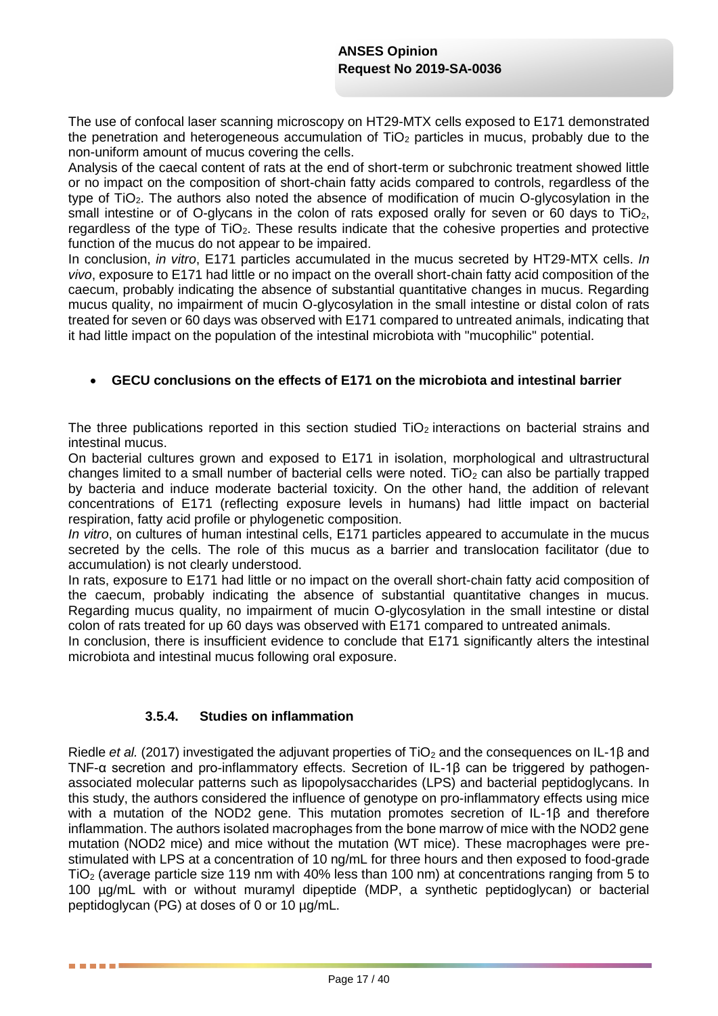The use of confocal laser scanning microscopy on HT29-MTX cells exposed to E171 demonstrated the penetration and heterogeneous accumulation of  $TiO<sub>2</sub>$  particles in mucus, probably due to the non-uniform amount of mucus covering the cells.

Analysis of the caecal content of rats at the end of short-term or subchronic treatment showed little or no impact on the composition of short-chain fatty acids compared to controls, regardless of the type of TiO2. The authors also noted the absence of modification of mucin O-glycosylation in the small intestine or of O-glycans in the colon of rats exposed orally for seven or 60 days to TiO<sub>2</sub>, regardless of the type of  $TiO<sub>2</sub>$ . These results indicate that the cohesive properties and protective function of the mucus do not appear to be impaired.

In conclusion, *in vitro*, E171 particles accumulated in the mucus secreted by HT29-MTX cells. *In vivo*, exposure to E171 had little or no impact on the overall short-chain fatty acid composition of the caecum, probably indicating the absence of substantial quantitative changes in mucus. Regarding mucus quality, no impairment of mucin O-glycosylation in the small intestine or distal colon of rats treated for seven or 60 days was observed with E171 compared to untreated animals, indicating that it had little impact on the population of the intestinal microbiota with "mucophilic" potential.

### **GECU conclusions on the effects of E171 on the microbiota and intestinal barrier**

The three publications reported in this section studied  $TiO<sub>2</sub>$  interactions on bacterial strains and intestinal mucus.

On bacterial cultures grown and exposed to E171 in isolation, morphological and ultrastructural changes limited to a small number of bacterial cells were noted. TiO<sub>2</sub> can also be partially trapped by bacteria and induce moderate bacterial toxicity. On the other hand, the addition of relevant concentrations of E171 (reflecting exposure levels in humans) had little impact on bacterial respiration, fatty acid profile or phylogenetic composition.

*In vitro*, on cultures of human intestinal cells, E171 particles appeared to accumulate in the mucus secreted by the cells. The role of this mucus as a barrier and translocation facilitator (due to accumulation) is not clearly understood.

In rats, exposure to E171 had little or no impact on the overall short-chain fatty acid composition of the caecum, probably indicating the absence of substantial quantitative changes in mucus. Regarding mucus quality, no impairment of mucin O-glycosylation in the small intestine or distal colon of rats treated for up 60 days was observed with E171 compared to untreated animals.

In conclusion, there is insufficient evidence to conclude that E171 significantly alters the intestinal microbiota and intestinal mucus following oral exposure.

# **3.5.4. Studies on inflammation**

. . . . .

Riedle *et al.* (2017) investigated the adjuvant properties of TiO<sub>2</sub> and the consequences on IL-1β and TNF-α secretion and pro-inflammatory effects. Secretion of IL-1β can be triggered by pathogenassociated molecular patterns such as lipopolysaccharides (LPS) and bacterial peptidoglycans. In this study, the authors considered the influence of genotype on pro-inflammatory effects using mice with a mutation of the NOD2 gene. This mutation promotes secretion of IL-1β and therefore inflammation. The authors isolated macrophages from the bone marrow of mice with the NOD2 gene mutation (NOD2 mice) and mice without the mutation (WT mice). These macrophages were prestimulated with LPS at a concentration of 10 ng/mL for three hours and then exposed to food-grade  $TiO<sub>2</sub>$  (average particle size 119 nm with 40% less than 100 nm) at concentrations ranging from 5 to 100 µg/mL with or without muramyl dipeptide (MDP, a synthetic peptidoglycan) or bacterial peptidoglycan (PG) at doses of 0 or 10 µg/mL.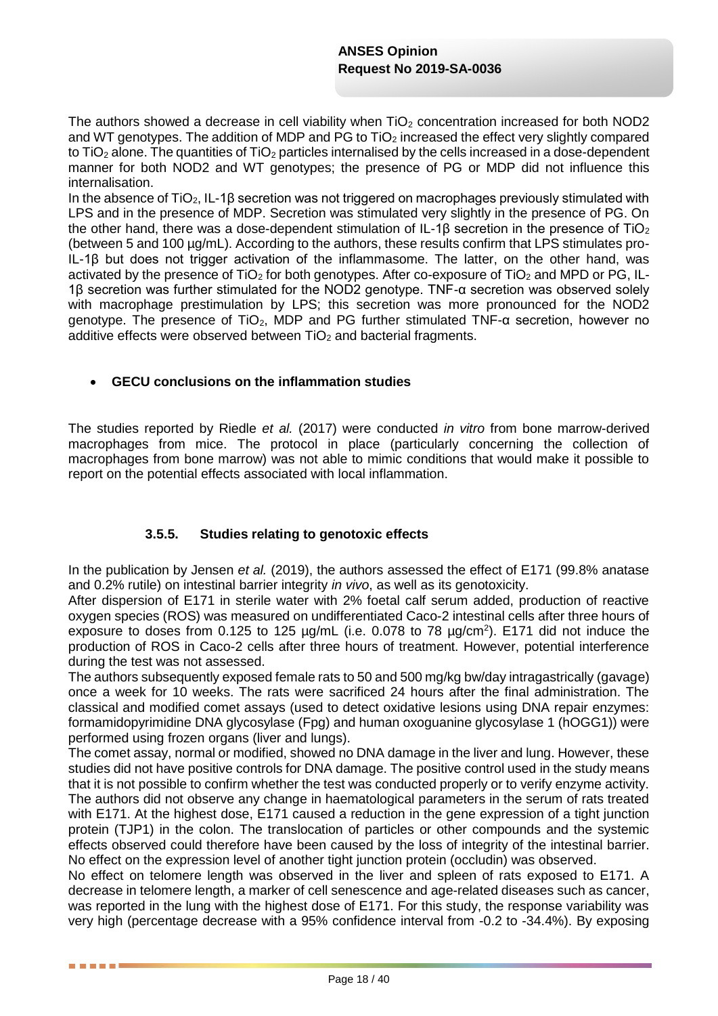The authors showed a decrease in cell viability when  $TiO<sub>2</sub>$  concentration increased for both NOD2 and WT genotypes. The addition of MDP and PG to  $TiO<sub>2</sub>$  increased the effect very slightly compared to TiO<sub>2</sub> alone. The quantities of TiO<sub>2</sub> particles internalised by the cells increased in a dose-dependent manner for both NOD2 and WT genotypes; the presence of PG or MDP did not influence this internalisation.

In the absence of  $TiO<sub>2</sub>$ , IL-1 $\beta$  secretion was not triggered on macrophages previously stimulated with LPS and in the presence of MDP. Secretion was stimulated very slightly in the presence of PG. On the other hand, there was a dose-dependent stimulation of IL-1β secretion in the presence of TiO<sub>2</sub> (between 5 and 100 µg/mL). According to the authors, these results confirm that LPS stimulates pro-IL-1β but does not trigger activation of the inflammasome. The latter, on the other hand, was activated by the presence of  $TiO<sub>2</sub>$  for both genotypes. After co-exposure of  $TiO<sub>2</sub>$  and MPD or PG, IL-1β secretion was further stimulated for the NOD2 genotype. TNF-α secretion was observed solely with macrophage prestimulation by LPS; this secretion was more pronounced for the NOD2 genotype. The presence of TiO<sub>2</sub>, MDP and PG further stimulated TNF- $\alpha$  secretion, however no additive effects were observed between  $TiO<sub>2</sub>$  and bacterial fragments.

#### **GECU conclusions on the inflammation studies**

The studies reported by Riedle *et al.* (2017) were conducted *in vitro* from bone marrow-derived macrophages from mice. The protocol in place (particularly concerning the collection of macrophages from bone marrow) was not able to mimic conditions that would make it possible to report on the potential effects associated with local inflammation.

#### **3.5.5. Studies relating to genotoxic effects**

In the publication by Jensen *et al.* (2019), the authors assessed the effect of E171 (99.8% anatase and 0.2% rutile) on intestinal barrier integrity *in vivo*, as well as its genotoxicity.

After dispersion of E171 in sterile water with 2% foetal calf serum added, production of reactive oxygen species (ROS) was measured on undifferentiated Caco-2 intestinal cells after three hours of exposure to doses from  $0.125$  to 125  $\mu$ g/mL (i.e. 0.078 to 78  $\mu$ g/cm<sup>2</sup>). E171 did not induce the production of ROS in Caco-2 cells after three hours of treatment. However, potential interference during the test was not assessed.

The authors subsequently exposed female rats to 50 and 500 mg/kg bw/day intragastrically (gavage) once a week for 10 weeks. The rats were sacrificed 24 hours after the final administration. The classical and modified comet assays (used to detect oxidative lesions using DNA repair enzymes: formamidopyrimidine DNA glycosylase (Fpg) and human oxoguanine glycosylase 1 (hOGG1)) were performed using frozen organs (liver and lungs).

The comet assay, normal or modified, showed no DNA damage in the liver and lung. However, these studies did not have positive controls for DNA damage. The positive control used in the study means that it is not possible to confirm whether the test was conducted properly or to verify enzyme activity. The authors did not observe any change in haematological parameters in the serum of rats treated with E171. At the highest dose, E171 caused a reduction in the gene expression of a tight junction protein (TJP1) in the colon. The translocation of particles or other compounds and the systemic effects observed could therefore have been caused by the loss of integrity of the intestinal barrier. No effect on the expression level of another tight junction protein (occludin) was observed.

No effect on telomere length was observed in the liver and spleen of rats exposed to E171. A decrease in telomere length, a marker of cell senescence and age-related diseases such as cancer, was reported in the lung with the highest dose of E171. For this study, the response variability was very high (percentage decrease with a 95% confidence interval from -0.2 to -34.4%). By exposing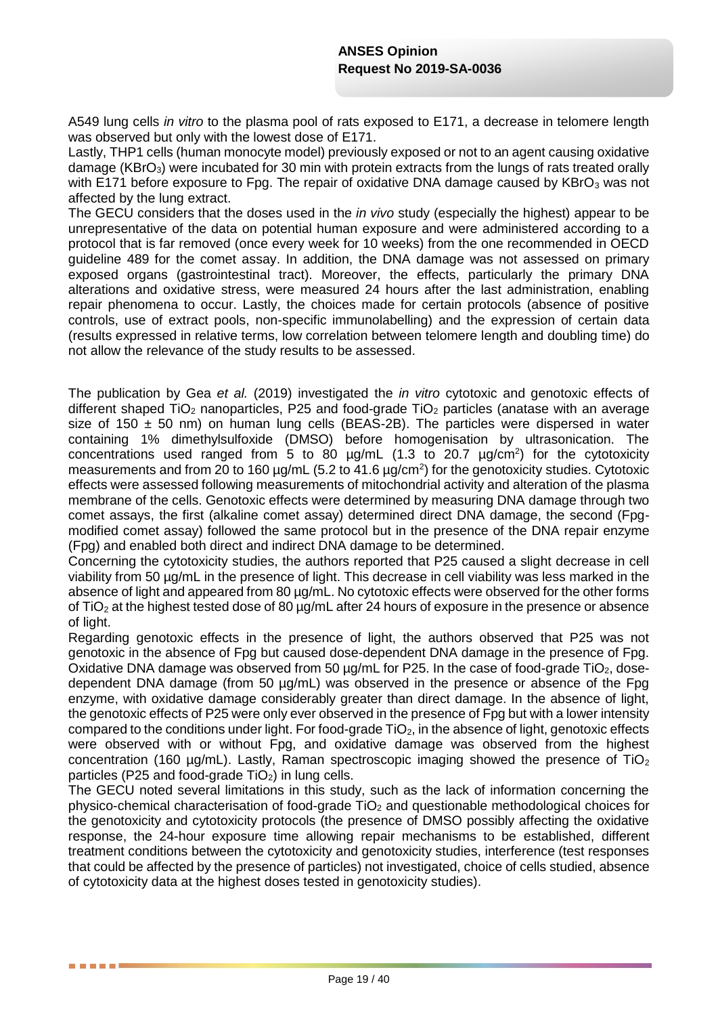A549 lung cells *in vitro* to the plasma pool of rats exposed to E171, a decrease in telomere length was observed but only with the lowest dose of E171.

Lastly, THP1 cells (human monocyte model) previously exposed or not to an agent causing oxidative damage (KBrO<sub>3</sub>) were incubated for 30 min with protein extracts from the lungs of rats treated orally with E171 before exposure to Fpg. The repair of oxidative DNA damage caused by KBrO<sub>3</sub> was not affected by the lung extract.

The GECU considers that the doses used in the *in vivo* study (especially the highest) appear to be unrepresentative of the data on potential human exposure and were administered according to a protocol that is far removed (once every week for 10 weeks) from the one recommended in OECD guideline 489 for the comet assay. In addition, the DNA damage was not assessed on primary exposed organs (gastrointestinal tract). Moreover, the effects, particularly the primary DNA alterations and oxidative stress, were measured 24 hours after the last administration, enabling repair phenomena to occur. Lastly, the choices made for certain protocols (absence of positive controls, use of extract pools, non-specific immunolabelling) and the expression of certain data (results expressed in relative terms, low correlation between telomere length and doubling time) do not allow the relevance of the study results to be assessed.

The publication by Gea *et al.* (2019) investigated the *in vitro* cytotoxic and genotoxic effects of different shaped  $TiO<sub>2</sub>$  nanoparticles, P25 and food-grade  $TiO<sub>2</sub>$  particles (anatase with an average size of 150  $\pm$  50 nm) on human lung cells (BEAS-2B). The particles were dispersed in water containing 1% dimethylsulfoxide (DMSO) before homogenisation by ultrasonication. The concentrations used ranged from 5 to 80  $\mu$ g/mL (1.3 to 20.7  $\mu$ g/cm<sup>2</sup>) for the cytotoxicity measurements and from 20 to 160  $\mu$ g/mL (5.2 to 41.6  $\mu$ g/cm<sup>2</sup>) for the genotoxicity studies. Cytotoxic effects were assessed following measurements of mitochondrial activity and alteration of the plasma membrane of the cells. Genotoxic effects were determined by measuring DNA damage through two comet assays, the first (alkaline comet assay) determined direct DNA damage, the second (Fpgmodified comet assay) followed the same protocol but in the presence of the DNA repair enzyme (Fpg) and enabled both direct and indirect DNA damage to be determined.

Concerning the cytotoxicity studies, the authors reported that P25 caused a slight decrease in cell viability from 50 µg/mL in the presence of light. This decrease in cell viability was less marked in the absence of light and appeared from 80 µg/mL. No cytotoxic effects were observed for the other forms of TiO<sup>2</sup> at the highest tested dose of 80 µg/mL after 24 hours of exposure in the presence or absence of light.

Regarding genotoxic effects in the presence of light, the authors observed that P25 was not genotoxic in the absence of Fpg but caused dose-dependent DNA damage in the presence of Fpg. Oxidative DNA damage was observed from 50  $\mu$ g/mL for P25. In the case of food-grade TiO<sub>2</sub>, dosedependent DNA damage (from 50 ug/mL) was observed in the presence or absence of the Fpg enzyme, with oxidative damage considerably greater than direct damage. In the absence of light, the genotoxic effects of P25 were only ever observed in the presence of Fpg but with a lower intensity compared to the conditions under light. For food-grade  $TiO<sub>2</sub>$ , in the absence of light, genotoxic effects were observed with or without Fpg, and oxidative damage was observed from the highest concentration (160  $\mu$ g/mL). Lastly, Raman spectroscopic imaging showed the presence of TiO<sub>2</sub> particles (P25 and food-grade  $TiO<sub>2</sub>$ ) in lung cells.

The GECU noted several limitations in this study, such as the lack of information concerning the physico-chemical characterisation of food-grade  $TiO<sub>2</sub>$  and questionable methodological choices for the genotoxicity and cytotoxicity protocols (the presence of DMSO possibly affecting the oxidative response, the 24-hour exposure time allowing repair mechanisms to be established, different treatment conditions between the cytotoxicity and genotoxicity studies, interference (test responses that could be affected by the presence of particles) not investigated, choice of cells studied, absence of cytotoxicity data at the highest doses tested in genotoxicity studies).

**. . . . .**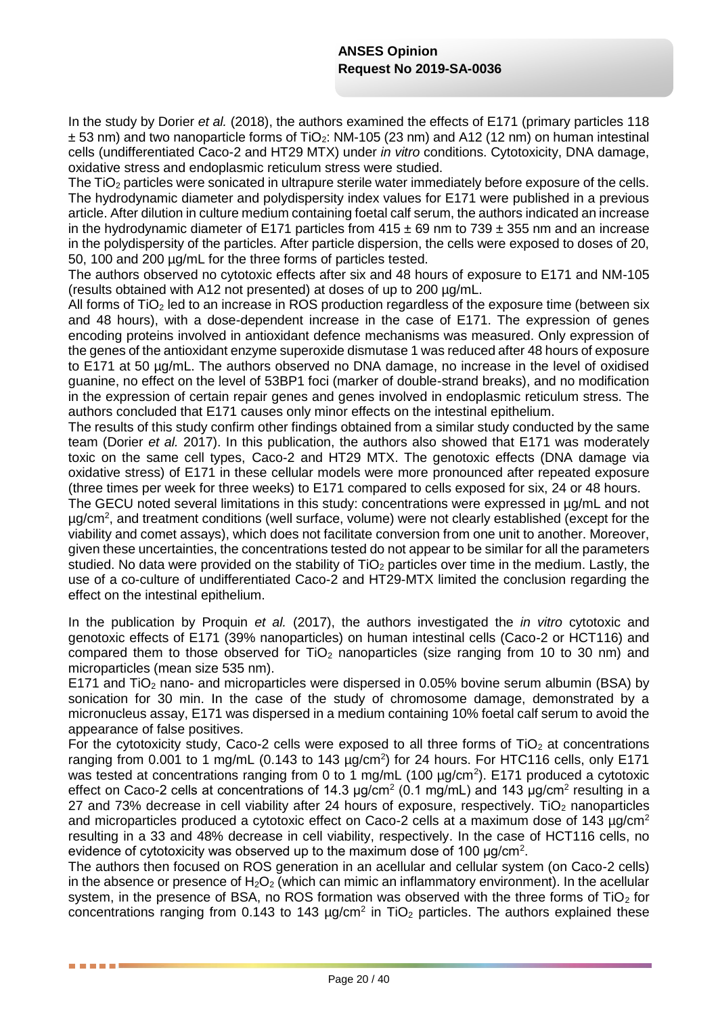In the study by Dorier *et al.* (2018), the authors examined the effects of E171 (primary particles 118  $\pm$  53 nm) and two nanoparticle forms of TiO<sub>2</sub>: NM-105 (23 nm) and A12 (12 nm) on human intestinal cells (undifferentiated Caco-2 and HT29 MTX) under *in vitro* conditions. Cytotoxicity, DNA damage, oxidative stress and endoplasmic reticulum stress were studied.

The TiO<sub>2</sub> particles were sonicated in ultrapure sterile water immediately before exposure of the cells. The hydrodynamic diameter and polydispersity index values for E171 were published in a previous article. After dilution in culture medium containing foetal calf serum, the authors indicated an increase in the hydrodynamic diameter of E171 particles from  $415 \pm 69$  nm to 739  $\pm$  355 nm and an increase in the polydispersity of the particles. After particle dispersion, the cells were exposed to doses of 20, 50, 100 and 200 µg/mL for the three forms of particles tested.

The authors observed no cytotoxic effects after six and 48 hours of exposure to E171 and NM-105 (results obtained with A12 not presented) at doses of up to 200 µg/mL.

All forms of  $TiO<sub>2</sub>$  led to an increase in ROS production regardless of the exposure time (between six and 48 hours), with a dose-dependent increase in the case of E171. The expression of genes encoding proteins involved in antioxidant defence mechanisms was measured. Only expression of the genes of the antioxidant enzyme superoxide dismutase 1 was reduced after 48 hours of exposure to E171 at 50 µg/mL. The authors observed no DNA damage, no increase in the level of oxidised guanine, no effect on the level of 53BP1 foci (marker of double-strand breaks), and no modification in the expression of certain repair genes and genes involved in endoplasmic reticulum stress. The authors concluded that E171 causes only minor effects on the intestinal epithelium.

The results of this study confirm other findings obtained from a similar study conducted by the same team (Dorier *et al.* 2017). In this publication, the authors also showed that E171 was moderately toxic on the same cell types, Caco-2 and HT29 MTX. The genotoxic effects (DNA damage via oxidative stress) of E171 in these cellular models were more pronounced after repeated exposure (three times per week for three weeks) to E171 compared to cells exposed for six, 24 or 48 hours.

The GECU noted several limitations in this study: concentrations were expressed in µg/mL and not µg/cm<sup>2</sup> , and treatment conditions (well surface, volume) were not clearly established (except for the viability and comet assays), which does not facilitate conversion from one unit to another. Moreover, given these uncertainties, the concentrations tested do not appear to be similar for all the parameters studied. No data were provided on the stability of  $TiO<sub>2</sub>$  particles over time in the medium. Lastly, the use of a co-culture of undifferentiated Caco-2 and HT29-MTX limited the conclusion regarding the effect on the intestinal epithelium.

In the publication by Proquin *et al.* (2017), the authors investigated the *in vitro* cytotoxic and genotoxic effects of E171 (39% nanoparticles) on human intestinal cells (Caco-2 or HCT116) and compared them to those observed for  $TiO<sub>2</sub>$  nanoparticles (size ranging from 10 to 30 nm) and microparticles (mean size 535 nm).

E171 and TiO<sub>2</sub> nano- and microparticles were dispersed in 0.05% bovine serum albumin (BSA) by sonication for 30 min. In the case of the study of chromosome damage, demonstrated by a micronucleus assay, E171 was dispersed in a medium containing 10% foetal calf serum to avoid the appearance of false positives.

For the cytotoxicity study, Caco-2 cells were exposed to all three forms of  $TiO<sub>2</sub>$  at concentrations ranging from 0.001 to 1 mg/mL (0.143 to 143  $\mu$ g/cm<sup>2</sup>) for 24 hours. For HTC116 cells, only E171 was tested at concentrations ranging from 0 to 1 mg/mL (100  $\mu$ g/cm<sup>2</sup>). E171 produced a cytotoxic effect on Caco-2 cells at concentrations of 14.3  $\mu$ g/cm<sup>2</sup> (0.1 mg/mL) and 143  $\mu$ g/cm<sup>2</sup> resulting in a 27 and 73% decrease in cell viability after 24 hours of exposure, respectively. TiO<sub>2</sub> nanoparticles and microparticles produced a cytotoxic effect on Caco-2 cells at a maximum dose of 143  $\mu q/cm^2$ resulting in a 33 and 48% decrease in cell viability, respectively. In the case of HCT116 cells, no evidence of cytotoxicity was observed up to the maximum dose of 100 μg/cm<sup>2</sup>.

The authors then focused on ROS generation in an acellular and cellular system (on Caco-2 cells) in the absence or presence of  $H_2O_2$  (which can mimic an inflammatory environment). In the acellular system, in the presence of BSA, no ROS formation was observed with the three forms of  $TiO<sub>2</sub>$  for concentrations ranging from 0.143 to 143  $\mu$ g/cm<sup>2</sup> in TiO<sub>2</sub> particles. The authors explained these

-----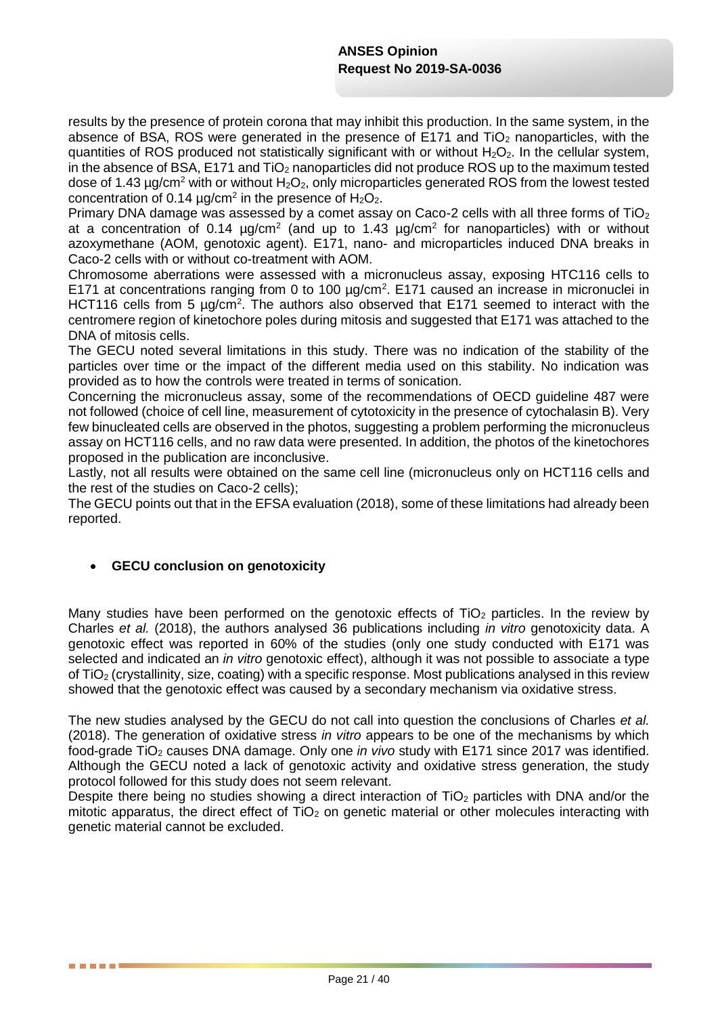results by the presence of protein corona that may inhibit this production. In the same system, in the absence of BSA, ROS were generated in the presence of E171 and  $TiO<sub>2</sub>$  nanoparticles, with the quantities of ROS produced not statistically significant with or without  $H_2O_2$ . In the cellular system, in the absence of BSA,  $E171$  and  $TiO<sub>2</sub>$  nanoparticles did not produce ROS up to the maximum tested dose of 1.43  $\mu q/cm^2$  with or without H<sub>2</sub>O<sub>2</sub>, only microparticles generated ROS from the lowest tested concentration of 0.14  $\mu$ g/cm<sup>2</sup> in the presence of H<sub>2</sub>O<sub>2</sub>.

Primary DNA damage was assessed by a comet assay on Caco-2 cells with all three forms of  $TiO<sub>2</sub>$ at a concentration of 0.14  $\mu$ g/cm<sup>2</sup> (and up to 1.43  $\mu$ g/cm<sup>2</sup> for nanoparticles) with or without azoxymethane (AOM, genotoxic agent). E171, nano- and microparticles induced DNA breaks in Caco-2 cells with or without co-treatment with AOM.

Chromosome aberrations were assessed with a micronucleus assay, exposing HTC116 cells to E171 at concentrations ranging from 0 to 100  $\mu$ g/cm<sup>2</sup>. E171 caused an increase in micronuclei in HCT116 cells from 5  $\mu$ g/cm<sup>2</sup>. The authors also observed that E171 seemed to interact with the centromere region of kinetochore poles during mitosis and suggested that E171 was attached to the DNA of mitosis cells.

The GECU noted several limitations in this study. There was no indication of the stability of the particles over time or the impact of the different media used on this stability. No indication was provided as to how the controls were treated in terms of sonication.

Concerning the micronucleus assay, some of the recommendations of OECD guideline 487 were not followed (choice of cell line, measurement of cytotoxicity in the presence of cytochalasin B). Very few binucleated cells are observed in the photos, suggesting a problem performing the micronucleus assay on HCT116 cells, and no raw data were presented. In addition, the photos of the kinetochores proposed in the publication are inconclusive.

Lastly, not all results were obtained on the same cell line (micronucleus only on HCT116 cells and the rest of the studies on Caco-2 cells);

The GECU points out that in the EFSA evaluation (2018), some of these limitations had already been reported.

# **GECU conclusion on genotoxicity**

. . . . .

Many studies have been performed on the genotoxic effects of  $TiO<sub>2</sub>$  particles. In the review by Charles *et al.* (2018), the authors analysed 36 publications including *in vitro* genotoxicity data. A genotoxic effect was reported in 60% of the studies (only one study conducted with E171 was selected and indicated an *in vitro* genotoxic effect), although it was not possible to associate a type of TiO<sup>2</sup> (crystallinity, size, coating) with a specific response. Most publications analysed in this review showed that the genotoxic effect was caused by a secondary mechanism via oxidative stress.

The new studies analysed by the GECU do not call into question the conclusions of Charles *et al.* (2018). The generation of oxidative stress *in vitro* appears to be one of the mechanisms by which food-grade TiO<sup>2</sup> causes DNA damage. Only one *in vivo* study with E171 since 2017 was identified. Although the GECU noted a lack of genotoxic activity and oxidative stress generation, the study protocol followed for this study does not seem relevant.

Despite there being no studies showing a direct interaction of  $TiO<sub>2</sub>$  particles with DNA and/or the mitotic apparatus, the direct effect of  $TiO<sub>2</sub>$  on genetic material or other molecules interacting with genetic material cannot be excluded.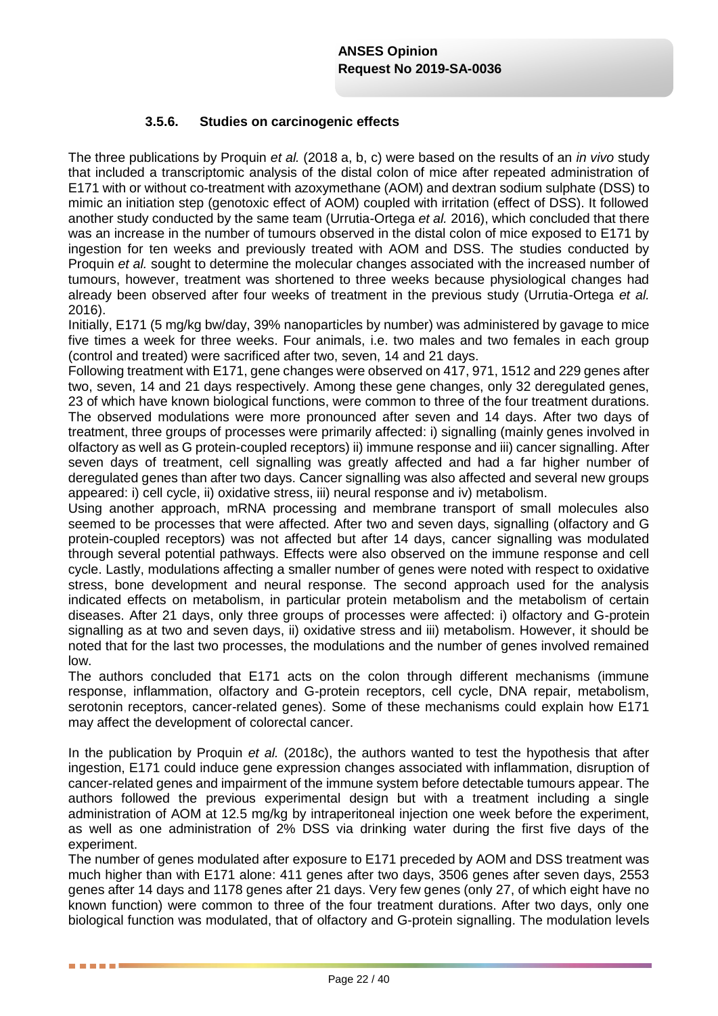### **3.5.6. Studies on carcinogenic effects**

The three publications by Proquin *et al.* (2018 a, b, c) were based on the results of an *in vivo* study that included a transcriptomic analysis of the distal colon of mice after repeated administration of E171 with or without co-treatment with azoxymethane (AOM) and dextran sodium sulphate (DSS) to mimic an initiation step (genotoxic effect of AOM) coupled with irritation (effect of DSS). It followed another study conducted by the same team (Urrutia-Ortega *et al.* 2016), which concluded that there was an increase in the number of tumours observed in the distal colon of mice exposed to E171 by ingestion for ten weeks and previously treated with AOM and DSS. The studies conducted by Proquin *et al.* sought to determine the molecular changes associated with the increased number of tumours, however, treatment was shortened to three weeks because physiological changes had already been observed after four weeks of treatment in the previous study (Urrutia-Ortega *et al.* 2016).

Initially, E171 (5 mg/kg bw/day, 39% nanoparticles by number) was administered by gavage to mice five times a week for three weeks. Four animals, i.e. two males and two females in each group (control and treated) were sacrificed after two, seven, 14 and 21 days.

Following treatment with E171, gene changes were observed on 417, 971, 1512 and 229 genes after two, seven, 14 and 21 days respectively. Among these gene changes, only 32 deregulated genes, 23 of which have known biological functions, were common to three of the four treatment durations. The observed modulations were more pronounced after seven and 14 days. After two days of treatment, three groups of processes were primarily affected: i) signalling (mainly genes involved in olfactory as well as G protein-coupled receptors) ii) immune response and iii) cancer signalling. After seven days of treatment, cell signalling was greatly affected and had a far higher number of deregulated genes than after two days. Cancer signalling was also affected and several new groups appeared: i) cell cycle, ii) oxidative stress, iii) neural response and iv) metabolism.

Using another approach, mRNA processing and membrane transport of small molecules also seemed to be processes that were affected. After two and seven days, signalling (olfactory and G protein-coupled receptors) was not affected but after 14 days, cancer signalling was modulated through several potential pathways. Effects were also observed on the immune response and cell cycle. Lastly, modulations affecting a smaller number of genes were noted with respect to oxidative stress, bone development and neural response. The second approach used for the analysis indicated effects on metabolism, in particular protein metabolism and the metabolism of certain diseases. After 21 days, only three groups of processes were affected: i) olfactory and G-protein signalling as at two and seven days, ii) oxidative stress and iii) metabolism. However, it should be noted that for the last two processes, the modulations and the number of genes involved remained low.

The authors concluded that E171 acts on the colon through different mechanisms (immune response, inflammation, olfactory and G-protein receptors, cell cycle, DNA repair, metabolism, serotonin receptors, cancer-related genes). Some of these mechanisms could explain how E171 may affect the development of colorectal cancer.

In the publication by Proquin *et al.* (2018c), the authors wanted to test the hypothesis that after ingestion, E171 could induce gene expression changes associated with inflammation, disruption of cancer-related genes and impairment of the immune system before detectable tumours appear. The authors followed the previous experimental design but with a treatment including a single administration of AOM at 12.5 mg/kg by intraperitoneal injection one week before the experiment, as well as one administration of 2% DSS via drinking water during the first five days of the experiment.

The number of genes modulated after exposure to E171 preceded by AOM and DSS treatment was much higher than with E171 alone: 411 genes after two days, 3506 genes after seven days, 2553 genes after 14 days and 1178 genes after 21 days. Very few genes (only 27, of which eight have no known function) were common to three of the four treatment durations. After two days, only one biological function was modulated, that of olfactory and G-protein signalling. The modulation levels

. . . .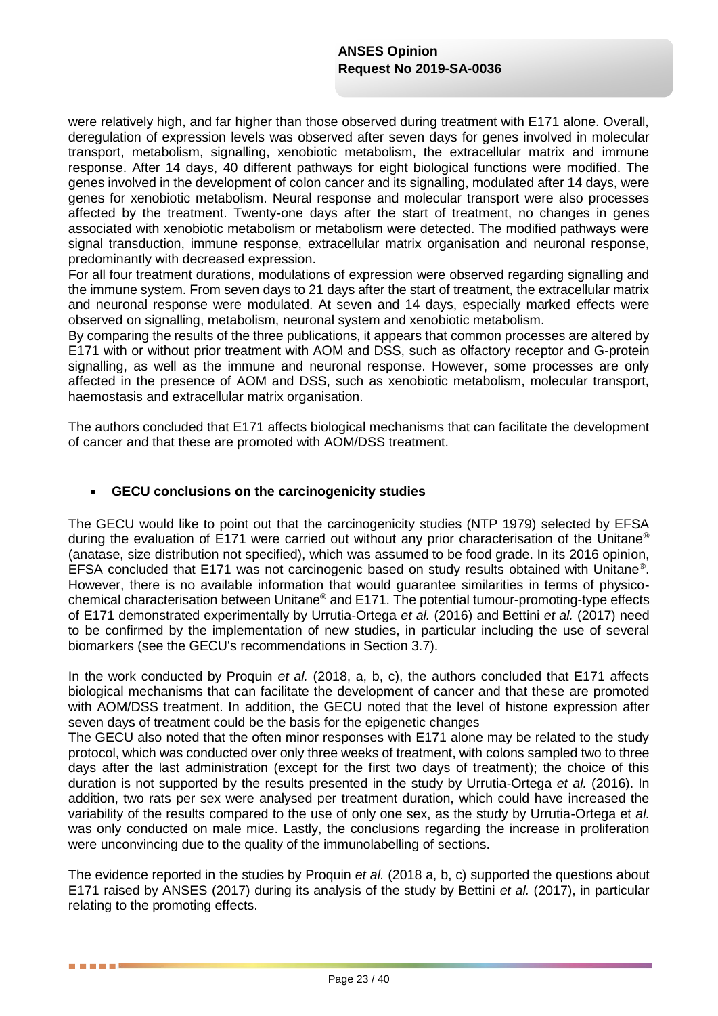were relatively high, and far higher than those observed during treatment with E171 alone. Overall, deregulation of expression levels was observed after seven days for genes involved in molecular transport, metabolism, signalling, xenobiotic metabolism, the extracellular matrix and immune response. After 14 days, 40 different pathways for eight biological functions were modified. The genes involved in the development of colon cancer and its signalling, modulated after 14 days, were genes for xenobiotic metabolism. Neural response and molecular transport were also processes affected by the treatment. Twenty-one days after the start of treatment, no changes in genes associated with xenobiotic metabolism or metabolism were detected. The modified pathways were signal transduction, immune response, extracellular matrix organisation and neuronal response, predominantly with decreased expression.

For all four treatment durations, modulations of expression were observed regarding signalling and the immune system. From seven days to 21 days after the start of treatment, the extracellular matrix and neuronal response were modulated. At seven and 14 days, especially marked effects were observed on signalling, metabolism, neuronal system and xenobiotic metabolism.

By comparing the results of the three publications, it appears that common processes are altered by E171 with or without prior treatment with AOM and DSS, such as olfactory receptor and G-protein signalling, as well as the immune and neuronal response. However, some processes are only affected in the presence of AOM and DSS, such as xenobiotic metabolism, molecular transport, haemostasis and extracellular matrix organisation.

The authors concluded that E171 affects biological mechanisms that can facilitate the development of cancer and that these are promoted with AOM/DSS treatment.

#### **GECU conclusions on the carcinogenicity studies**

**. . . . .** 

The GECU would like to point out that the carcinogenicity studies (NTP 1979) selected by EFSA during the evaluation of E171 were carried out without any prior characterisation of the Unitane® (anatase, size distribution not specified), which was assumed to be food grade. In its 2016 opinion, EFSA concluded that E171 was not carcinogenic based on study results obtained with Unitane® . However, there is no available information that would guarantee similarities in terms of physicochemical characterisation between Unitane® and E171. The potential tumour-promoting-type effects of E171 demonstrated experimentally by Urrutia-Ortega *et al.* (2016) and Bettini *et al.* (2017) need to be confirmed by the implementation of new studies, in particular including the use of several biomarkers (see the GECU's recommendations in Section 3.7).

In the work conducted by Proquin *et al.* (2018, a, b, c), the authors concluded that E171 affects biological mechanisms that can facilitate the development of cancer and that these are promoted with AOM/DSS treatment. In addition, the GECU noted that the level of histone expression after seven days of treatment could be the basis for the epigenetic changes

The GECU also noted that the often minor responses with E171 alone may be related to the study protocol, which was conducted over only three weeks of treatment, with colons sampled two to three days after the last administration (except for the first two days of treatment); the choice of this duration is not supported by the results presented in the study by Urrutia-Ortega *et al.* (2016). In addition, two rats per sex were analysed per treatment duration, which could have increased the variability of the results compared to the use of only one sex, as the study by Urrutia-Ortega et *al.* was only conducted on male mice. Lastly, the conclusions regarding the increase in proliferation were unconvincing due to the quality of the immunolabelling of sections.

The evidence reported in the studies by Proquin *et al.* (2018 a, b, c) supported the questions about E171 raised by ANSES (2017) during its analysis of the study by Bettini *et al.* (2017), in particular relating to the promoting effects.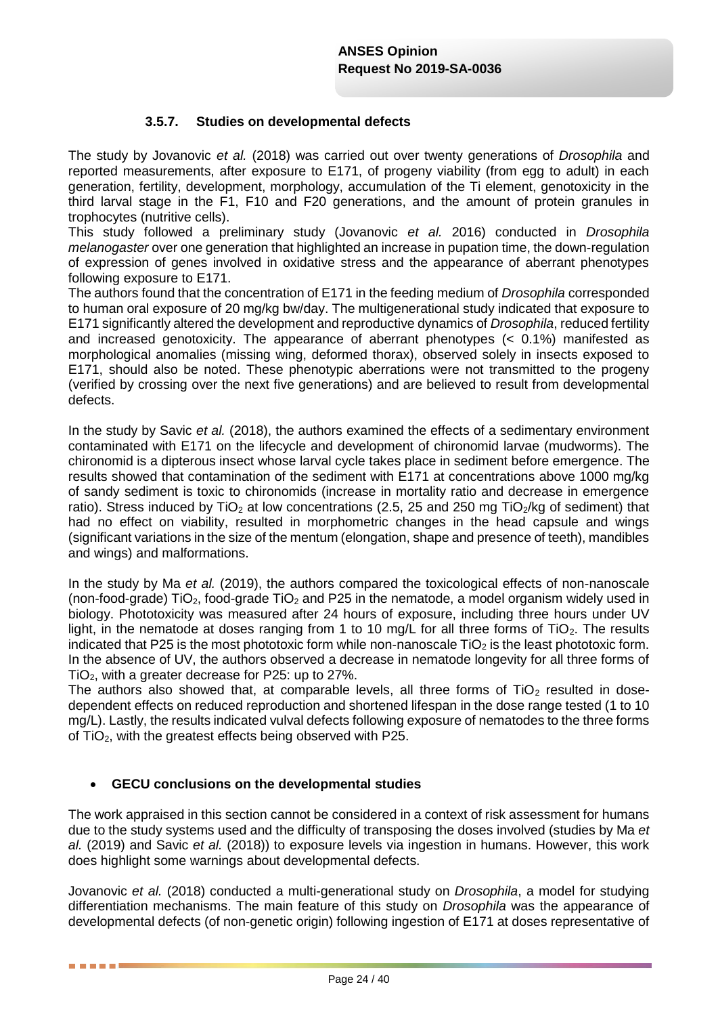### **3.5.7. Studies on developmental defects**

The study by Jovanovic *et al.* (2018) was carried out over twenty generations of *Drosophila* and reported measurements, after exposure to E171, of progeny viability (from egg to adult) in each generation, fertility, development, morphology, accumulation of the Ti element, genotoxicity in the third larval stage in the F1, F10 and F20 generations, and the amount of protein granules in trophocytes (nutritive cells).

This study followed a preliminary study (Jovanovic *et al.* 2016) conducted in *Drosophila melanogaster* over one generation that highlighted an increase in pupation time, the down-regulation of expression of genes involved in oxidative stress and the appearance of aberrant phenotypes following exposure to E171.

The authors found that the concentration of E171 in the feeding medium of *Drosophila* corresponded to human oral exposure of 20 mg/kg bw/day. The multigenerational study indicated that exposure to E171 significantly altered the development and reproductive dynamics of *Drosophila*, reduced fertility and increased genotoxicity. The appearance of aberrant phenotypes (< 0.1%) manifested as morphological anomalies (missing wing, deformed thorax), observed solely in insects exposed to E171, should also be noted. These phenotypic aberrations were not transmitted to the progeny (verified by crossing over the next five generations) and are believed to result from developmental defects.

In the study by Savic *et al.* (2018), the authors examined the effects of a sedimentary environment contaminated with E171 on the lifecycle and development of chironomid larvae (mudworms). The chironomid is a dipterous insect whose larval cycle takes place in sediment before emergence. The results showed that contamination of the sediment with E171 at concentrations above 1000 mg/kg of sandy sediment is toxic to chironomids (increase in mortality ratio and decrease in emergence ratio). Stress induced by  $TiO<sub>2</sub>$  at low concentrations (2.5, 25 and 250 mg  $TiO<sub>2</sub>/kg$  of sediment) that had no effect on viability, resulted in morphometric changes in the head capsule and wings (significant variations in the size of the mentum (elongation, shape and presence of teeth), mandibles and wings) and malformations.

In the study by Ma *et al.* (2019), the authors compared the toxicological effects of non-nanoscale (non-food-grade) TiO<sub>2</sub>, food-grade TiO<sub>2</sub> and P25 in the nematode, a model organism widely used in biology. Phototoxicity was measured after 24 hours of exposure, including three hours under UV light, in the nematode at doses ranging from 1 to 10 mg/L for all three forms of  $TiO<sub>2</sub>$ . The results indicated that P25 is the most phototoxic form while non-nanoscale  $TiO<sub>2</sub>$  is the least phototoxic form. In the absence of UV, the authors observed a decrease in nematode longevity for all three forms of TiO2, with a greater decrease for P25: up to 27%.

The authors also showed that, at comparable levels, all three forms of  $TiO<sub>2</sub>$  resulted in dosedependent effects on reduced reproduction and shortened lifespan in the dose range tested (1 to 10 mg/L). Lastly, the results indicated vulval defects following exposure of nematodes to the three forms of TiO2, with the greatest effects being observed with P25.

#### **GECU conclusions on the developmental studies**

. . . . . .

The work appraised in this section cannot be considered in a context of risk assessment for humans due to the study systems used and the difficulty of transposing the doses involved (studies by Ma *et al.* (2019) and Savic *et al.* (2018)) to exposure levels via ingestion in humans. However, this work does highlight some warnings about developmental defects.

Jovanovic *et al.* (2018) conducted a multi-generational study on *Drosophila*, a model for studying differentiation mechanisms. The main feature of this study on *Drosophila* was the appearance of developmental defects (of non-genetic origin) following ingestion of E171 at doses representative of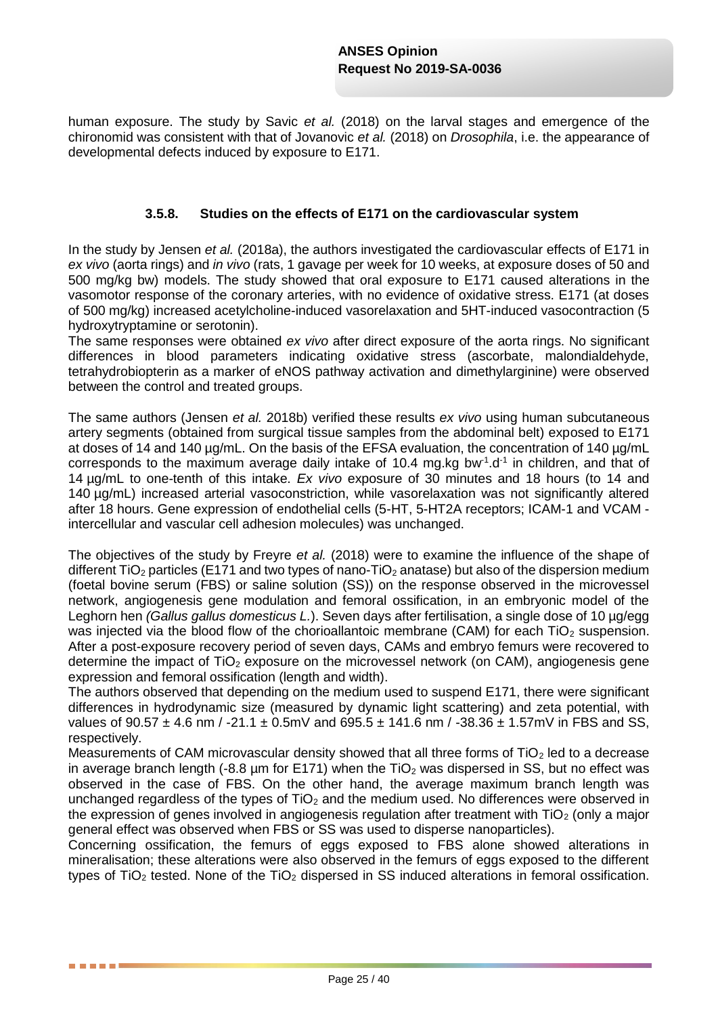human exposure. The study by Savic *et al.* (2018) on the larval stages and emergence of the chironomid was consistent with that of Jovanovic *et al.* (2018) on *Drosophila*, i.e. the appearance of developmental defects induced by exposure to E171.

#### **3.5.8. Studies on the effects of E171 on the cardiovascular system**

In the study by Jensen *et al.* (2018a), the authors investigated the cardiovascular effects of E171 in *ex vivo* (aorta rings) and *in vivo* (rats, 1 gavage per week for 10 weeks, at exposure doses of 50 and 500 mg/kg bw) models. The study showed that oral exposure to E171 caused alterations in the vasomotor response of the coronary arteries, with no evidence of oxidative stress. E171 (at doses of 500 mg/kg) increased acetylcholine-induced vasorelaxation and 5HT-induced vasocontraction (5 hydroxytryptamine or serotonin).

The same responses were obtained *ex vivo* after direct exposure of the aorta rings. No significant differences in blood parameters indicating oxidative stress (ascorbate, malondialdehyde, tetrahydrobiopterin as a marker of eNOS pathway activation and dimethylarginine) were observed between the control and treated groups.

The same authors (Jensen *et al.* 2018b) verified these results *ex vivo* using human subcutaneous artery segments (obtained from surgical tissue samples from the abdominal belt) exposed to E171 at doses of 14 and 140 ug/mL. On the basis of the EFSA evaluation, the concentration of 140 ug/mL corresponds to the maximum average daily intake of 10.4 mg.kg bw<sup>-1</sup>. $d<sup>-1</sup>$  in children, and that of 14 µg/mL to one-tenth of this intake. *Ex vivo* exposure of 30 minutes and 18 hours (to 14 and 140 µg/mL) increased arterial vasoconstriction, while vasorelaxation was not significantly altered after 18 hours. Gene expression of endothelial cells (5-HT, 5-HT2A receptors; ICAM-1 and VCAM intercellular and vascular cell adhesion molecules) was unchanged.

The objectives of the study by Freyre *et al.* (2018) were to examine the influence of the shape of different  $TiO<sub>2</sub>$  particles (E171 and two types of nano-TiO<sub>2</sub> anatase) but also of the dispersion medium (foetal bovine serum (FBS) or saline solution (SS)) on the response observed in the microvessel network, angiogenesis gene modulation and femoral ossification, in an embryonic model of the Leghorn hen *(Gallus gallus domesticus L.*). Seven days after fertilisation, a single dose of 10 µg/egg was injected via the blood flow of the chorioallantoic membrane (CAM) for each  $TiO<sub>2</sub>$  suspension. After a post-exposure recovery period of seven days, CAMs and embryo femurs were recovered to determine the impact of  $TiO<sub>2</sub>$  exposure on the microvessel network (on CAM), angiogenesis gene expression and femoral ossification (length and width).

The authors observed that depending on the medium used to suspend E171, there were significant differences in hydrodynamic size (measured by dynamic light scattering) and zeta potential, with values of  $90.57 \pm 4.6$  nm / -21.1  $\pm 0.5$ mV and  $695.5 \pm 141.6$  nm / -38.36  $\pm 1.57$ mV in FBS and SS, respectively.

Measurements of CAM microvascular density showed that all three forms of  $TiO<sub>2</sub>$  led to a decrease in average branch length (-8.8  $\mu$ m for E171) when the TiO<sub>2</sub> was dispersed in SS, but no effect was observed in the case of FBS. On the other hand, the average maximum branch length was unchanged regardless of the types of  $TiO<sub>2</sub>$  and the medium used. No differences were observed in the expression of genes involved in angiogenesis regulation after treatment with  $TiO<sub>2</sub>$  (only a major general effect was observed when FBS or SS was used to disperse nanoparticles).

Concerning ossification, the femurs of eggs exposed to FBS alone showed alterations in mineralisation; these alterations were also observed in the femurs of eggs exposed to the different types of TiO<sub>2</sub> tested. None of the TiO<sub>2</sub> dispersed in SS induced alterations in femoral ossification.

. . . . .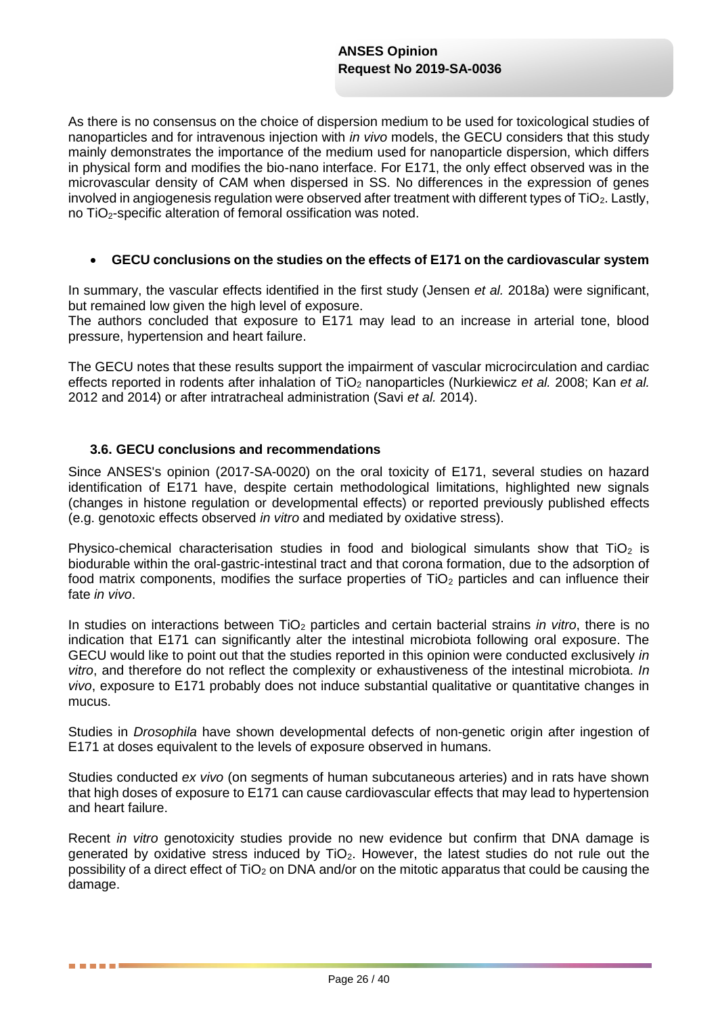As there is no consensus on the choice of dispersion medium to be used for toxicological studies of nanoparticles and for intravenous injection with *in vivo* models, the GECU considers that this study mainly demonstrates the importance of the medium used for nanoparticle dispersion, which differs in physical form and modifies the bio-nano interface. For E171, the only effect observed was in the microvascular density of CAM when dispersed in SS. No differences in the expression of genes involved in angiogenesis regulation were observed after treatment with different types of TiO2. Lastly, no TiO<sub>2</sub>-specific alteration of femoral ossification was noted.

#### **GECU conclusions on the studies on the effects of E171 on the cardiovascular system**

In summary, the vascular effects identified in the first study (Jensen *et al.* 2018a) were significant, but remained low given the high level of exposure.

The authors concluded that exposure to E171 may lead to an increase in arterial tone, blood pressure, hypertension and heart failure.

The GECU notes that these results support the impairment of vascular microcirculation and cardiac effects reported in rodents after inhalation of TiO<sub>2</sub> nanoparticles (Nurkiewicz *et al.* 2008; Kan *et al.* 2012 and 2014) or after intratracheal administration (Savi *et al.* 2014).

#### **3.6. GECU conclusions and recommendations**

. . . .

Since ANSES's opinion (2017-SA-0020) on the oral toxicity of E171, several studies on hazard identification of E171 have, despite certain methodological limitations, highlighted new signals (changes in histone regulation or developmental effects) or reported previously published effects (e.g. genotoxic effects observed *in vitro* and mediated by oxidative stress).

Physico-chemical characterisation studies in food and biological simulants show that TiO<sub>2</sub> is biodurable within the oral-gastric-intestinal tract and that corona formation, due to the adsorption of food matrix components, modifies the surface properties of  $TiO<sub>2</sub>$  particles and can influence their fate *in vivo*.

In studies on interactions between TiO<sub>2</sub> particles and certain bacterial strains *in vitro*, there is no indication that E171 can significantly alter the intestinal microbiota following oral exposure. The GECU would like to point out that the studies reported in this opinion were conducted exclusively *in vitro*, and therefore do not reflect the complexity or exhaustiveness of the intestinal microbiota. *In vivo*, exposure to E171 probably does not induce substantial qualitative or quantitative changes in mucus.

Studies in *Drosophila* have shown developmental defects of non-genetic origin after ingestion of E171 at doses equivalent to the levels of exposure observed in humans.

Studies conducted *ex vivo* (on segments of human subcutaneous arteries) and in rats have shown that high doses of exposure to E171 can cause cardiovascular effects that may lead to hypertension and heart failure.

Recent *in vitro* genotoxicity studies provide no new evidence but confirm that DNA damage is generated by oxidative stress induced by  $TiO<sub>2</sub>$ . However, the latest studies do not rule out the possibility of a direct effect of  $TiO<sub>2</sub>$  on DNA and/or on the mitotic apparatus that could be causing the damage.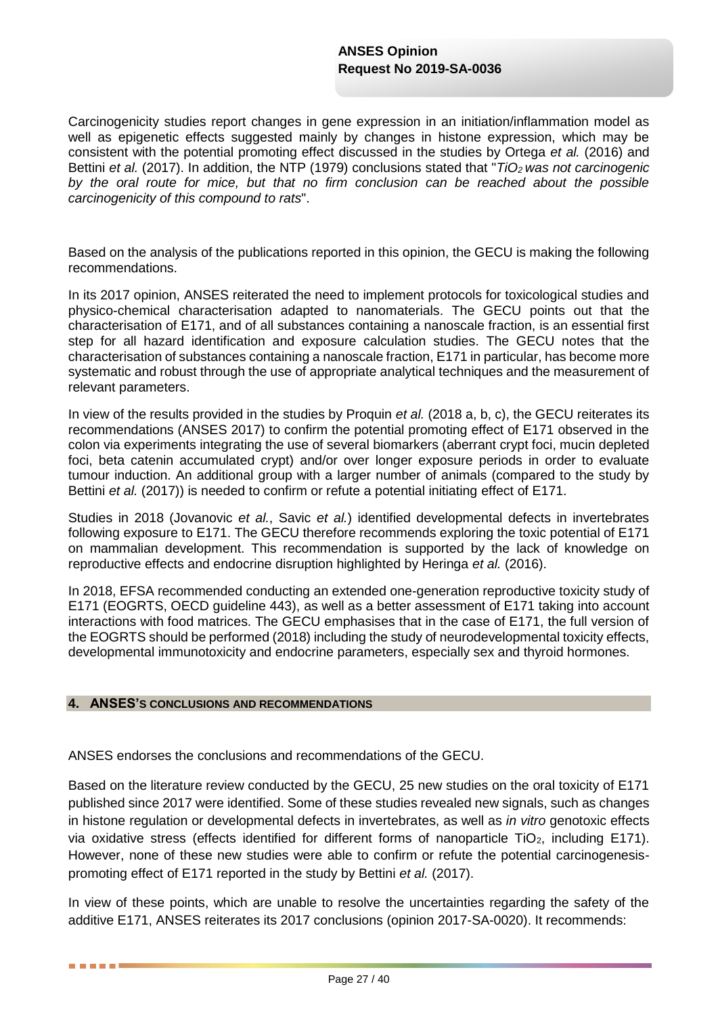Carcinogenicity studies report changes in gene expression in an initiation/inflammation model as well as epigenetic effects suggested mainly by changes in histone expression, which may be consistent with the potential promoting effect discussed in the studies by Ortega *et al.* (2016) and Bettini *et al.* (2017). In addition, the NTP (1979) conclusions stated that "*TiO<sup>2</sup> was not carcinogenic by the oral route for mice, but that no firm conclusion can be reached about the possible carcinogenicity of this compound to rats*".

Based on the analysis of the publications reported in this opinion, the GECU is making the following recommendations.

In its 2017 opinion, ANSES reiterated the need to implement protocols for toxicological studies and physico-chemical characterisation adapted to nanomaterials. The GECU points out that the characterisation of E171, and of all substances containing a nanoscale fraction, is an essential first step for all hazard identification and exposure calculation studies. The GECU notes that the characterisation of substances containing a nanoscale fraction, E171 in particular, has become more systematic and robust through the use of appropriate analytical techniques and the measurement of relevant parameters.

In view of the results provided in the studies by Proquin *et al.* (2018 a, b, c), the GECU reiterates its recommendations (ANSES 2017) to confirm the potential promoting effect of E171 observed in the colon via experiments integrating the use of several biomarkers (aberrant crypt foci, mucin depleted foci, beta catenin accumulated crypt) and/or over longer exposure periods in order to evaluate tumour induction. An additional group with a larger number of animals (compared to the study by Bettini *et al.* (2017)) is needed to confirm or refute a potential initiating effect of E171.

Studies in 2018 (Jovanovic *et al.*, Savic *et al.*) identified developmental defects in invertebrates following exposure to E171. The GECU therefore recommends exploring the toxic potential of E171 on mammalian development. This recommendation is supported by the lack of knowledge on reproductive effects and endocrine disruption highlighted by Heringa *et al.* (2016).

In 2018, EFSA recommended conducting an extended one-generation reproductive toxicity study of E171 (EOGRTS, OECD guideline 443), as well as a better assessment of E171 taking into account interactions with food matrices. The GECU emphasises that in the case of E171, the full version of the EOGRTS should be performed (2018) including the study of neurodevelopmental toxicity effects, developmental immunotoxicity and endocrine parameters, especially sex and thyroid hormones.

#### **4. ANSES'S CONCLUSIONS AND RECOMMENDATIONS**

. . . . . .

ANSES endorses the conclusions and recommendations of the GECU.

Based on the literature review conducted by the GECU, 25 new studies on the oral toxicity of E171 published since 2017 were identified. Some of these studies revealed new signals, such as changes in histone regulation or developmental defects in invertebrates, as well as *in vitro* genotoxic effects via oxidative stress (effects identified for different forms of nanoparticle TiO<sub>2</sub>, including E171). However, none of these new studies were able to confirm or refute the potential carcinogenesispromoting effect of E171 reported in the study by Bettini *et al.* (2017).

In view of these points, which are unable to resolve the uncertainties regarding the safety of the additive E171, ANSES reiterates its 2017 conclusions (opinion 2017-SA-0020). It recommends: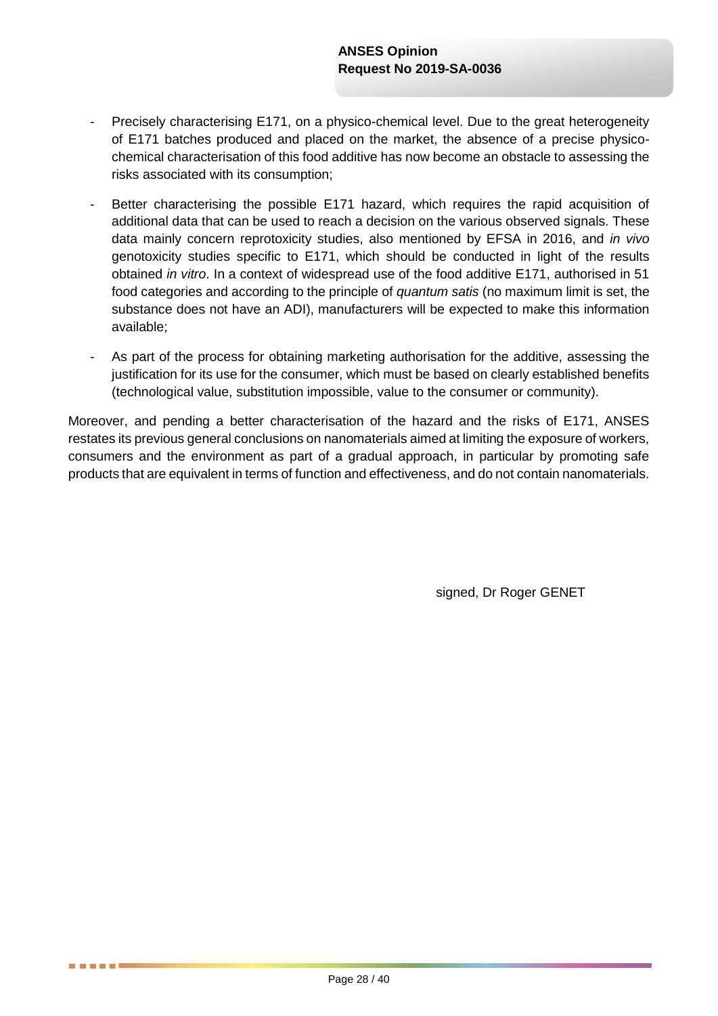- Precisely characterising E171, on a physico-chemical level. Due to the great heterogeneity of E171 batches produced and placed on the market, the absence of a precise physicochemical characterisation of this food additive has now become an obstacle to assessing the risks associated with its consumption;
- Better characterising the possible E171 hazard, which requires the rapid acquisition of additional data that can be used to reach a decision on the various observed signals. These data mainly concern reprotoxicity studies, also mentioned by EFSA in 2016, and *in vivo* genotoxicity studies specific to E171, which should be conducted in light of the results obtained *in vitro*. In a context of widespread use of the food additive E171, authorised in 51 food categories and according to the principle of *quantum satis* (no maximum limit is set, the substance does not have an ADI), manufacturers will be expected to make this information available;
- As part of the process for obtaining marketing authorisation for the additive, assessing the justification for its use for the consumer, which must be based on clearly established benefits (technological value, substitution impossible, value to the consumer or community).

Moreover, and pending a better characterisation of the hazard and the risks of E171, ANSES restates its previous general conclusions on nanomaterials aimed at limiting the exposure of workers, consumers and the environment as part of a gradual approach, in particular by promoting safe products that are equivalent in terms of function and effectiveness, and do not contain nanomaterials.

signed, Dr Roger GENET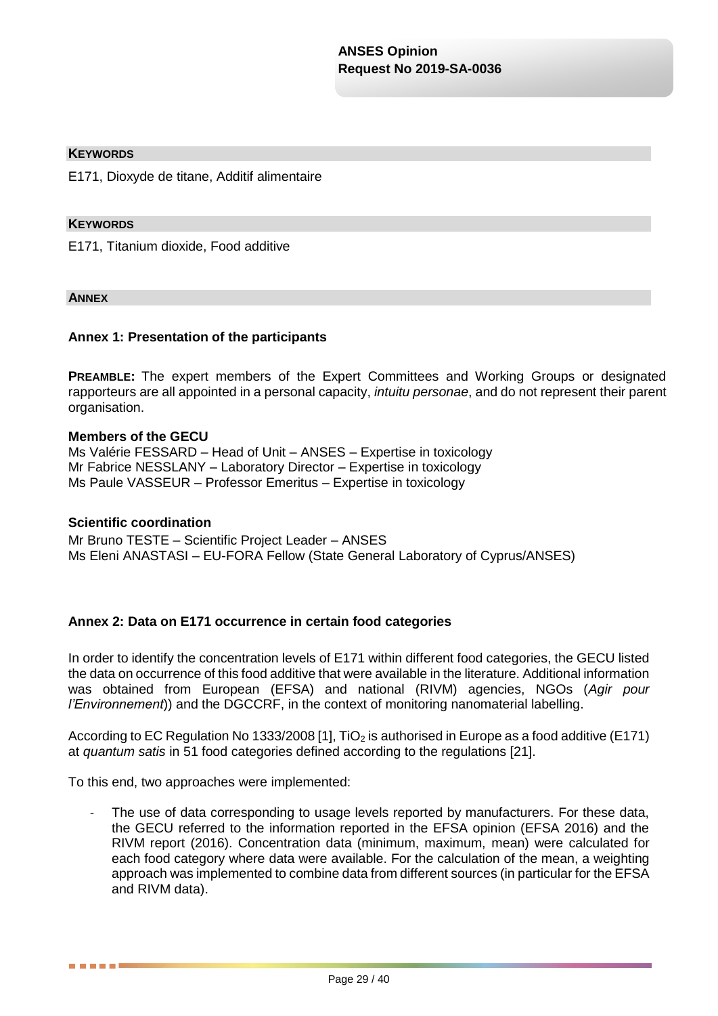#### **KEYWORDS**

E171, Dioxyde de titane, Additif alimentaire

#### **KEYWORDS**

E171, Titanium dioxide, Food additive

#### **ANNEX**

#### **Annex 1: Presentation of the participants**

**PREAMBLE:** The expert members of the Expert Committees and Working Groups or designated rapporteurs are all appointed in a personal capacity, *intuitu personae*, and do not represent their parent organisation.

#### **Members of the GECU**

Ms Valérie FESSARD – Head of Unit – ANSES – Expertise in toxicology Mr Fabrice NESSLANY – Laboratory Director – Expertise in toxicology Ms Paule VASSEUR – Professor Emeritus – Expertise in toxicology

### **Scientific coordination**

. . . . .

Mr Bruno TESTE – Scientific Project Leader – ANSES Ms Eleni ANASTASI – EU-FORA Fellow (State General Laboratory of Cyprus/ANSES)

#### **Annex 2: Data on E171 occurrence in certain food categories**

In order to identify the concentration levels of E171 within different food categories, the GECU listed the data on occurrence of this food additive that were available in the literature. Additional information was obtained from European (EFSA) and national (RIVM) agencies, NGOs (*Agir pour l'Environnement*)) and the DGCCRF, in the context of monitoring nanomaterial labelling.

According to EC Regulation No 1333/2008 [1], TiO<sub>2</sub> is authorised in Europe as a food additive (E171) at *quantum satis* in 51 food categories defined according to the regulations [21].

To this end, two approaches were implemented:

The use of data corresponding to usage levels reported by manufacturers. For these data, the GECU referred to the information reported in the EFSA opinion (EFSA 2016) and the RIVM report (2016). Concentration data (minimum, maximum, mean) were calculated for each food category where data were available. For the calculation of the mean, a weighting approach was implemented to combine data from different sources (in particular for the EFSA and RIVM data).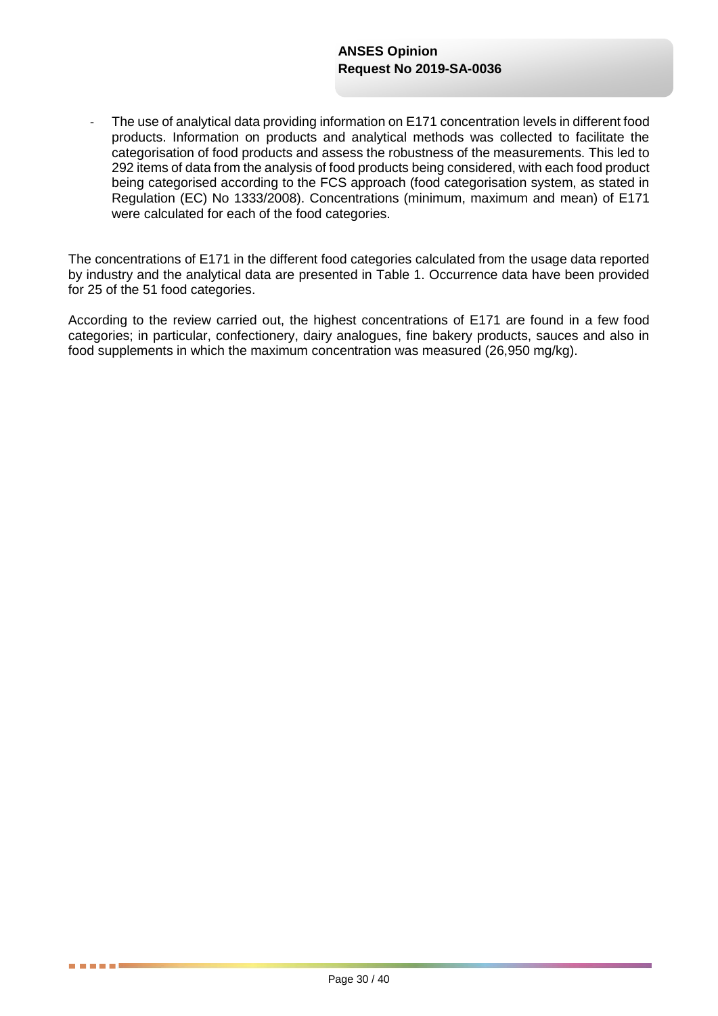The use of analytical data providing information on E171 concentration levels in different food products. Information on products and analytical methods was collected to facilitate the categorisation of food products and assess the robustness of the measurements. This led to 292 items of data from the analysis of food products being considered, with each food product being categorised according to the FCS approach (food categorisation system, as stated in Regulation (EC) No 1333/2008). Concentrations (minimum, maximum and mean) of E171 were calculated for each of the food categories.

The concentrations of E171 in the different food categories calculated from the usage data reported by industry and the analytical data are presented in Table 1. Occurrence data have been provided for 25 of the 51 food categories.

According to the review carried out, the highest concentrations of E171 are found in a few food categories; in particular, confectionery, dairy analogues, fine bakery products, sauces and also in food supplements in which the maximum concentration was measured (26,950 mg/kg).

a a mateix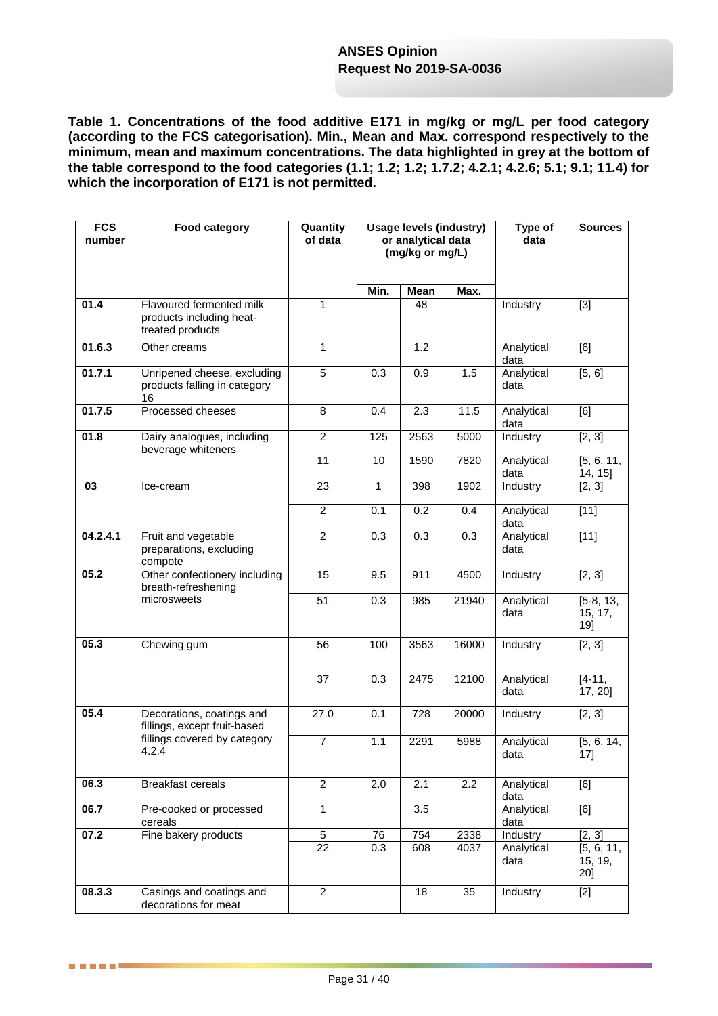**Table 1. Concentrations of the food additive E171 in mg/kg or mg/L per food category (according to the FCS categorisation). Min., Mean and Max. correspond respectively to the minimum, mean and maximum concentrations. The data highlighted in grey at the bottom of the table correspond to the food categories (1.1; 1.2; 1.2; 1.7.2; 4.2.1; 4.2.6; 5.1; 9.1; 11.4) for which the incorporation of E171 is not permitted.**

| <b>FCS</b><br>number | Food category                                                                                      | Quantity<br>of data | <b>Usage levels (industry)</b><br>or analytical data<br>(mg/kg or mg/L) |                  |       | Type of<br>data    | <b>Sources</b>                |
|----------------------|----------------------------------------------------------------------------------------------------|---------------------|-------------------------------------------------------------------------|------------------|-------|--------------------|-------------------------------|
|                      |                                                                                                    |                     | Min.                                                                    | Mean             | Max.  |                    |                               |
| 01.4                 | Flavoured fermented milk<br>products including heat-<br>treated products                           | $\mathbf{1}$        |                                                                         | 48               |       | Industry           | $[3]$                         |
| 01.6.3               | Other creams                                                                                       | $\mathbf{1}$        |                                                                         | 1.2              |       | Analytical<br>data | [6]                           |
| 01.7.1               | Unripened cheese, excluding<br>products falling in category<br>16                                  | 5                   | 0.3                                                                     | 0.9              | 1.5   | Analytical<br>data | $\overline{[5, 6]}$           |
| 01.7.5               | Processed cheeses                                                                                  | 8                   | 0.4                                                                     | 2.3              | 11.5  | Analytical<br>data | [6]                           |
| 01.8                 | Dairy analogues, including<br>beverage whiteners                                                   | $\overline{2}$      | 125                                                                     | 2563             | 5000  | Industry           | [2, 3]                        |
|                      |                                                                                                    | 11                  | 10                                                                      | 1590             | 7820  | Analytical<br>data | [5, 6, 11,<br>14, 15]         |
| 03                   | Ice-cream                                                                                          | 23                  | $\mathbf{1}$                                                            | 398              | 1902  | Industry           | [2, 3]                        |
|                      |                                                                                                    | $\overline{c}$      | 0.1                                                                     | 0.2              | 0.4   | Analytical<br>data | $[11]$                        |
| 04.2.4.1             | Fruit and vegetable<br>preparations, excluding<br>compote                                          | $\overline{2}$      | 0.3                                                                     | 0.3              | 0.3   | Analytical<br>data | $[11]$                        |
| 05.2                 | Other confectionery including<br>breath-refreshening<br>microsweets                                | 15                  | 9.5                                                                     | 911              | 4500  | Industry           | [2, 3]                        |
|                      |                                                                                                    | 51                  | 0.3                                                                     | 985              | 21940 | Analytical<br>data | $[5-8, 13,$<br>15, 17,<br>19] |
| 05.3                 | Chewing gum                                                                                        | 56                  | 100                                                                     | 3563             | 16000 | Industry           | [2, 3]                        |
|                      |                                                                                                    | 37                  | 0.3                                                                     | 2475             | 12100 | Analytical<br>data | $[4 - 11,$<br>17, 20]         |
| 05.4                 | Decorations, coatings and<br>fillings, except fruit-based<br>fillings covered by category<br>4.2.4 | 27.0                | 0.1                                                                     | 728              | 20000 | Industry           | [2, 3]                        |
|                      |                                                                                                    | $\overline{7}$      | 1.1                                                                     | 2291             | 5988  | Analytical<br>data | [5, 6, 14,<br>17]             |
| 06.3                 | <b>Breakfast cereals</b>                                                                           | $\overline{2}$      | 2.0                                                                     | $\overline{2.1}$ | 2.2   | Analytical<br>data | [6]                           |
| 06.7                 | Pre-cooked or processed<br>cereals                                                                 | $\mathbf{1}$        |                                                                         | 3.5              |       | Analytical<br>data | [6]                           |
| 07.2                 | Fine bakery products                                                                               | $\overline{5}$      | $\overline{76}$                                                         | 754              | 2338  | Industry           | [2, 3]                        |
|                      |                                                                                                    | $\overline{22}$     | 0.3                                                                     | 608              | 4037  | Analytical<br>data | [5, 6, 11,<br>15, 19,<br>20]  |
| 08.3.3               | Casings and coatings and<br>decorations for meat                                                   | $\overline{2}$      |                                                                         | 18               | 35    | Industry           | $[2]$                         |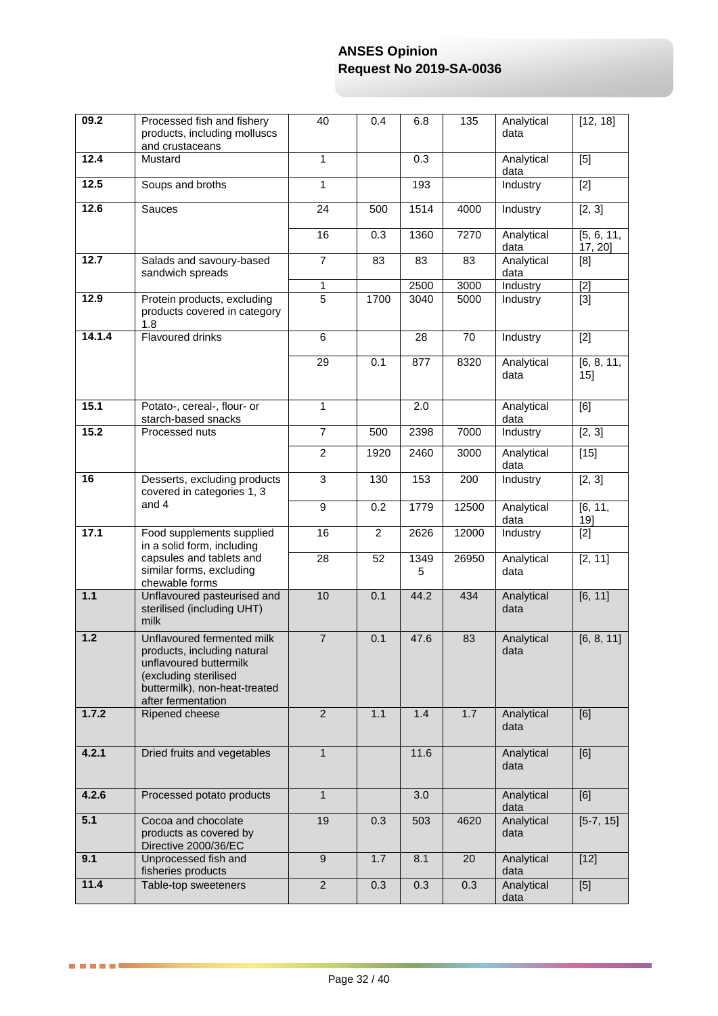| 09.2            | Processed fish and fishery<br>products, including molluscs<br>and crustaceans                                                                                       | 40              | 0.4            | 6.8       | 135   | Analytical<br>data | $\overline{[12, 18]}$ |
|-----------------|---------------------------------------------------------------------------------------------------------------------------------------------------------------------|-----------------|----------------|-----------|-------|--------------------|-----------------------|
| 12.4            | Mustard                                                                                                                                                             | $\overline{1}$  |                | 0.3       |       | Analytical<br>data | $[5]$                 |
| 12.5            | Soups and broths                                                                                                                                                    | $\mathbf{1}$    |                | 193       |       | Industry           | $[2]$                 |
| 12.6            | Sauces                                                                                                                                                              | 24              | 500            | 1514      | 4000  | Industry           | [2, 3]                |
|                 |                                                                                                                                                                     | 16              | 0.3            | 1360      | 7270  | Analytical<br>data | [5, 6, 11,<br>17, 20] |
| 12.7            | Salads and savoury-based<br>sandwich spreads                                                                                                                        | $\overline{7}$  | 83             | 83        | 83    | Analytical<br>data | [8]                   |
|                 |                                                                                                                                                                     | 1               |                | 2500      | 3000  | Industry           | $[2]$                 |
| 12.9            | Protein products, excluding<br>products covered in category<br>1.8                                                                                                  | $\overline{5}$  | 1700           | 3040      | 5000  | Industry           | $[3]$                 |
| 14.1.4          | <b>Flavoured drinks</b>                                                                                                                                             | 6               |                | 28        | 70    | Industry           | $[2]$                 |
|                 |                                                                                                                                                                     | $\overline{29}$ | 0.1            | 877       | 8320  | Analytical<br>data | [6, 8, 11,<br>15]     |
| 15.1            | Potato-, cereal-, flour- or<br>starch-based snacks                                                                                                                  | $\mathbf{1}$    |                | 2.0       |       | Analytical<br>data | [6]                   |
| 15.2            | Processed nuts                                                                                                                                                      | $\overline{7}$  | 500            | 2398      | 7000  | Industry           | [2, 3]                |
|                 |                                                                                                                                                                     | $\overline{c}$  | 1920           | 2460      | 3000  | Analytical<br>data | $[15]$                |
| $\overline{16}$ | Desserts, excluding products<br>covered in categories 1, 3                                                                                                          | $\overline{3}$  | 130            | 153       | 200   | Industry           | [2, 3]                |
|                 | and 4                                                                                                                                                               | 9               | 0.2            | 1779      | 12500 | Analytical<br>data | [6, 11,<br>$19$ ]     |
| 17.1            | Food supplements supplied<br>in a solid form, including                                                                                                             | 16              | $\overline{c}$ | 2626      | 12000 | Industry           | $[2]$                 |
|                 | capsules and tablets and<br>similar forms, excluding<br>chewable forms                                                                                              | 28              | 52             | 1349<br>5 | 26950 | Analytical<br>data | [2, 11]               |
| $1.1$           | Unflavoured pasteurised and<br>sterilised (including UHT)<br>milk                                                                                                   | 10              | 0.1            | 44.2      | 434   | Analytical<br>data | [6, 11]               |
| 1.2             | Unflavoured fermented milk<br>products, including natural<br>unflavoured buttermilk<br>(excluding sterilised<br>buttermilk), non-heat-treated<br>after fermentation | $\overline{7}$  | 0.1            | 47.6      | 83    | Analytical<br>data | [6, 8, 11]            |
| 1.7.2           | Ripened cheese                                                                                                                                                      | $\overline{2}$  | 1.1            | 1.4       | 1.7   | Analytical<br>data | [6]                   |
| 4.2.1           | Dried fruits and vegetables                                                                                                                                         | $\mathbf{1}$    |                | 11.6      |       | Analytical<br>data | [6]                   |
| 4.2.6           | Processed potato products                                                                                                                                           | $\mathbf{1}$    |                | 3.0       |       | Analytical<br>data | [6]                   |
| 5.1             | Cocoa and chocolate<br>products as covered by<br>Directive 2000/36/EC                                                                                               | 19              | 0.3            | 503       | 4620  | Analytical<br>data | $[5-7, 15]$           |
| 9.1             | Unprocessed fish and<br>fisheries products                                                                                                                          | 9               | 1.7            | 8.1       | 20    | Analytical<br>data | $[12]$                |
| 11.4            | Table-top sweeteners                                                                                                                                                | $\overline{2}$  | 0.3            | 0.3       | 0.3   | Analytical<br>data | [5]                   |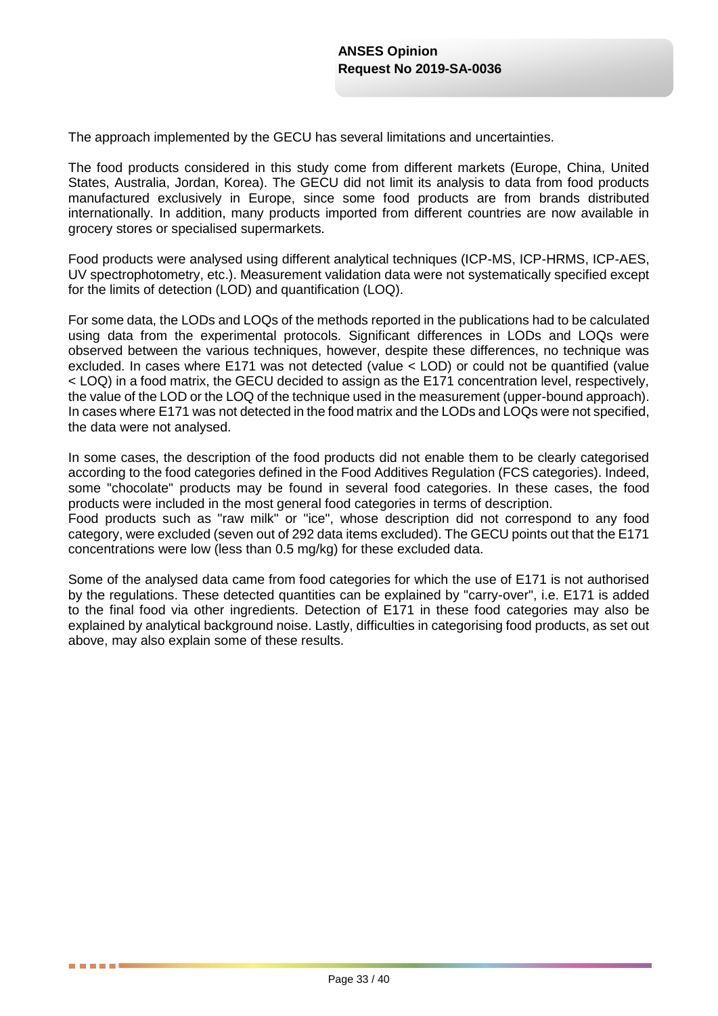The approach implemented by the GECU has several limitations and uncertainties.

The food products considered in this study come from different markets (Europe, China, United States, Australia, Jordan, Korea). The GECU did not limit its analysis to data from food products manufactured exclusively in Europe, since some food products are from brands distributed internationally. In addition, many products imported from different countries are now available in grocery stores or specialised supermarkets.

Food products were analysed using different analytical techniques (ICP-MS, ICP-HRMS, ICP-AES, UV spectrophotometry, etc.). Measurement validation data were not systematically specified except for the limits of detection (LOD) and quantification (LOQ).

For some data, the LODs and LOQs of the methods reported in the publications had to be calculated using data from the experimental protocols. Significant differences in LODs and LOQs were observed between the various techniques, however, despite these differences, no technique was excluded. In cases where E171 was not detected (value < LOD) or could not be quantified (value < LOQ) in a food matrix, the GECU decided to assign as the E171 concentration level, respectively, the value of the LOD or the LOQ of the technique used in the measurement (upper-bound approach). In cases where E171 was not detected in the food matrix and the LODs and LOQs were not specified, the data were not analysed.

In some cases, the description of the food products did not enable them to be clearly categorised according to the food categories defined in the Food Additives Regulation (FCS categories). Indeed, some "chocolate" products may be found in several food categories. In these cases, the food products were included in the most general food categories in terms of description.

Food products such as "raw milk" or "ice", whose description did not correspond to any food category, were excluded (seven out of 292 data items excluded). The GECU points out that the E171 concentrations were low (less than 0.5 mg/kg) for these excluded data.

Some of the analysed data came from food categories for which the use of E171 is not authorised by the regulations. These detected quantities can be explained by "carry-over", i.e. E171 is added to the final food via other ingredients. Detection of E171 in these food categories may also be explained by analytical background noise. Lastly, difficulties in categorising food products, as set out above, may also explain some of these results.

. . . . .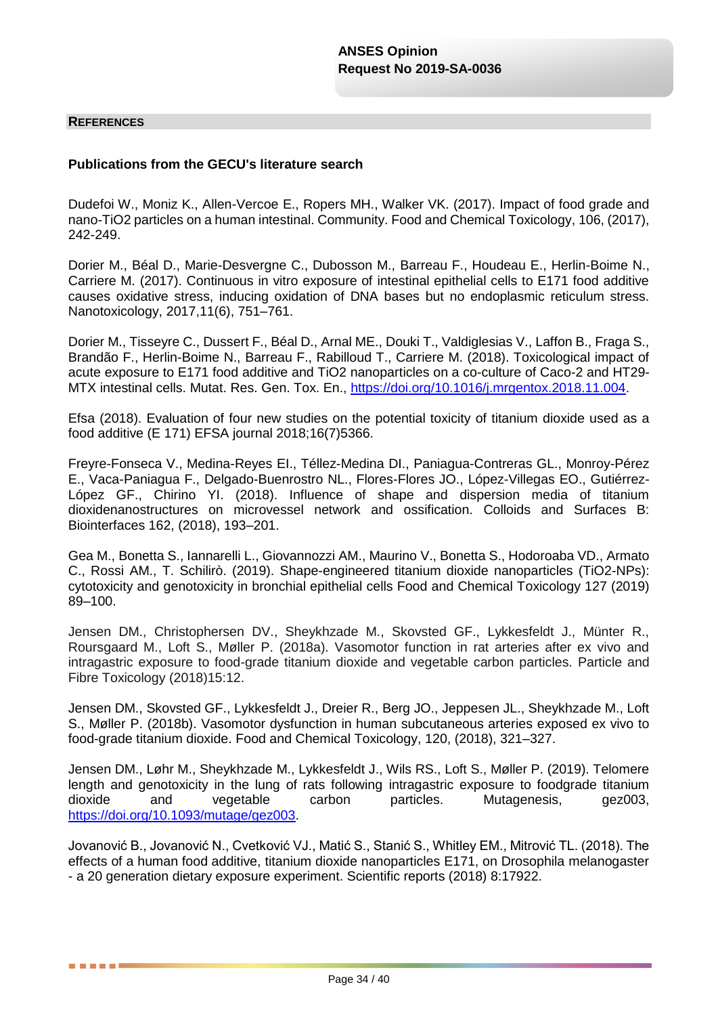#### **REFERENCES**

. . . . .

#### **Publications from the GECU's literature search**

Dudefoi W., Moniz K., Allen-Vercoe E., Ropers MH., Walker VK. (2017). Impact of food grade and nano-TiO2 particles on a human intestinal. Community. Food and Chemical Toxicology, 106, (2017), 242-249.

Dorier M., Béal D., Marie-Desvergne C., Dubosson M., Barreau F., Houdeau E., Herlin-Boime N., Carriere M. (2017). Continuous in vitro exposure of intestinal epithelial cells to E171 food additive causes oxidative stress, inducing oxidation of DNA bases but no endoplasmic reticulum stress. Nanotoxicology, 2017,11(6), 751–761.

Dorier M., Tisseyre C., Dussert F., Béal D., Arnal ME., Douki T., Valdiglesias V., Laffon B., Fraga S., Brandão F., Herlin-Boime N., Barreau F., Rabilloud T., Carriere M. (2018). Toxicological impact of acute exposure to E171 food additive and TiO2 nanoparticles on a co-culture of Caco-2 and HT29 MTX intestinal cells. Mutat. Res. Gen. Tox. En., [https://doi.org/10.1016/j.mrgentox.2018.11.004.](https://doi.org/10.1016/j.mrgentox.2018.11.004)

Efsa (2018). Evaluation of four new studies on the potential toxicity of titanium dioxide used as a food additive (E 171) EFSA journal 2018;16(7)5366.

Freyre-Fonseca V., Medina-Reyes EI., Téllez-Medina DI., Paniagua-Contreras GL., Monroy-Pérez E., Vaca-Paniagua F., Delgado-Buenrostro NL., Flores-Flores JO., López-Villegas EO., Gutiérrez-López GF., Chirino YI. (2018). Influence of shape and dispersion media of titanium dioxidenanostructures on microvessel network and ossification. Colloids and Surfaces B: Biointerfaces 162, (2018), 193–201.

Gea M., Bonetta S., Iannarelli L., Giovannozzi AM., Maurino V., Bonetta S., Hodoroaba VD., Armato C., Rossi AM., T. Schilirò. (2019). Shape-engineered titanium dioxide nanoparticles (TiO2-NPs): cytotoxicity and genotoxicity in bronchial epithelial cells Food and Chemical Toxicology 127 (2019) 89–100.

Jensen DM., Christophersen DV., Sheykhzade M., Skovsted GF., Lykkesfeldt J., Münter R., Roursgaard M., Loft S., Møller P. (2018a). Vasomotor function in rat arteries after ex vivo and intragastric exposure to food-grade titanium dioxide and vegetable carbon particles. Particle and Fibre Toxicology (2018)15:12.

Jensen DM., Skovsted GF., Lykkesfeldt J., Dreier R., Berg JO., Jeppesen JL., Sheykhzade M., Loft S., Møller P. (2018b). Vasomotor dysfunction in human subcutaneous arteries exposed ex vivo to food-grade titanium dioxide. Food and Chemical Toxicology, 120, (2018), 321–327.

Jensen DM., Løhr M., Sheykhzade M., Lykkesfeldt J., Wils RS., Loft S., Møller P. (2019). Telomere length and genotoxicity in the lung of rats following intragastric exposure to foodgrade titanium<br>dioxide and vegetable carbon particles. Mutagenesis. a gez003. dioxide and vegetable carbon particles. Mutagenesis, gez003, [https://doi.org/10.1093/mutage/gez003.](https://doi.org/10.1093/mutage/gez003)

Jovanović B., Jovanović N., Cvetković VJ., Matić S., Stanić S., Whitley EM., Mitrović TL. (2018). The effects of a human food additive, titanium dioxide nanoparticles E171, on Drosophila melanogaster - a 20 generation dietary exposure experiment. Scientific reports (2018) 8:17922.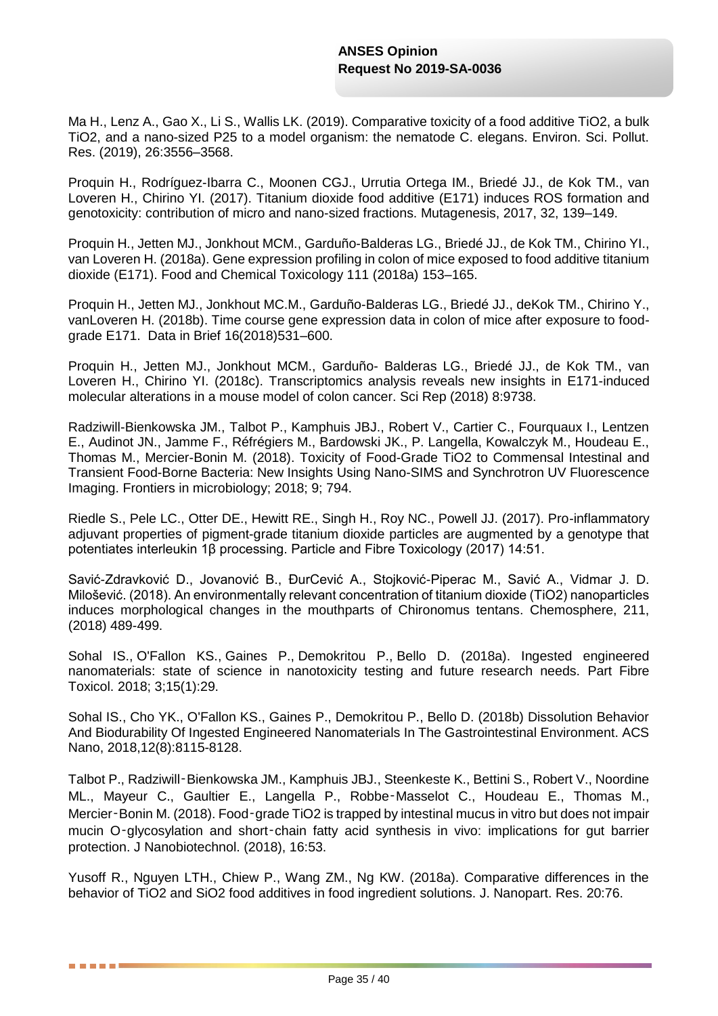Ma H., Lenz A., Gao X., Li S., Wallis LK. (2019). Comparative toxicity of a food additive TiO2, a bulk TiO2, and a nano-sized P25 to a model organism: the nematode C. elegans. Environ. Sci. Pollut. Res. (2019), 26:3556–3568.

Proquin H., Rodríguez-Ibarra C., Moonen CGJ., Urrutia Ortega IM., Briedé JJ., de Kok TM., van Loveren H., Chirino YI. (2017). Titanium dioxide food additive (E171) induces ROS formation and genotoxicity: contribution of micro and nano-sized fractions. Mutagenesis, 2017, 32, 139–149.

Proquin H., Jetten MJ., Jonkhout MCM., Garduño-Balderas LG., Briedé JJ., de Kok TM., Chirino YI., van Loveren H. (2018a). Gene expression profiling in colon of mice exposed to food additive titanium dioxide (E171). Food and Chemical Toxicology 111 (2018a) 153–165.

Proquin H., Jetten MJ., Jonkhout MC.M., Garduño-Balderas LG., Briedé JJ., deKok TM., Chirino Y., vanLoveren H. (2018b). Time course gene expression data in colon of mice after exposure to foodgrade E171. Data in Brief 16(2018)531–600.

Proquin H., Jetten MJ., Jonkhout MCM., Garduño- Balderas LG., Briedé JJ., de Kok TM., van Loveren H., Chirino YI. (2018c). Transcriptomics analysis reveals new insights in E171-induced molecular alterations in a mouse model of colon cancer. Sci Rep (2018) 8:9738.

Radziwill-Bienkowska JM., Talbot P., Kamphuis JBJ., Robert V., Cartier C., Fourquaux I., Lentzen E., Audinot JN., Jamme F., Réfrégiers M., Bardowski JK., P. Langella, Kowalczyk M., Houdeau E., Thomas M., Mercier-Bonin M. (2018). Toxicity of Food-Grade TiO2 to Commensal Intestinal and Transient Food-Borne Bacteria: New Insights Using Nano-SIMS and Synchrotron UV Fluorescence Imaging. Frontiers in microbiology; 2018; 9; 794.

Riedle S., Pele LC., Otter DE., Hewitt RE., Singh H., Roy NC., Powell JJ. (2017). Pro-inflammatory adjuvant properties of pigment-grade titanium dioxide particles are augmented by a genotype that potentiates interleukin 1β processing. Particle and Fibre Toxicology (2017) 14:51.

Savić-Zdravković D., Jovanović B., ÐurCević A., Stojković-Piperac M., Savić A., Vidmar J. D. Milošević. (2018). An environmentally relevant concentration of titanium dioxide (TiO2) nanoparticles induces morphological changes in the mouthparts of Chironomus tentans. Chemosphere, 211, (2018) 489-499.

[Sohal IS.](https://www.ncbi.nlm.nih.gov/pubmed/?term=Sohal%20IS%5bAuthor%5d&cauthor=true&cauthor_uid=29970114), [O'Fallon KS.](https://www.ncbi.nlm.nih.gov/pubmed/?term=O), [Gaines P.](https://www.ncbi.nlm.nih.gov/pubmed/?term=Gaines%20P%5bAuthor%5d&cauthor=true&cauthor_uid=29970114), [Demokritou P.](https://www.ncbi.nlm.nih.gov/pubmed/?term=Demokritou%20P%5bAuthor%5d&cauthor=true&cauthor_uid=29970114), [Bello D.](https://www.ncbi.nlm.nih.gov/pubmed/?term=Bello%20D%5bAuthor%5d&cauthor=true&cauthor_uid=29970114) (2018a). Ingested engineered nanomaterials: state of science in nanotoxicity testing and future research needs. [Part Fibre](https://www.ncbi.nlm.nih.gov/pubmed/29970114)  [Toxicol.](https://www.ncbi.nlm.nih.gov/pubmed/29970114) 2018; 3;15(1):29.

Sohal IS., Cho YK., O'Fallon KS., Gaines P., Demokritou P., Bello D. (2018b) Dissolution Behavior And Biodurability Of Ingested Engineered Nanomaterials In The Gastrointestinal Environment. ACS Nano, 2018,12(8):8115-8128.

Talbot P., Radziwill‑Bienkowska JM., Kamphuis JBJ., Steenkeste K., Bettini S., Robert V., Noordine ML., Mayeur C., Gaultier E., Langella P., Robbe‑Masselot C., Houdeau E., Thomas M., Mercier-Bonin M. (2018). Food-grade TiO2 is trapped by intestinal mucus in vitro but does not impair mucin O-glycosylation and short-chain fatty acid synthesis in vivo: implications for gut barrier protection. J Nanobiotechnol. (2018), 16:53.

Yusoff R., Nguyen LTH., Chiew P., Wang ZM., Ng KW. (2018a). Comparative differences in the behavior of TiO2 and SiO2 food additives in food ingredient solutions. J. Nanopart. Res. 20:76.

. . . . .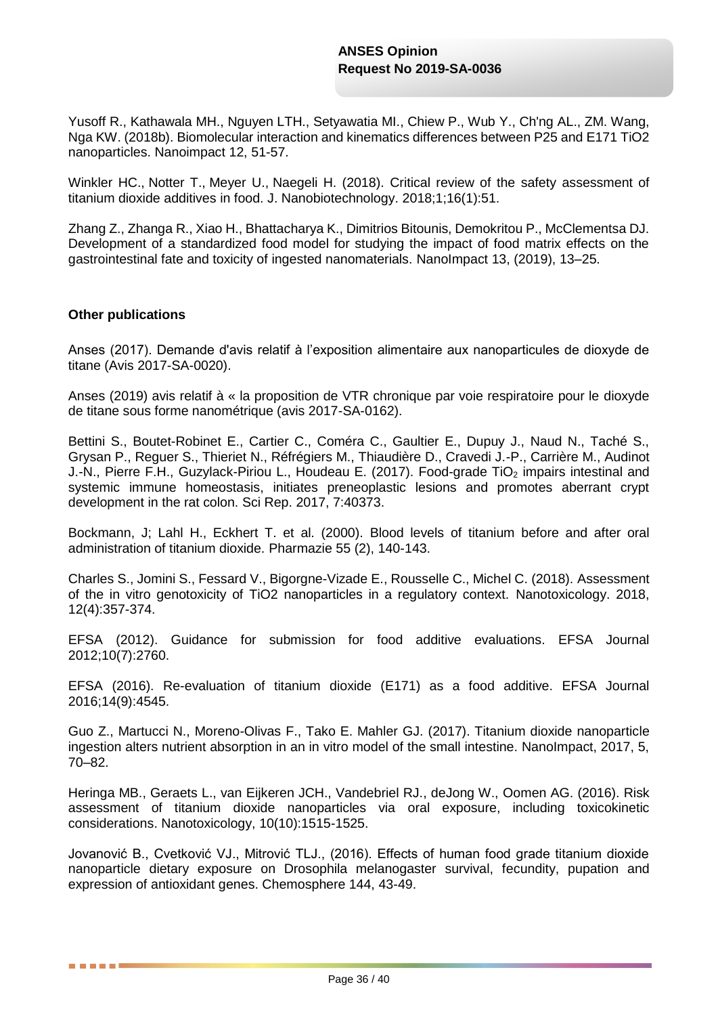Yusoff R., Kathawala MH., Nguyen LTH., Setyawatia MI., Chiew P., Wub Y., Ch'ng AL., ZM. Wang, Nga KW. (2018b)[. Biomolecular interaction and kinematics differences between P25 and E171 TiO2](http://apps.webofknowledge.com.inee.bib.cnrs.fr/full_record.do?product=UA&search_mode=GeneralSearch&qid=26&SID=F2mNq57kxoCMdIqFRs9&page=1&doc=2&cacheurlFromRightClick=no)  [nanoparticles.](http://apps.webofknowledge.com.inee.bib.cnrs.fr/full_record.do?product=UA&search_mode=GeneralSearch&qid=26&SID=F2mNq57kxoCMdIqFRs9&page=1&doc=2&cacheurlFromRightClick=no) [Nanoimpact 12, 51-57.](http://apps.webofknowledge.com.inee.bib.cnrs.fr/full_record.do?product=UA&search_mode=GeneralSearch&qid=26&SID=F2mNq57kxoCMdIqFRs9&page=1&doc=2&cacheurlFromRightClick=no)

[Winkler HC.](https://www.ncbi.nlm.nih.gov/pubmed/?term=Winkler%20HC%5bAuthor%5d&cauthor=true&cauthor_uid=29859103), [Notter T.](https://www.ncbi.nlm.nih.gov/pubmed/?term=Notter%20T%5bAuthor%5d&cauthor=true&cauthor_uid=29859103), [Meyer U.](https://www.ncbi.nlm.nih.gov/pubmed/?term=Meyer%20U%5bAuthor%5d&cauthor=true&cauthor_uid=29859103), [Naegeli H.](https://www.ncbi.nlm.nih.gov/pubmed/?term=Naegeli%20H%5bAuthor%5d&cauthor=true&cauthor_uid=29859103) (2018). Critical review of the safety assessment of titanium dioxide additives in food. [J. Nanobiotechnology.](https://www.ncbi.nlm.nih.gov/pubmed/29859103) 2018;1;16(1):51.

Zhang Z., Zhanga R., Xiao H., Bhattacharya K., Dimitrios Bitounis, Demokritou P., McClementsa DJ. Development of a standardized food model for studying the impact of food matrix effects on the gastrointestinal fate and toxicity of ingested nanomaterials. NanoImpact 13, (2019), 13–25.

#### **Other publications**

. . . . .

Anses (2017). Demande d'avis relatif à l'exposition alimentaire aux nanoparticules de dioxyde de titane (Avis 2017-SA-0020).

Anses (2019) avis relatif à « la proposition de VTR chronique par voie respiratoire pour le dioxyde de titane sous forme nanométrique (avis 2017-SA-0162).

Bettini S., Boutet-Robinet E., Cartier C., Coméra C., Gaultier E., Dupuy J., Naud N., Taché S., Grysan P., Reguer S., Thieriet N., Réfrégiers M., Thiaudière D., Cravedi J.-P., Carrière M., Audinot J.-N., Pierre F.H., Guzylack-Piriou L., Houdeau E. (2017). Food-grade TiO<sub>2</sub> impairs intestinal and systemic immune homeostasis, initiates preneoplastic lesions and promotes aberrant crypt development in the rat colon. Sci Rep. 2017, 7:40373.

[Bockmann, J;](http://apps.webofknowledge.com.inee.bib.cnrs.fr/OneClickSearch.do?product=UA&search_mode=OneClickSearch&excludeEventConfig=ExcludeIfFromFullRecPage&SID=F2mNq57kxoCMdIqFRs9&field=AU&value=Bockmann,%20J) [Lahl H.](http://apps.webofknowledge.com.inee.bib.cnrs.fr/OneClickSearch.do?product=UA&search_mode=OneClickSearch&excludeEventConfig=ExcludeIfFromFullRecPage&SID=F2mNq57kxoCMdIqFRs9&field=AU&value=Lahl,%20H), [Eckhert T.](http://apps.webofknowledge.com.inee.bib.cnrs.fr/OneClickSearch.do?product=UA&search_mode=OneClickSearch&excludeEventConfig=ExcludeIfFromFullRecPage&SID=F2mNq57kxoCMdIqFRs9&field=AU&value=Eckhert,%20T) et al. (2000). [Blood levels of titanium before and after oral](http://apps.webofknowledge.com.inee.bib.cnrs.fr/full_record.do?product=UA&search_mode=GeneralSearch&qid=2&SID=F2mNq57kxoCMdIqFRs9&page=1&doc=1&cacheurlFromRightClick=no)  [administration of titanium dioxide.](http://apps.webofknowledge.com.inee.bib.cnrs.fr/full_record.do?product=UA&search_mode=GeneralSearch&qid=2&SID=F2mNq57kxoCMdIqFRs9&page=1&doc=1&cacheurlFromRightClick=no) [Pharmazie 55 \(2\), 140-143.](http://apps.webofknowledge.com.inee.bib.cnrs.fr/full_record.do?product=UA&search_mode=GeneralSearch&qid=2&SID=F2mNq57kxoCMdIqFRs9&page=1&doc=1&cacheurlFromRightClick=no)

Charles S., Jomini S., Fessard V., Bigorgne-Vizade E., Rousselle C., Michel C. (2018). Assessment of the in vitro genotoxicity of TiO2 nanoparticles in a regulatory context. Nanotoxicology. 2018, 12(4):357-374.

EFSA (2012). Guidance for submission for food additive evaluations. EFSA Journal 2012;10(7):2760.

EFSA (2016). Re-evaluation of titanium dioxide (E171) as a food additive. EFSA Journal 2016;14(9):4545.

Guo Z., Martucci N., Moreno-Olivas F., Tako E. Mahler GJ. (2017). Titanium dioxide nanoparticle ingestion alters nutrient absorption in an in vitro model of the small intestine. NanoImpact, 2017, 5, 70–82.

Heringa MB., Geraets L., van Eijkeren JCH., Vandebriel RJ., deJong W., Oomen AG. (2016). Risk assessment of titanium dioxide nanoparticles via oral exposure, including toxicokinetic considerations. Nanotoxicology, 10(10):1515-1525.

Jovanović B., Cvetković VJ., Mitrović TLJ., (2016). Effects of human food grade titanium dioxide nanoparticle dietary exposure on Drosophila melanogaster survival, fecundity, pupation and expression of antioxidant genes. Chemosphere 144, 43-49.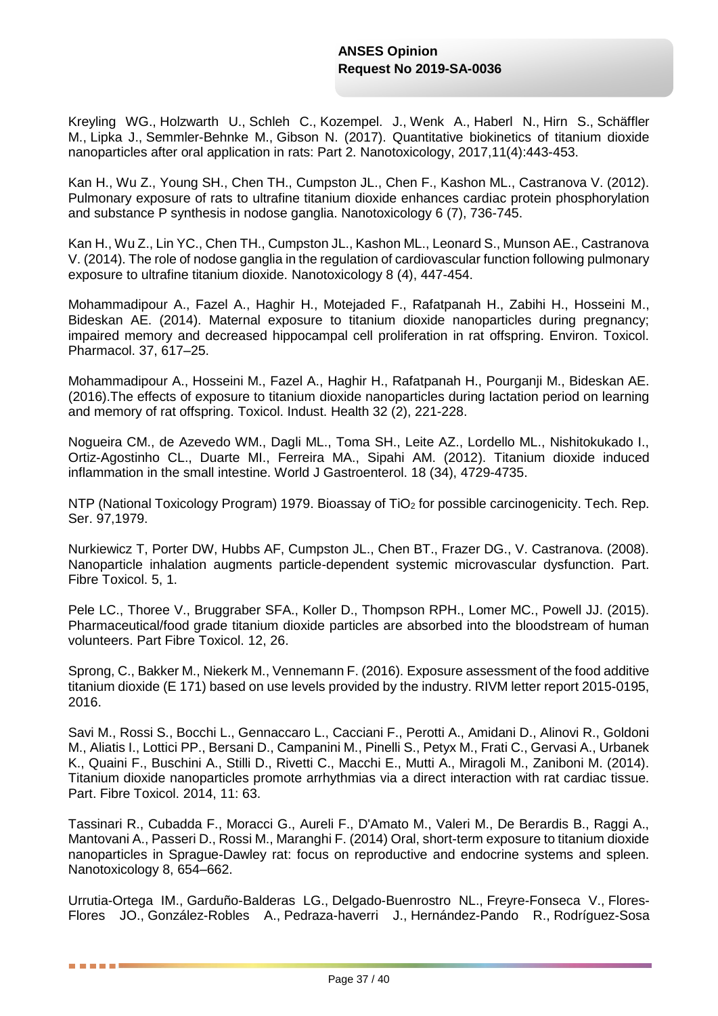[Kreyling WG.](https://www.ncbi.nlm.nih.gov/pubmed/?term=Kreyling%20WG%5bAuthor%5d&cauthor=true&cauthor_uid=28290734), [Holzwarth U.](https://www.ncbi.nlm.nih.gov/pubmed/?term=Holzwarth%20U%5bAuthor%5d&cauthor=true&cauthor_uid=28290734), [Schleh C.](https://www.ncbi.nlm.nih.gov/pubmed/?term=Schleh%20C%5bAuthor%5d&cauthor=true&cauthor_uid=28290734), [Kozempel.](https://www.ncbi.nlm.nih.gov/pubmed/?term=Kozempel%20J%5bAuthor%5d&cauthor=true&cauthor_uid=28290734) [J.](https://www.ncbi.nlm.nih.gov/pubmed/?term=Kozempel%20J%5bAuthor%5d&cauthor=true&cauthor_uid=28290734), [Wenk A.](https://www.ncbi.nlm.nih.gov/pubmed/?term=Wenk%20A%5bAuthor%5d&cauthor=true&cauthor_uid=28290734), [Haberl N.](https://www.ncbi.nlm.nih.gov/pubmed/?term=Haberl%20N%5bAuthor%5d&cauthor=true&cauthor_uid=28290734), [Hirn S.](https://www.ncbi.nlm.nih.gov/pubmed/?term=Hirn%20S%5bAuthor%5d&cauthor=true&cauthor_uid=28290734), [Schäffler](https://www.ncbi.nlm.nih.gov/pubmed/?term=Schäffler%20M%5bAuthor%5d&cauthor=true&cauthor_uid=28290734)  [M.](https://www.ncbi.nlm.nih.gov/pubmed/?term=Schäffler%20M%5bAuthor%5d&cauthor=true&cauthor_uid=28290734), [Lipka J.](https://www.ncbi.nlm.nih.gov/pubmed/?term=Lipka%20J%5bAuthor%5d&cauthor=true&cauthor_uid=28290734), [Semmler-Behnke M.](https://www.ncbi.nlm.nih.gov/pubmed/?term=Semmler-Behnke%20M%5bAuthor%5d&cauthor=true&cauthor_uid=28290734), [Gibson N.](https://www.ncbi.nlm.nih.gov/pubmed/?term=Gibson%20N%5bAuthor%5d&cauthor=true&cauthor_uid=28290734) (2017). Quantitative biokinetics of titanium dioxide nanoparticles after oral application in rats: Part 2. [Nanotoxicology,](https://www.ncbi.nlm.nih.gov/pubmed/28290734) 2017,11(4):443-453.

[Kan H.](http://apps.webofknowledge.com.inee.bib.cnrs.fr/OneClickSearch.do?product=UA&search_mode=OneClickSearch&excludeEventConfig=ExcludeIfFromFullRecPage&SID=F2mNq57kxoCMdIqFRs9&field=AU&value=Kan,%20Hong), [Wu Z.](http://apps.webofknowledge.com.inee.bib.cnrs.fr/OneClickSearch.do?product=UA&search_mode=OneClickSearch&excludeEventConfig=ExcludeIfFromFullRecPage&SID=F2mNq57kxoCMdIqFRs9&field=AU&value=Wu,%20Zhongxin), [Young SH.](http://apps.webofknowledge.com.inee.bib.cnrs.fr/OneClickSearch.do?product=UA&search_mode=OneClickSearch&excludeEventConfig=ExcludeIfFromFullRecPage&SID=F2mNq57kxoCMdIqFRs9&field=AU&value=Young,%20Shih-Houng), Chen TH., Cumpston JL., Chen F., Kashon ML., Castranova V. (2012). [Pulmonary exposure of rats to ultrafine titanium dioxide enhances cardiac protein phosphorylation](http://apps.webofknowledge.com.inee.bib.cnrs.fr/full_record.do?product=UA&search_mode=GeneralSearch&qid=23&SID=F2mNq57kxoCMdIqFRs9&page=2&doc=16&cacheurlFromRightClick=no)  [and substance P synthesis in nodose ganglia.](http://apps.webofknowledge.com.inee.bib.cnrs.fr/full_record.do?product=UA&search_mode=GeneralSearch&qid=23&SID=F2mNq57kxoCMdIqFRs9&page=2&doc=16&cacheurlFromRightClick=no) [Nanotoxicology](http://apps.webofknowledge.com.inee.bib.cnrs.fr/full_record.do?product=UA&search_mode=GeneralSearch&qid=23&SID=F2mNq57kxoCMdIqFRs9&page=2&doc=16&cacheurlFromRightClick=no) 6 (7), 736-745.

Kan H., Wu Z., Lin YC., Chen TH., Cumpston JL., Kashon ML., Leonard S., Munson AE., Castranova V. (2014). [The role of nodose ganglia in the regulation of cardiovascular function following pulmonary](http://apps.webofknowledge.com.inee.bib.cnrs.fr/full_record.do?product=UA&search_mode=GeneralSearch&qid=23&SID=F2mNq57kxoCMdIqFRs9&page=1&doc=1&cacheurlFromRightClick=no)  [exposure to ultrafine titanium dioxide.](http://apps.webofknowledge.com.inee.bib.cnrs.fr/full_record.do?product=UA&search_mode=GeneralSearch&qid=23&SID=F2mNq57kxoCMdIqFRs9&page=1&doc=1&cacheurlFromRightClick=no) [Nanotoxicology 8 \(4\),](http://apps.webofknowledge.com.inee.bib.cnrs.fr/full_record.do?product=UA&search_mode=GeneralSearch&qid=23&SID=F2mNq57kxoCMdIqFRs9&page=1&doc=1&cacheurlFromRightClick=no) 447-454.

Mohammadipour A., Fazel A., Haghir H., Motejaded F., Rafatpanah H., Zabihi H., Hosseini M., Bideskan AE. (2014). Maternal exposure to titanium dioxide nanoparticles during pregnancy; impaired memory and decreased hippocampal cell proliferation in rat offspring. Environ. Toxicol. Pharmacol. 37, 617–25.

Mohammadipour A., Hosseini M., Fazel A., Haghir H., Rafatpanah H., Pourganji M., Bideskan AE. (2016).The effects of exposure to titanium [dioxide nanoparticles during lactation period on learning](http://apps.webofknowledge.com.inee.bib.cnrs.fr/full_record.do?product=UA&search_mode=GeneralSearch&qid=21&SID=F2mNq57kxoCMdIqFRs9&page=1&doc=1)  [and memory of rat offspring.](http://apps.webofknowledge.com.inee.bib.cnrs.fr/full_record.do?product=UA&search_mode=GeneralSearch&qid=21&SID=F2mNq57kxoCMdIqFRs9&page=1&doc=1) [Toxicol.](http://apps.webofknowledge.com.inee.bib.cnrs.fr/full_record.do?product=UA&search_mode=GeneralSearch&qid=21&SID=F2mNq57kxoCMdIqFRs9&page=1&doc=1) [Indust.](http://apps.webofknowledge.com.inee.bib.cnrs.fr/full_record.do?product=UA&search_mode=GeneralSearch&qid=21&SID=F2mNq57kxoCMdIqFRs9&page=1&doc=1) [Health 32 \(2\), 221-228.](http://apps.webofknowledge.com.inee.bib.cnrs.fr/full_record.do?product=UA&search_mode=GeneralSearch&qid=21&SID=F2mNq57kxoCMdIqFRs9&page=1&doc=1) 

Nogueira CM., de Azevedo WM., Dagli ML., Toma SH., Leite AZ., Lordello ML., Nishitokukado I., Ortiz-Agostinho CL., Duarte MI., Ferreira MA., Sipahi AM. (2012). [Titanium dioxide induced](http://apps.webofknowledge.com.inee.bib.cnrs.fr/full_record.do?product=UA&search_mode=GeneralSearch&qid=20&SID=F2mNq57kxoCMdIqFRs9&page=1&doc=4&cacheurlFromRightClick=no)  [inflammation in the small intestine.](http://apps.webofknowledge.com.inee.bib.cnrs.fr/full_record.do?product=UA&search_mode=GeneralSearch&qid=20&SID=F2mNq57kxoCMdIqFRs9&page=1&doc=4&cacheurlFromRightClick=no) [World J Gastroenterol.](http://apps.webofknowledge.com.inee.bib.cnrs.fr/full_record.do?product=UA&search_mode=GeneralSearch&qid=20&SID=F2mNq57kxoCMdIqFRs9&page=1&doc=4&cacheurlFromRightClick=no) [18 \(34\), 4729-4735.](http://apps.webofknowledge.com.inee.bib.cnrs.fr/full_record.do?product=UA&search_mode=GeneralSearch&qid=20&SID=F2mNq57kxoCMdIqFRs9&page=1&doc=4&cacheurlFromRightClick=no) 

NTP (National Toxicology Program) 1979. Bioassay of TiO<sub>2</sub> for possible carcinogenicity. Tech. Rep. Ser. 97,1979.

Nurkiewicz T, Porter DW, Hubbs AF, Cumpston JL., Chen BT., Frazer DG., V. Castranova. (2008). Nanoparticle inhalation augments particle-dependent systemic microvascular dysfunction. Part. Fibre Toxicol. 5, 1.

Pele LC., Thoree V., Bruggraber SFA., Koller D., Thompson RPH., Lomer MC., Powell JJ. (2015). Pharmaceutical/food grade titanium dioxide particles are absorbed into the bloodstream of human volunteers. Part Fibre Toxicol. 12, 26.

Sprong, C., Bakker M., Niekerk M., Vennemann F. (2016). Exposure assessment of the food additive titanium dioxide (E 171) based on use levels provided by the industry. RIVM letter report 2015-0195, 2016.

Savi M., Rossi S., Bocchi L., Gennaccaro L., Cacciani F., Perotti A., Amidani D., Alinovi R., Goldoni M., Aliatis I., Lottici PP., Bersani D., Campanini M., Pinelli S., Petyx M., Frati C., Gervasi A., Urbanek K., Quaini F., Buschini A., Stilli D., Rivetti C., Macchi E., Mutti A., Miragoli M., Zaniboni M. (2014). Titanium dioxide nanoparticles promote arrhythmias via a direct interaction with rat cardiac tissue. Part. Fibre Toxicol. 2014, 11: 63.

Tassinari R., Cubadda F., Moracci G., Aureli F., D'Amato M., Valeri M., De Berardis B., Raggi A., Mantovani A., Passeri D., Rossi M., Maranghi F. (2014) Oral, short-term exposure to titanium dioxide nanoparticles in Sprague-Dawley rat: focus on reproductive and endocrine systems and spleen. Nanotoxicology 8, 654–662.

[Urrutia-Ortega IM.](https://www.ncbi.nlm.nih.gov/pubmed/?term=Urrutia-Ortega%20IM%5bAuthor%5d&cauthor=true&cauthor_uid=27117919), [Garduño-Balderas LG.](https://www.ncbi.nlm.nih.gov/pubmed/?term=Garduño-Balderas%20LG%5bAuthor%5d&cauthor=true&cauthor_uid=27117919), [Delgado-Buenrostro NL.](https://www.ncbi.nlm.nih.gov/pubmed/?term=Delgado-Buenrostro%20NL%5bAuthor%5d&cauthor=true&cauthor_uid=27117919), [Freyre-Fonseca V.](https://www.ncbi.nlm.nih.gov/pubmed/?term=Freyre-Fonseca%20V%5bAuthor%5d&cauthor=true&cauthor_uid=27117919), [Flores-](https://www.ncbi.nlm.nih.gov/pubmed/?term=Flores-Flores%20JO%5bAuthor%5d&cauthor=true&cauthor_uid=27117919)[Flores JO.](https://www.ncbi.nlm.nih.gov/pubmed/?term=Flores-Flores%20JO%5bAuthor%5d&cauthor=true&cauthor_uid=27117919), [González-Robles A.](https://www.ncbi.nlm.nih.gov/pubmed/?term=González-Robles%20A%5bAuthor%5d&cauthor=true&cauthor_uid=27117919), [Pedraza-haverri J.](https://www.ncbi.nlm.nih.gov/pubmed/?term=Pedraza-Chaverri%20J%5bAuthor%5d&cauthor=true&cauthor_uid=27117919), [Hernández-Pando R.](https://www.ncbi.nlm.nih.gov/pubmed/?term=Hernández-Pando%20R%5bAuthor%5d&cauthor=true&cauthor_uid=27117919), [Rodríguez-Sosa](https://www.ncbi.nlm.nih.gov/pubmed/?term=Rodríguez-Sosa%20M%5bAuthor%5d&cauthor=true&cauthor_uid=27117919) 

. . . . .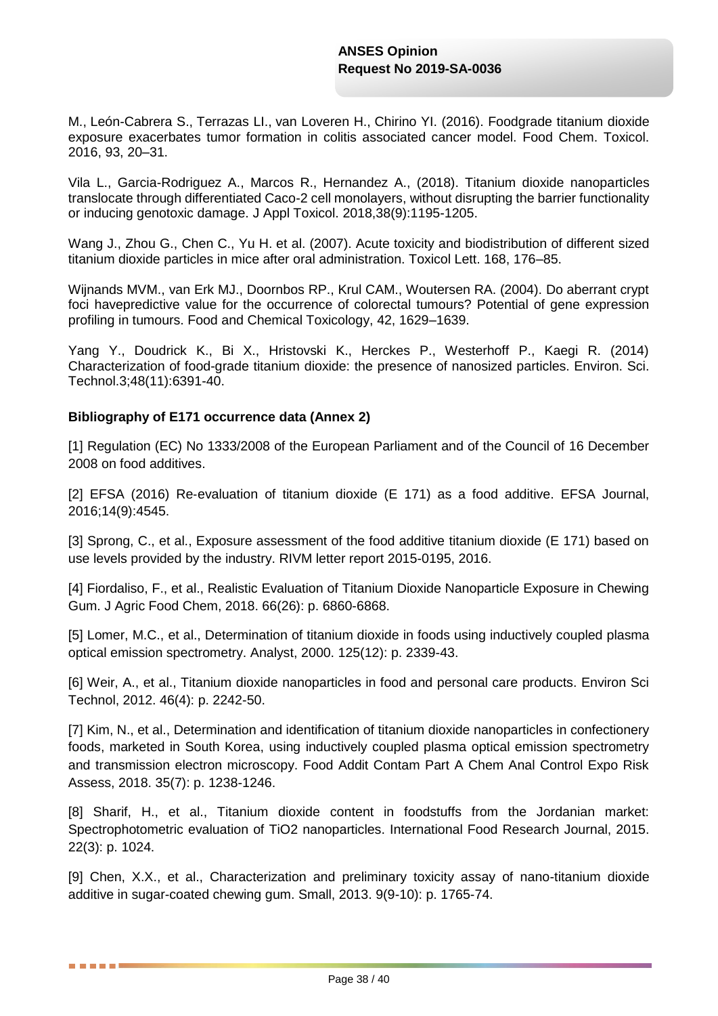[M.](https://www.ncbi.nlm.nih.gov/pubmed/?term=Rodríguez-Sosa%20M%5bAuthor%5d&cauthor=true&cauthor_uid=27117919), [León-Cabrera S.](https://www.ncbi.nlm.nih.gov/pubmed/?term=León-Cabrera%20S%5bAuthor%5d&cauthor=true&cauthor_uid=27117919), [Terrazas LI.](https://www.ncbi.nlm.nih.gov/pubmed/?term=Terrazas%20LI%5bAuthor%5d&cauthor=true&cauthor_uid=27117919), [van Loveren H.](https://www.ncbi.nlm.nih.gov/pubmed/?term=van%20Loveren%20H%5bAuthor%5d&cauthor=true&cauthor_uid=27117919), [Chirino YI.](https://www.ncbi.nlm.nih.gov/pubmed/?term=Chirino%20YI%5bAuthor%5d&cauthor=true&cauthor_uid=27117919) (2016). Foodgrade titanium dioxide exposure exacerbates tumor formation in colitis associated cancer model. Food Chem. Toxicol. 2016, 93, 20–31.

Vila L., Garcia-Rodriguez A., Marcos R., Hernandez A., (2018). Titanium dioxide nanoparticles translocate through differentiated Caco-2 cell monolayers, without disrupting the barrier functionality or inducing genotoxic damage. J Appl Toxicol. 2018,38(9):1195-1205.

Wang J., Zhou G., Chen C., Yu H. et al. (2007). Acute toxicity and biodistribution of different sized titanium dioxide particles in mice after oral administration. Toxicol Lett. 168, 176–85.

Wijnands MVM., van Erk MJ., Doornbos RP., Krul CAM., Woutersen RA. (2004). Do aberrant crypt foci havepredictive value for the occurrence of colorectal tumours? Potential of gene expression profiling in tumours. Food and Chemical Toxicology, 42, 1629–1639.

Yang Y., Doudrick K., Bi X., Hristovski K., Herckes P., Westerhoff P., Kaegi R. (2014) Characterization of food-grade titanium dioxide: the presence of nanosized particles. Environ. Sci. Technol.3;48(11):6391-40.

### **Bibliography of E171 occurrence data (Annex 2)**

. . . . .

[1] Regulation (EC) No 1333/2008 of the European Parliament and of the Council of 16 December 2008 on food additives.

[2] EFSA (2016) Re-evaluation of titanium dioxide (E 171) as a food additive. EFSA Journal, 2016;14(9):4545.

[3] Sprong, C., et al., Exposure assessment of the food additive titanium dioxide (E 171) based on use levels provided by the industry. RIVM letter report 2015-0195, 2016.

[4] Fiordaliso, F., et al., Realistic Evaluation of Titanium Dioxide Nanoparticle Exposure in Chewing Gum. J Agric Food Chem, 2018. 66(26): p. 6860-6868.

[5] Lomer, M.C., et al., Determination of titanium dioxide in foods using inductively coupled plasma optical emission spectrometry. Analyst, 2000. 125(12): p. 2339-43.

[6] Weir, A., et al., Titanium dioxide nanoparticles in food and personal care products. Environ Sci Technol, 2012. 46(4): p. 2242-50.

[7] Kim, N., et al., Determination and identification of titanium dioxide nanoparticles in confectionery foods, marketed in South Korea, using inductively coupled plasma optical emission spectrometry and transmission electron microscopy. Food Addit Contam Part A Chem Anal Control Expo Risk Assess, 2018. 35(7): p. 1238-1246.

[8] Sharif, H., et al., Titanium dioxide content in foodstuffs from the Jordanian market: Spectrophotometric evaluation of TiO2 nanoparticles. International Food Research Journal, 2015. 22(3): p. 1024.

[9] Chen, X.X., et al., Characterization and preliminary toxicity assay of nano-titanium dioxide additive in sugar-coated chewing gum. Small, 2013. 9(9-10): p. 1765-74.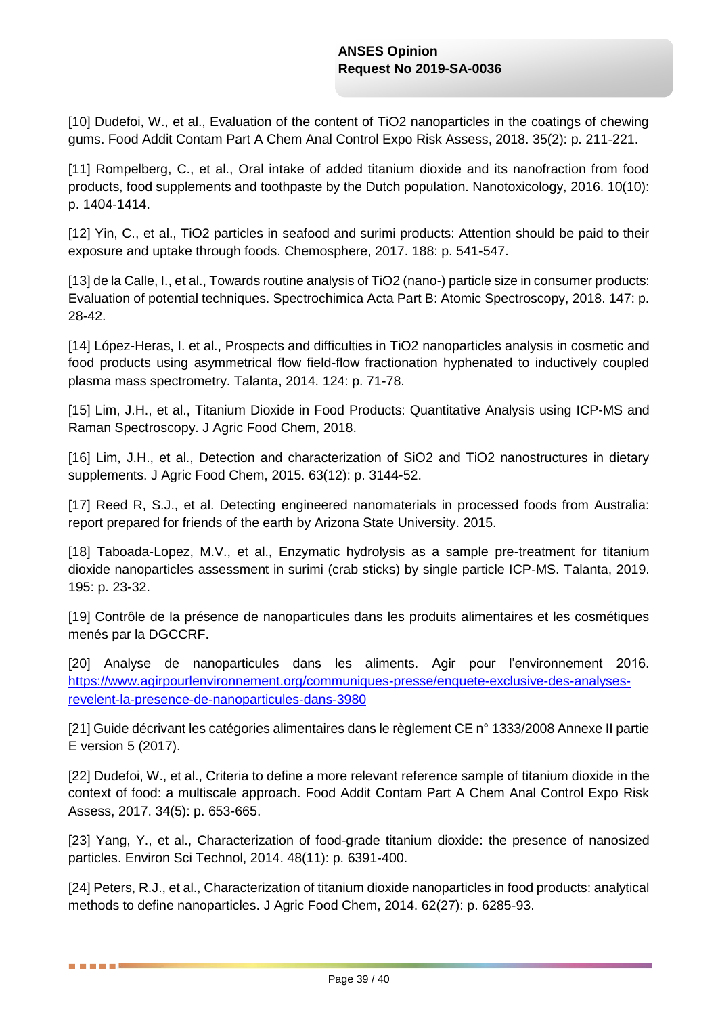[10] Dudefoi, W., et al., Evaluation of the content of TiO2 nanoparticles in the coatings of chewing gums. Food Addit Contam Part A Chem Anal Control Expo Risk Assess, 2018. 35(2): p. 211-221.

[11] Rompelberg, C., et al., Oral intake of added titanium dioxide and its nanofraction from food products, food supplements and toothpaste by the Dutch population. Nanotoxicology, 2016. 10(10): p. 1404-1414.

[12] Yin, C., et al., TiO2 particles in seafood and surimi products: Attention should be paid to their exposure and uptake through foods. Chemosphere, 2017. 188: p. 541-547.

[13] de la Calle, I., et al., Towards routine analysis of TiO2 (nano-) particle size in consumer products: Evaluation of potential techniques. Spectrochimica Acta Part B: Atomic Spectroscopy, 2018. 147: p. 28-42.

[14] López-Heras, I. et al., Prospects and difficulties in TiO2 nanoparticles analysis in cosmetic and food products using asymmetrical flow field-flow fractionation hyphenated to inductively coupled plasma mass spectrometry. Talanta, 2014. 124: p. 71-78.

[15] Lim, J.H., et al., Titanium Dioxide in Food Products: Quantitative Analysis using ICP-MS and Raman Spectroscopy. J Agric Food Chem, 2018.

[16] Lim, J.H., et al., Detection and characterization of SiO2 and TiO2 nanostructures in dietary supplements. J Agric Food Chem, 2015. 63(12): p. 3144-52.

[17] Reed R, S.J., et al. Detecting engineered nanomaterials in processed foods from Australia: report prepared for friends of the earth by Arizona State University. 2015.

[18] Taboada-Lopez, M.V., et al., Enzymatic hydrolysis as a sample pre-treatment for titanium dioxide nanoparticles assessment in surimi (crab sticks) by single particle ICP-MS. Talanta, 2019. 195: p. 23-32.

[19] Contrôle de la présence de nanoparticules dans les produits alimentaires et les cosmétiques menés par la DGCCRF.

[20] Analyse de nanoparticules dans les aliments. Agir pour l'environnement 2016. [https://www.agirpourlenvironnement.org/communiques-presse/enquete-exclusive-des-analyses](https://www.agirpourlenvironnement.org/communiques-presse/enquete-exclusive-des-analyses-revelent-la-presence-de-nanoparticules-dans-3980)[revelent-la-presence-de-nanoparticules-dans-3980](https://www.agirpourlenvironnement.org/communiques-presse/enquete-exclusive-des-analyses-revelent-la-presence-de-nanoparticules-dans-3980)

[21] Guide décrivant les catégories alimentaires dans le règlement CE n° 1333/2008 Annexe II partie E version 5 (2017).

[22] Dudefoi, W., et al., Criteria to define a more relevant reference sample of titanium dioxide in the context of food: a multiscale approach. Food Addit Contam Part A Chem Anal Control Expo Risk Assess, 2017. 34(5): p. 653-665.

[23] Yang, Y., et al., Characterization of food-grade titanium dioxide: the presence of nanosized particles. Environ Sci Technol, 2014. 48(11): p. 6391-400.

[24] Peters, R.J., et al., Characterization of titanium dioxide nanoparticles in food products: analytical methods to define nanoparticles. J Agric Food Chem, 2014. 62(27): p. 6285-93.